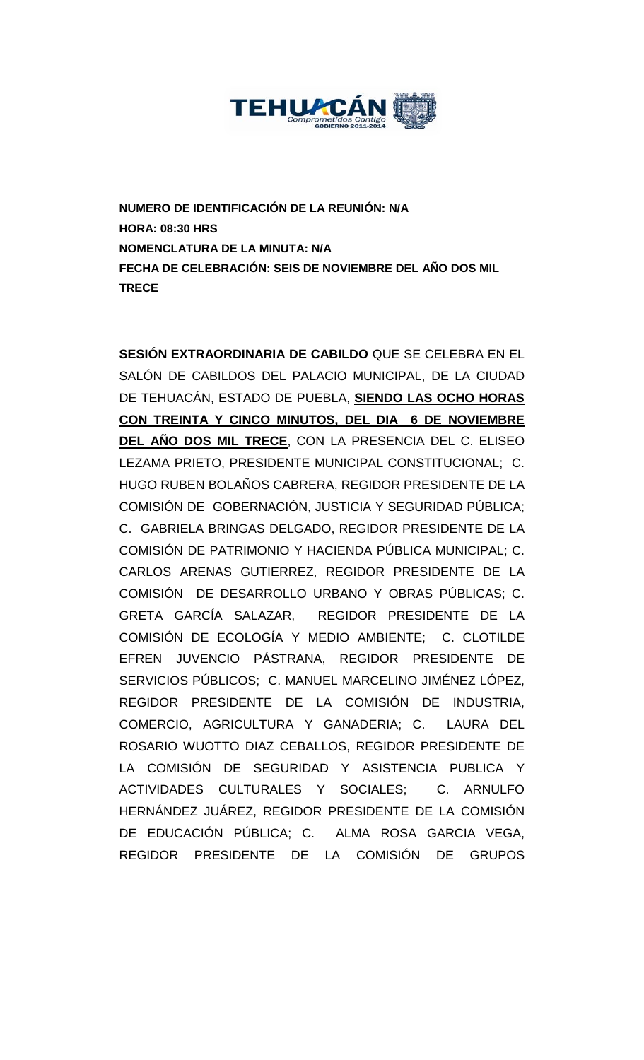

**NUMERO DE IDENTIFICACIÓN DE LA REUNIÓN: N/A HORA: 08:30 HRS NOMENCLATURA DE LA MINUTA: N/A FECHA DE CELEBRACIÓN: SEIS DE NOVIEMBRE DEL AÑO DOS MIL TRECE** 

**SESIÓN EXTRAORDINARIA DE CABILDO** QUE SE CELEBRA EN EL SALÓN DE CABILDOS DEL PALACIO MUNICIPAL, DE LA CIUDAD DE TEHUACÁN, ESTADO DE PUEBLA, **SIENDO LAS OCHO HORAS CON TREINTA Y CINCO MINUTOS, DEL DIA 6 DE NOVIEMBRE DEL AÑO DOS MIL TRECE**, CON LA PRESENCIA DEL C. ELISEO LEZAMA PRIETO, PRESIDENTE MUNICIPAL CONSTITUCIONAL; C. HUGO RUBEN BOLAÑOS CABRERA, REGIDOR PRESIDENTE DE LA COMISIÓN DE GOBERNACIÓN, JUSTICIA Y SEGURIDAD PÚBLICA; C. GABRIELA BRINGAS DELGADO, REGIDOR PRESIDENTE DE LA COMISIÓN DE PATRIMONIO Y HACIENDA PÚBLICA MUNICIPAL; C. CARLOS ARENAS GUTIERREZ, REGIDOR PRESIDENTE DE LA COMISIÓN DE DESARROLLO URBANO Y OBRAS PÚBLICAS; C. GRETA GARCÍA SALAZAR, REGIDOR PRESIDENTE DE LA COMISIÓN DE ECOLOGÍA Y MEDIO AMBIENTE; C. CLOTILDE EFREN JUVENCIO PÁSTRANA, REGIDOR PRESIDENTE DE SERVICIOS PÚBLICOS; C. MANUEL MARCELINO JIMÉNEZ LÓPEZ, REGIDOR PRESIDENTE DE LA COMISIÓN DE INDUSTRIA, COMERCIO, AGRICULTURA Y GANADERIA; C. LAURA DEL ROSARIO WUOTTO DIAZ CEBALLOS, REGIDOR PRESIDENTE DE LA COMISIÓN DE SEGURIDAD Y ASISTENCIA PUBLICA Y ACTIVIDADES CULTURALES Y SOCIALES; C. ARNULFO HERNÁNDEZ JUÁREZ, REGIDOR PRESIDENTE DE LA COMISIÓN DE EDUCACIÓN PÚBLICA; C. ALMA ROSA GARCIA VEGA, REGIDOR PRESIDENTE DE LA COMISIÓN DE GRUPOS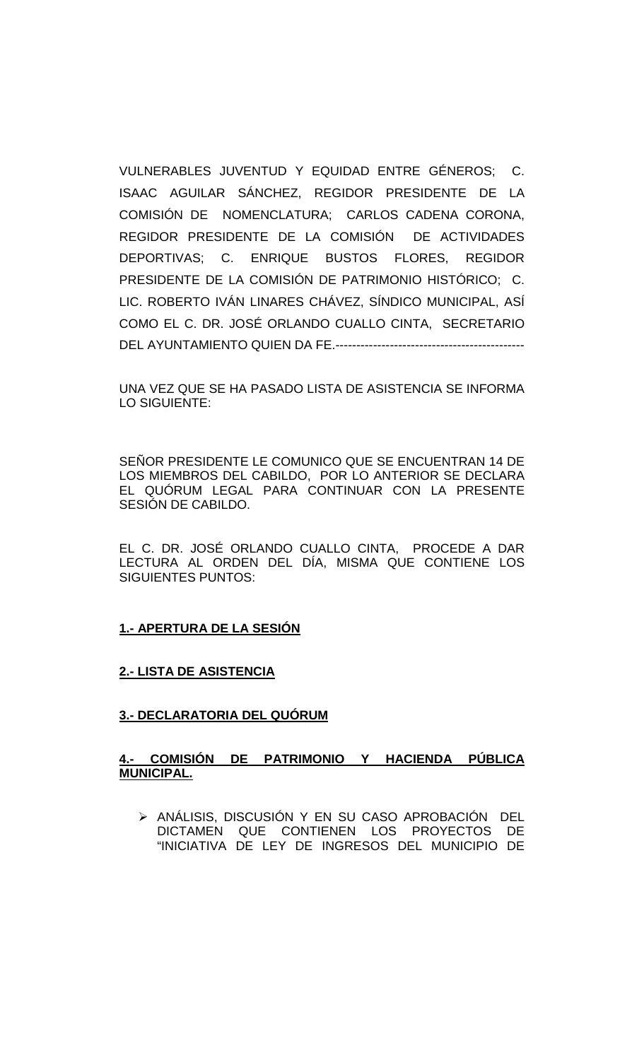VULNERABLES JUVENTUD Y EQUIDAD ENTRE GÉNEROS; C. ISAAC AGUILAR SÁNCHEZ, REGIDOR PRESIDENTE DE LA COMISIÓN DE NOMENCLATURA; CARLOS CADENA CORONA, REGIDOR PRESIDENTE DE LA COMISIÓN DE ACTIVIDADES DEPORTIVAS; C. ENRIQUE BUSTOS FLORES, REGIDOR PRESIDENTE DE LA COMISIÓN DE PATRIMONIO HISTÓRICO; C. LIC. ROBERTO IVÁN LINARES CHÁVEZ, SÍNDICO MUNICIPAL, ASÍ COMO EL C. DR. JOSÉ ORLANDO CUALLO CINTA, SECRETARIO DEL AYUNTAMIENTO QUIEN DA FE.---------------------------------------------

UNA VEZ QUE SE HA PASADO LISTA DE ASISTENCIA SE INFORMA LO SIGUIENTE:

SEÑOR PRESIDENTE LE COMUNICO QUE SE ENCUENTRAN 14 DE LOS MIEMBROS DEL CABILDO, POR LO ANTERIOR SE DECLARA EL QUÓRUM LEGAL PARA CONTINUAR CON LA PRESENTE SESIÓN DE CABILDO.

EL C. DR. JOSÉ ORLANDO CUALLO CINTA, PROCEDE A DAR LECTURA AL ORDEN DEL DÍA, MISMA QUE CONTIENE LOS SIGUIENTES PUNTOS:

### **1.- APERTURA DE LA SESIÓN**

**2.- LISTA DE ASISTENCIA**

### **3.- DECLARATORIA DEL QUÓRUM**

# **4.- COMISIÓN DE PATRIMONIO Y HACIENDA PÚBLICA MUNICIPAL.**

> ANÁLISIS, DISCUSIÓN Y EN SU CASO APROBACIÓN DEL DICTAMEN QUE CONTIENEN LOS PROYECTOS DE "INICIATIVA DE LEY DE INGRESOS DEL MUNICIPIO DE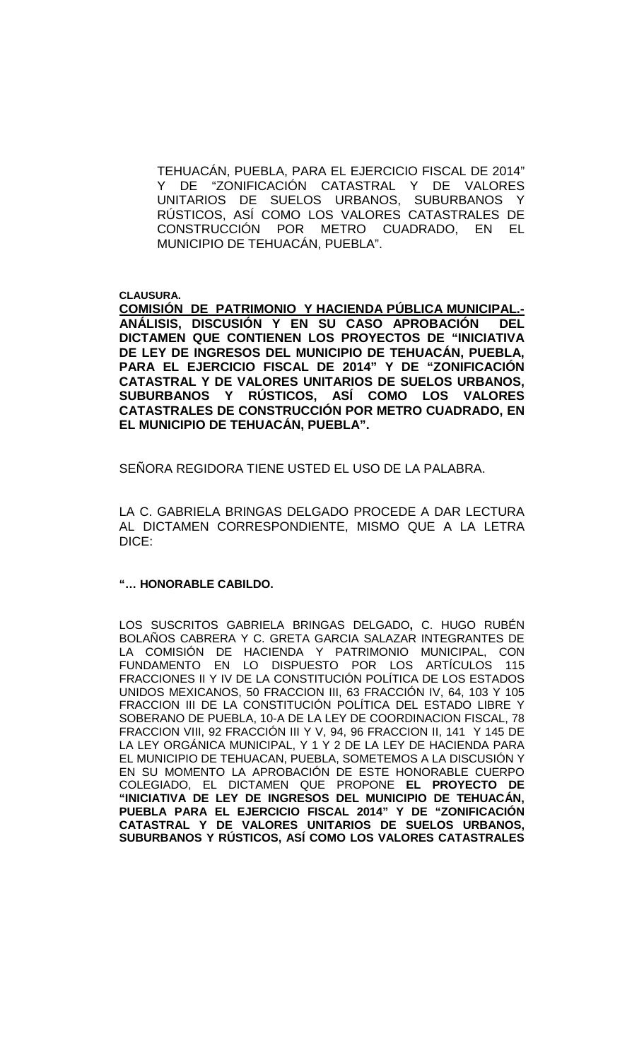TEHUACÁN, PUEBLA, PARA EL EJERCICIO FISCAL DE 2014" Y DE "ZONIFICACIÓN CATASTRAL Y DE VALORES UNITARIOS DE SUELOS URBANOS, SUBURBANOS Y RÚSTICOS, ASÍ COMO LOS VALORES CATASTRALES DE CONSTRUCCIÓN POR METRO CUADRADO, EN EL MUNICIPIO DE TEHUACÁN, PUEBLA".

**CLAUSURA.**

**COMISIÓN DE PATRIMONIO Y HACIENDA PÚBLICA MUNICIPAL.- ANÁLISIS, DISCUSIÓN Y EN SU CASO APROBACIÓN DEL DICTAMEN QUE CONTIENEN LOS PROYECTOS DE "INICIATIVA DE LEY DE INGRESOS DEL MUNICIPIO DE TEHUACÁN, PUEBLA, PARA EL EJERCICIO FISCAL DE 2014" Y DE "ZONIFICACIÓN CATASTRAL Y DE VALORES UNITARIOS DE SUELOS URBANOS, SUBURBANOS Y RÚSTICOS, ASÍ COMO LOS VALORES CATASTRALES DE CONSTRUCCIÓN POR METRO CUADRADO, EN EL MUNICIPIO DE TEHUACÁN, PUEBLA".**

SEÑORA REGIDORA TIENE USTED EL USO DE LA PALABRA.

LA C. GABRIELA BRINGAS DELGADO PROCEDE A DAR LECTURA AL DICTAMEN CORRESPONDIENTE, MISMO QUE A LA LETRA DICE:

### **"… HONORABLE CABILDO.**

LOS SUSCRITOS GABRIELA BRINGAS DELGADO**,** C. HUGO RUBÉN BOLAÑOS CABRERA Y C. GRETA GARCIA SALAZAR INTEGRANTES DE LA COMISIÓN DE HACIENDA Y PATRIMONIO MUNICIPAL, CON FUNDAMENTO EN LO DISPUESTO POR LOS ARTÍCULOS 115 FRACCIONES II Y IV DE LA CONSTITUCIÓN POLÍTICA DE LOS ESTADOS UNIDOS MEXICANOS, 50 FRACCION III, 63 FRACCIÓN IV, 64, 103 Y 105 FRACCION III DE LA CONSTITUCIÓN POLÍTICA DEL ESTADO LIBRE Y SOBERANO DE PUEBLA, 10-A DE LA LEY DE COORDINACION FISCAL, 78 FRACCION VIII, 92 FRACCIÓN III Y V, 94, 96 FRACCION II, 141 Y 145 DE LA LEY ORGÁNICA MUNICIPAL, Y 1 Y 2 DE LA LEY DE HACIENDA PARA EL MUNICIPIO DE TEHUACAN, PUEBLA, SOMETEMOS A LA DISCUSIÓN Y EN SU MOMENTO LA APROBACIÓN DE ESTE HONORABLE CUERPO COLEGIADO, EL DICTAMEN QUE PROPONE **EL PROYECTO DE "INICIATIVA DE LEY DE INGRESOS DEL MUNICIPIO DE TEHUACÁN, PUEBLA PARA EL EJERCICIO FISCAL 2014" Y DE "ZONIFICACIÓN CATASTRAL Y DE VALORES UNITARIOS DE SUELOS URBANOS, SUBURBANOS Y RÚSTICOS, ASÍ COMO LOS VALORES CATASTRALES**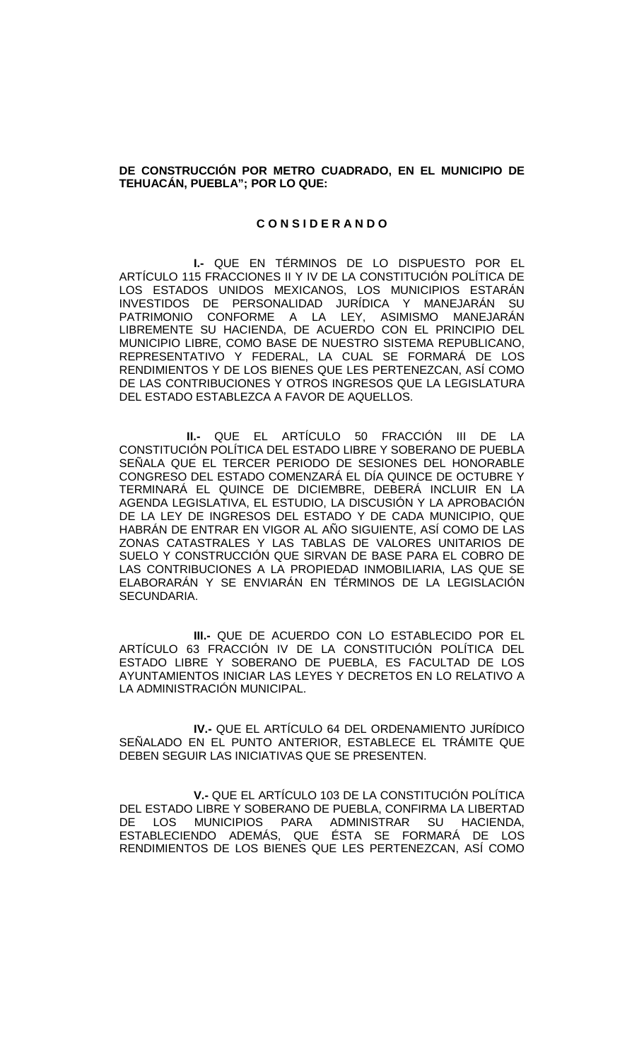**DE CONSTRUCCIÓN POR METRO CUADRADO, EN EL MUNICIPIO DE TEHUACÁN, PUEBLA"; POR LO QUE:**

#### **C O N S I D E R A N D O**

**I.-** QUE EN TÉRMINOS DE LO DISPUESTO POR EL ARTÍCULO 115 FRACCIONES II Y IV DE LA CONSTITUCIÓN POLÍTICA DE LOS ESTADOS UNIDOS MEXICANOS, LOS MUNICIPIOS ESTARÁN INVESTIDOS DE PERSONALIDAD JURÍDICA Y MANEJARÁN SU PATRIMONIO CONFORME A LA LEY, ASIMISMO MANEJARÁN LIBREMENTE SU HACIENDA, DE ACUERDO CON EL PRINCIPIO DEL MUNICIPIO LIBRE, COMO BASE DE NUESTRO SISTEMA REPUBLICANO, REPRESENTATIVO Y FEDERAL, LA CUAL SE FORMARÁ DE LOS RENDIMIENTOS Y DE LOS BIENES QUE LES PERTENEZCAN, ASÍ COMO DE LAS CONTRIBUCIONES Y OTROS INGRESOS QUE LA LEGISLATURA DEL ESTADO ESTABLEZCA A FAVOR DE AQUELLOS.

 **II.-** QUE EL ARTÍCULO 50 FRACCIÓN III DE LA CONSTITUCIÓN POLÍTICA DEL ESTADO LIBRE Y SOBERANO DE PUEBLA SEÑALA QUE EL TERCER PERIODO DE SESIONES DEL HONORABLE CONGRESO DEL ESTADO COMENZARÁ EL DÍA QUINCE DE OCTUBRE Y TERMINARÁ EL QUINCE DE DICIEMBRE, DEBERÁ INCLUIR EN LA AGENDA LEGISLATIVA, EL ESTUDIO, LA DISCUSIÓN Y LA APROBACIÓN DE LA LEY DE INGRESOS DEL ESTADO Y DE CADA MUNICIPIO, QUE HABRÁN DE ENTRAR EN VIGOR AL AÑO SIGUIENTE, ASÍ COMO DE LAS ZONAS CATASTRALES Y LAS TABLAS DE VALORES UNITARIOS DE SUELO Y CONSTRUCCIÓN QUE SIRVAN DE BASE PARA EL COBRO DE LAS CONTRIBUCIONES A LA PROPIEDAD INMOBILIARIA, LAS QUE SE ELABORARÁN Y SE ENVIARÁN EN TÉRMINOS DE LA LEGISLACIÓN SECUNDARIA.

**III.-** QUE DE ACUERDO CON LO ESTABLECIDO POR EL ARTÍCULO 63 FRACCIÓN IV DE LA CONSTITUCIÓN POLÍTICA DEL ESTADO LIBRE Y SOBERANO DE PUEBLA, ES FACULTAD DE LOS AYUNTAMIENTOS INICIAR LAS LEYES Y DECRETOS EN LO RELATIVO A LA ADMINISTRACIÓN MUNICIPAL.

**IV.-** QUE EL ARTÍCULO 64 DEL ORDENAMIENTO JURÍDICO SEÑALADO EN EL PUNTO ANTERIOR, ESTABLECE EL TRÁMITE QUE DEBEN SEGUIR LAS INICIATIVAS QUE SE PRESENTEN.

**V.-** QUE EL ARTÍCULO 103 DE LA CONSTITUCIÓN POLÍTICA DEL ESTADO LIBRE Y SOBERANO DE PUEBLA, CONFIRMA LA LIBERTAD<br>DE LOS MUNICIPIOS PARA ADMINISTRAR SU HACIENDA. DE LOS MUNICIPIOS PARA ADMINISTRAR SU HACIENDA, ESTABLECIENDO ADEMÁS, QUE ÉSTA SE FORMARÁ DE LOS RENDIMIENTOS DE LOS BIENES QUE LES PERTENEZCAN, ASÍ COMO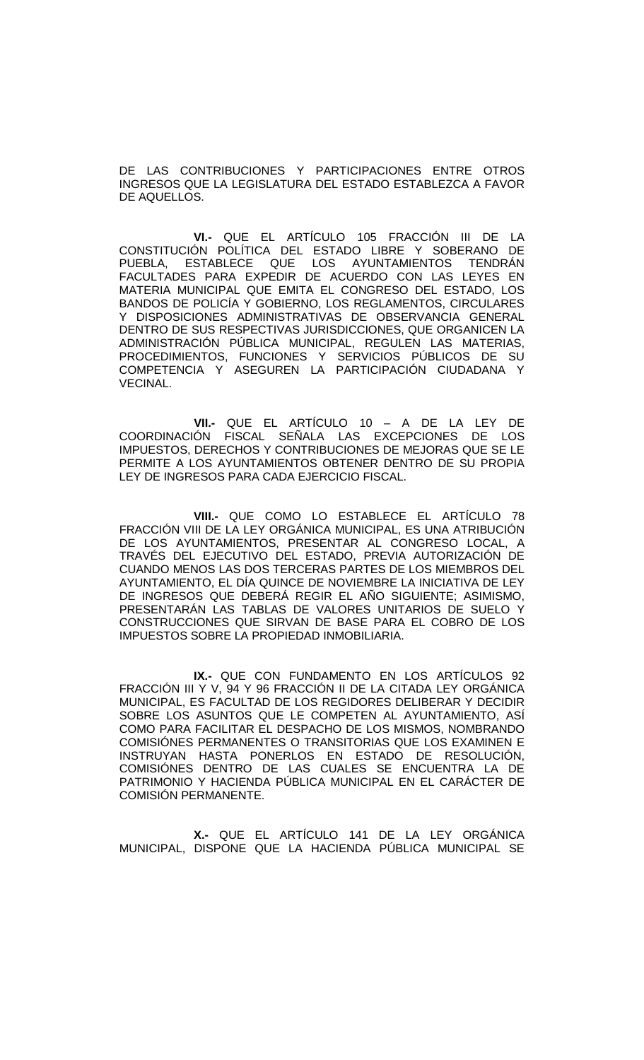DE LAS CONTRIBUCIONES Y PARTICIPACIONES ENTRE OTROS INGRESOS QUE LA LEGISLATURA DEL ESTADO ESTABLEZCA A FAVOR DE AQUELLOS.

**VI.-** QUE EL ARTÍCULO 105 FRACCIÓN III DE LA CONSTITUCIÓN POLÍTICA DEL ESTADO LIBRE Y SOBERANO DE PUEBLA, ESTABLECE QUE LOS AYUNTAMIENTOS TENDRÁN FACULTADES PARA EXPEDIR DE ACUERDO CON LAS LEYES EN MATERIA MUNICIPAL QUE EMITA EL CONGRESO DEL ESTADO, LOS BANDOS DE POLICÍA Y GOBIERNO, LOS REGLAMENTOS, CIRCULARES Y DISPOSICIONES ADMINISTRATIVAS DE OBSERVANCIA GENERAL DENTRO DE SUS RESPECTIVAS JURISDICCIONES, QUE ORGANICEN LA ADMINISTRACIÓN PÚBLICA MUNICIPAL, REGULEN LAS MATERIAS, PROCEDIMIENTOS, FUNCIONES Y SERVICIOS PÚBLICOS DE SU COMPETENCIA Y ASEGUREN LA PARTICIPACION CIUDADANA Y VECINAL.

**VII.-** QUE EL ARTÍCULO 10 – A DE LA LEY DE COORDINACIÓN FISCAL SEÑALA LAS EXCEPCIONES DE LOS IMPUESTOS, DERECHOS Y CONTRIBUCIONES DE MEJORAS QUE SE LE PERMITE A LOS AYUNTAMIENTOS OBTENER DENTRO DE SU PROPIA LEY DE INGRESOS PARA CADA EJERCICIO FISCAL.

**VIII.-** QUE COMO LO ESTABLECE EL ARTÍCULO 78 FRACCIÓN VIII DE LA LEY ORGÁNICA MUNICIPAL, ES UNA ATRIBUCIÓN DE LOS AYUNTAMIENTOS, PRESENTAR AL CONGRESO LOCAL, A TRAVÉS DEL EJECUTIVO DEL ESTADO, PREVIA AUTORIZACIÓN DE CUANDO MENOS LAS DOS TERCERAS PARTES DE LOS MIEMBROS DEL AYUNTAMIENTO, EL DÍA QUINCE DE NOVIEMBRE LA INICIATIVA DE LEY DE INGRESOS QUE DEBERÁ REGIR EL AÑO SIGUIENTE; ASIMISMO, PRESENTARÁN LAS TABLAS DE VALORES UNITARIOS DE SUELO Y CONSTRUCCIONES QUE SIRVAN DE BASE PARA EL COBRO DE LOS IMPUESTOS SOBRE LA PROPIEDAD INMOBILIARIA.

**IX.-** QUE CON FUNDAMENTO EN LOS ARTÍCULOS 92 FRACCIÓN III Y V, 94 Y 96 FRACCIÓN II DE LA CITADA LEY ORGÁNICA MUNICIPAL, ES FACULTAD DE LOS REGIDORES DELIBERAR Y DECIDIR SOBRE LOS ASUNTOS QUE LE COMPETEN AL AYUNTAMIENTO, ASÍ COMO PARA FACILITAR EL DESPACHO DE LOS MISMOS, NOMBRANDO COMISIÓNES PERMANENTES O TRANSITORIAS QUE LOS EXAMINEN E INSTRUYAN HASTA PONERLOS EN ESTADO DE RESOLUCIÓN, COMISIÓNES DENTRO DE LAS CUALES SE ENCUENTRA LA DE PATRIMONIO Y HACIENDA PÚBLICA MUNICIPAL EN EL CARÁCTER DE COMISIÓN PERMANENTE.

**X.-** QUE EL ARTÍCULO 141 DE LA LEY ORGÁNICA MUNICIPAL, DISPONE QUE LA HACIENDA PÚBLICA MUNICIPAL SE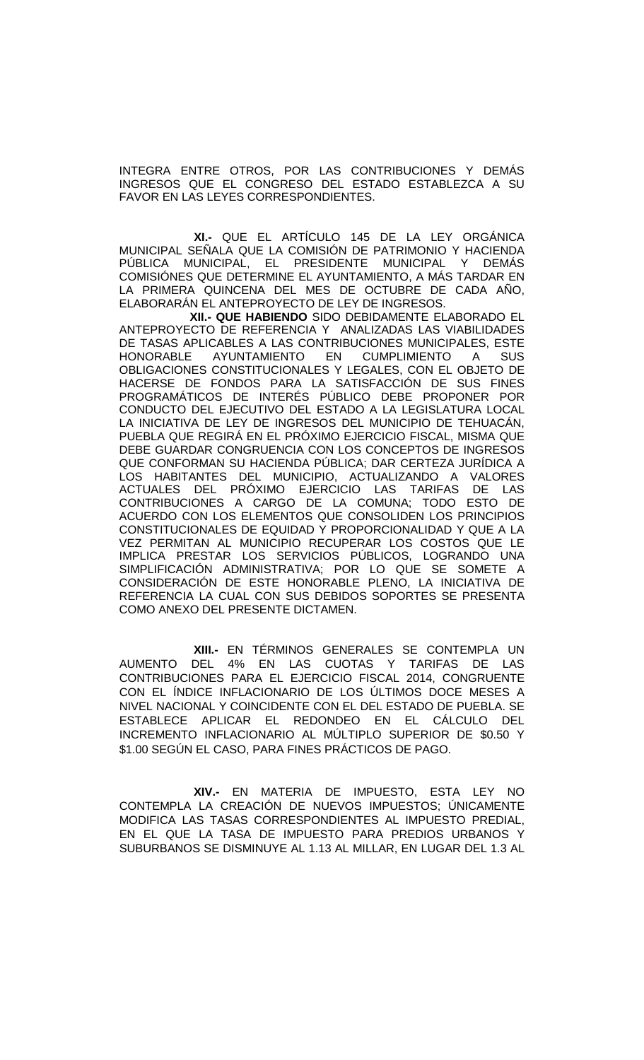INTEGRA ENTRE OTROS, POR LAS CONTRIBUCIONES Y DEMÁS INGRESOS QUE EL CONGRESO DEL ESTADO ESTABLEZCA A SU FAVOR EN LAS LEYES CORRESPONDIENTES.

**XI.-** QUE EL ARTÍCULO 145 DE LA LEY ORGÁNICA MUNICIPAL SEÑALA QUE LA COMISIÓN DE PATRIMONIO Y HACIENDA PÚBLICA MUNICIPAL, EL PRESIDENTE MUNICIPAL Y DEMÁS COMISIÓNES QUE DETERMINE EL AYUNTAMIENTO, A MÁS TARDAR EN LA PRIMERA QUINCENA DEL MES DE OCTUBRE DE CADA AÑO, ELABORARÁN EL ANTEPROYECTO DE LEY DE INGRESOS.

 **XII.- QUE HABIENDO** SIDO DEBIDAMENTE ELABORADO EL ANTEPROYECTO DE REFERENCIA Y ANALIZADAS LAS VIABILIDADES DE TASAS APLICABLES A LAS CONTRIBUCIONES MUNICIPALES, ESTE<br>HONORABLE AYUNTAMIENTO EN CUMPLIMIENTO A SUS HONORABLE AYUNTAMIENTO EN CUMPLIMIENTO A SUS OBLIGACIONES CONSTITUCIONALES Y LEGALES, CON EL OBJETO DE HACERSE DE FONDOS PARA LA SATISFACCIÓN DE SUS FINES PROGRAMÁTICOS DE INTERÉS PÚBLICO DEBE PROPONER POR CONDUCTO DEL EJECUTIVO DEL ESTADO A LA LEGISLATURA LOCAL LA INICIATIVA DE LEY DE INGRESOS DEL MUNICIPIO DE TEHUACÁN, PUEBLA QUE REGIRÁ EN EL PRÓXIMO EJERCICIO FISCAL, MISMA QUE DEBE GUARDAR CONGRUENCIA CON LOS CONCEPTOS DE INGRESOS QUE CONFORMAN SU HACIENDA PÚBLICA; DAR CERTEZA JURÍDICA A LOS HABITANTES DEL MUNICIPIO, ACTUALIZANDO A VALORES ACTUALES DEL PRÓXIMO EJERCICIO LAS TARIFAS DE LAS CONTRIBUCIONES A CARGO DE LA COMUNA; TODO ESTO DE ACUERDO CON LOS ELEMENTOS QUE CONSOLIDEN LOS PRINCIPIOS CONSTITUCIONALES DE EQUIDAD Y PROPORCIONALIDAD Y QUE A LA VEZ PERMITAN AL MUNICIPIO RECUPERAR LOS COSTOS QUE LE IMPLICA PRESTAR LOS SERVICIOS PÚBLICOS, LOGRANDO UNA SIMPLIFICACIÓN ADMINISTRATIVA; POR LO QUE SE SOMETE A CONSIDERACIÓN DE ESTE HONORABLE PLENO, LA INICIATIVA DE REFERENCIA LA CUAL CON SUS DEBIDOS SOPORTES SE PRESENTA COMO ANEXO DEL PRESENTE DICTAMEN.

**XIII.-** EN TÉRMINOS GENERALES SE CONTEMPLA UN AUMENTO DEL 4% EN LAS CUOTAS Y TARIFAS DE LAS CONTRIBUCIONES PARA EL EJERCICIO FISCAL 2014, CONGRUENTE CON EL ÍNDICE INFLACIONARIO DE LOS ÚLTIMOS DOCE MESES A NIVEL NACIONAL Y COINCIDENTE CON EL DEL ESTADO DE PUEBLA. SE ESTABLECE APLICAR EL REDONDEO EN EL CÁLCULO DEL INCREMENTO INFLACIONARIO AL MÚLTIPLO SUPERIOR DE \$0.50 Y \$1.00 SEGÚN EL CASO, PARA FINES PRÁCTICOS DE PAGO.

**XIV.-** EN MATERIA DE IMPUESTO, ESTA LEY NO CONTEMPLA LA CREACIÓN DE NUEVOS IMPUESTOS; ÚNICAMENTE MODIFICA LAS TASAS CORRESPONDIENTES AL IMPUESTO PREDIAL, EN EL QUE LA TASA DE IMPUESTO PARA PREDIOS URBANOS Y SUBURBANOS SE DISMINUYE AL 1.13 AL MILLAR, EN LUGAR DEL 1.3 AL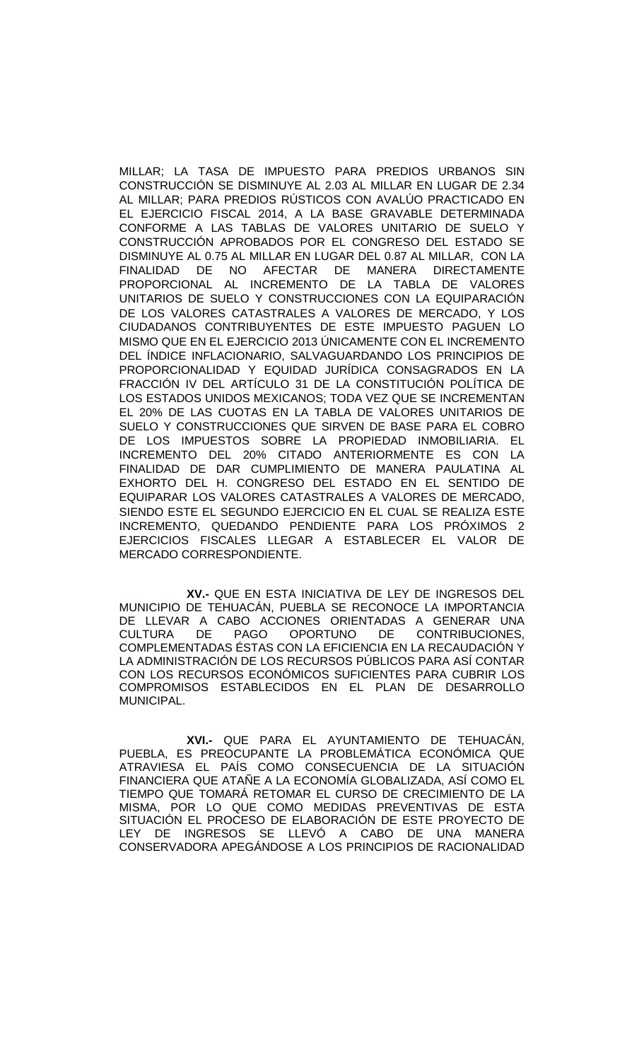MILLAR; LA TASA DE IMPUESTO PARA PREDIOS URBANOS SIN CONSTRUCCIÓN SE DISMINUYE AL 2.03 AL MILLAR EN LUGAR DE 2.34 AL MILLAR; PARA PREDIOS RÚSTICOS CON AVALÚO PRACTICADO EN EL EJERCICIO FISCAL 2014, A LA BASE GRAVABLE DETERMINADA CONFORME A LAS TABLAS DE VALORES UNITARIO DE SUELO Y CONSTRUCCIÓN APROBADOS POR EL CONGRESO DEL ESTADO SE DISMINUYE AL 0.75 AL MILLAR EN LUGAR DEL 0.87 AL MILLAR, CON LA<br>FINALIDAD DE NO AFECTAR DE MANERA DIRECTAMENTE AFECTAR DE MANERA DIRECTAMENTE PROPORCIONAL AL INCREMENTO DE LA TABLA DE VALORES UNITARIOS DE SUELO Y CONSTRUCCIONES CON LA EQUIPARACIÓN DE LOS VALORES CATASTRALES A VALORES DE MERCADO, Y LOS CIUDADANOS CONTRIBUYENTES DE ESTE IMPUESTO PAGUEN LO MISMO QUE EN EL EJERCICIO 2013 ÚNICAMENTE CON EL INCREMENTO DEL ÍNDICE INFLACIONARIO, SALVAGUARDANDO LOS PRINCIPIOS DE PROPORCIONALIDAD Y EQUIDAD JURÍDICA CONSAGRADOS EN LA FRACCIÓN IV DEL ARTÍCULO 31 DE LA CONSTITUCIÓN POLÍTICA DE LOS ESTADOS UNIDOS MEXICANOS; TODA VEZ QUE SE INCREMENTAN EL 20% DE LAS CUOTAS EN LA TABLA DE VALORES UNITARIOS DE SUELO Y CONSTRUCCIONES QUE SIRVEN DE BASE PARA EL COBRO DE LOS IMPUESTOS SOBRE LA PROPIEDAD INMOBILIARIA. EL INCREMENTO DEL 20% CITADO ANTERIORMENTE ES CON LA FINALIDAD DE DAR CUMPLIMIENTO DE MANERA PAULATINA AL EXHORTO DEL H. CONGRESO DEL ESTADO EN EL SENTIDO DE EQUIPARAR LOS VALORES CATASTRALES A VALORES DE MERCADO, SIENDO ESTE EL SEGUNDO EJERCICIO EN EL CUAL SE REALIZA ESTE INCREMENTO, QUEDANDO PENDIENTE PARA LOS PRÓXIMOS 2 EJERCICIOS FISCALES LLEGAR A ESTABLECER EL VALOR DE MERCADO CORRESPONDIENTE.

 **XV.-** QUE EN ESTA INICIATIVA DE LEY DE INGRESOS DEL MUNICIPIO DE TEHUACÁN, PUEBLA SE RECONOCE LA IMPORTANCIA DE LLEVAR A CABO ACCIONES ORIENTADAS A GENERAR UNA CULTURA DE PAGO OPORTUNO DE CONTRIBUCIONES, COMPLEMENTADAS ÉSTAS CON LA EFICIENCIA EN LA RECAUDACIÓN Y LA ADMINISTRACIÓN DE LOS RECURSOS PÚBLICOS PARA ASÍ CONTAR CON LOS RECURSOS ECONÓMICOS SUFICIENTES PARA CUBRIR LOS COMPROMISOS ESTABLECIDOS EN EL PLAN DE DESARROLLO MUNICIPAL.

 **XVI.-** QUE PARA EL AYUNTAMIENTO DE TEHUACÁN, PUEBLA, ES PREOCUPANTE LA PROBLEMÁTICA ECONÓMICA QUE ATRAVIESA EL PAÍS COMO CONSECUENCIA DE LA SITUACIÓN FINANCIERA QUE ATAÑE A LA ECONOMÍA GLOBALIZADA, ASÍ COMO EL TIEMPO QUE TOMARÁ RETOMAR EL CURSO DE CRECIMIENTO DE LA MISMA, POR LO QUE COMO MEDIDAS PREVENTIVAS DE ESTA SITUACIÓN EL PROCESO DE ELABORACIÓN DE ESTE PROYECTO DE LEY DE INGRESOS SE LLEVÓ A CABO DE UNA MANERA CONSERVADORA APEGÁNDOSE A LOS PRINCIPIOS DE RACIONALIDAD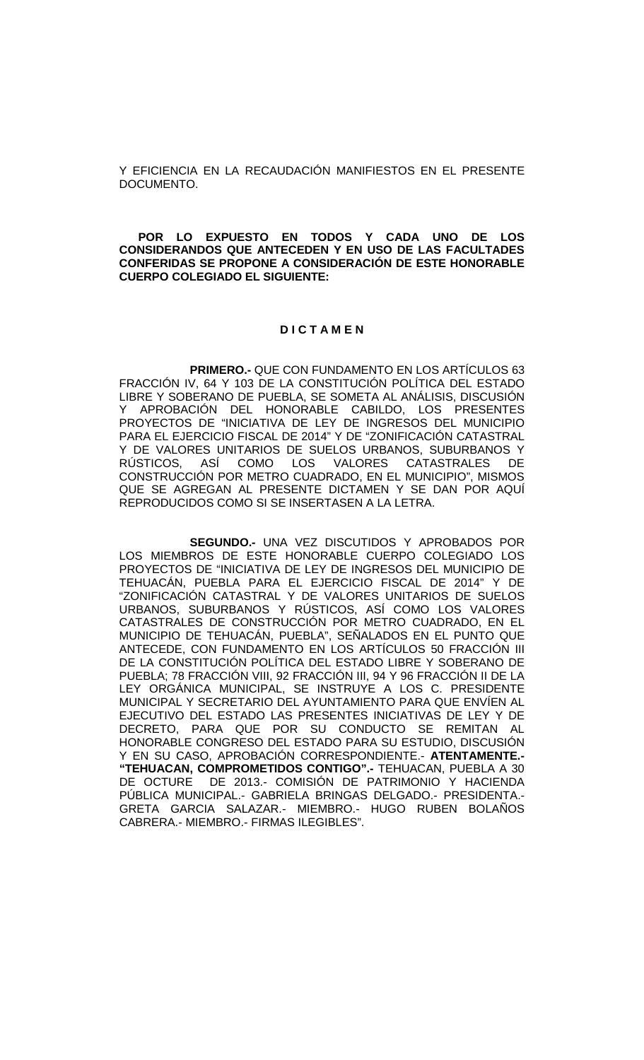Y EFICIENCIA EN LA RECAUDACIÓN MANIFIESTOS EN EL PRESENTE DOCUMENTO.

**POR LO EXPUESTO EN TODOS Y CADA UNO DE LOS CONSIDERANDOS QUE ANTECEDEN Y EN USO DE LAS FACULTADES CONFERIDAS SE PROPONE A CONSIDERACIÓN DE ESTE HONORABLE CUERPO COLEGIADO EL SIGUIENTE:**

### **D I C T A M E N**

 **PRIMERO.-** QUE CON FUNDAMENTO EN LOS ARTÍCULOS 63 FRACCIÓN IV, 64 Y 103 DE LA CONSTITUCIÓN POLÍTICA DEL ESTADO LIBRE Y SOBERANO DE PUEBLA, SE SOMETA AL ANÁLISIS, DISCUSIÓN Y APROBACIÓN DEL HONORABLE CABILDO, LOS PRESENTES PROYECTOS DE "INICIATIVA DE LEY DE INGRESOS DEL MUNICIPIO PARA EL EJERCICIO FISCAL DE 2014" Y DE "ZONIFICACIÓN CATASTRAL Y DE VALORES UNITARIOS DE SUELOS URBANOS, SUBURBANOS Y<br>RÚSTICOS, ASÍ COMO LOS VALORES CATASTRALES DE VALORES CATASTRALES CONSTRUCCIÓN POR METRO CUADRADO, EN EL MUNICIPIO", MISMOS QUE SE AGREGAN AL PRESENTE DICTAMEN Y SE DAN POR AQUÍ REPRODUCIDOS COMO SI SE INSERTASEN A LA LETRA.

 **SEGUNDO.-** UNA VEZ DISCUTIDOS Y APROBADOS POR LOS MIEMBROS DE ESTE HONORABLE CUERPO COLEGIADO LOS PROYECTOS DE "INICIATIVA DE LEY DE INGRESOS DEL MUNICIPIO DE TEHUACÁN, PUEBLA PARA EL EJERCICIO FISCAL DE 2014" Y DE "ZONIFICACIÓN CATASTRAL Y DE VALORES UNITARIOS DE SUELOS URBANOS, SUBURBANOS Y RÚSTICOS, ASÍ COMO LOS VALORES CATASTRALES DE CONSTRUCCIÓN POR METRO CUADRADO, EN EL MUNICIPIO DE TEHUACÁN, PUEBLA", SEÑALADOS EN EL PUNTO QUE ANTECEDE, CON FUNDAMENTO EN LOS ARTÍCULOS 50 FRACCIÓN III DE LA CONSTITUCIÓN POLÍTICA DEL ESTADO LIBRE Y SOBERANO DE PUEBLA; 78 FRACCIÓN VIII, 92 FRACCIÓN III, 94 Y 96 FRACCIÓN II DE LA LEY ORGÁNICA MUNICIPAL, SE INSTRUYE A LOS C. PRESIDENTE MUNICIPAL Y SECRETARIO DEL AYUNTAMIENTO PARA QUE ENVÍEN AL EJECUTIVO DEL ESTADO LAS PRESENTES INICIATIVAS DE LEY Y DE DECRETO, PARA QUE POR SU CONDUCTO SE REMITAN AL HONORABLE CONGRESO DEL ESTADO PARA SU ESTUDIO, DISCUSIÓN Y EN SU CASO, APROBACIÓN CORRESPONDIENTE.- **ATENTAMENTE.- "TEHUACAN, COMPROMETIDOS CONTIGO".-** TEHUACAN, PUEBLA A 30 DE OCTURE DE 2013.- COMISIÓN DE PATRIMONIO Y HACIENDA PÚBLICA MUNICIPAL.- GABRIELA BRINGAS DELGADO.- PRESIDENTA.- GRETA GARCIA SALAZAR.- MIEMBRO.- HUGO RUBEN BOLAÑOS CABRERA.- MIEMBRO.- FIRMAS ILEGIBLES".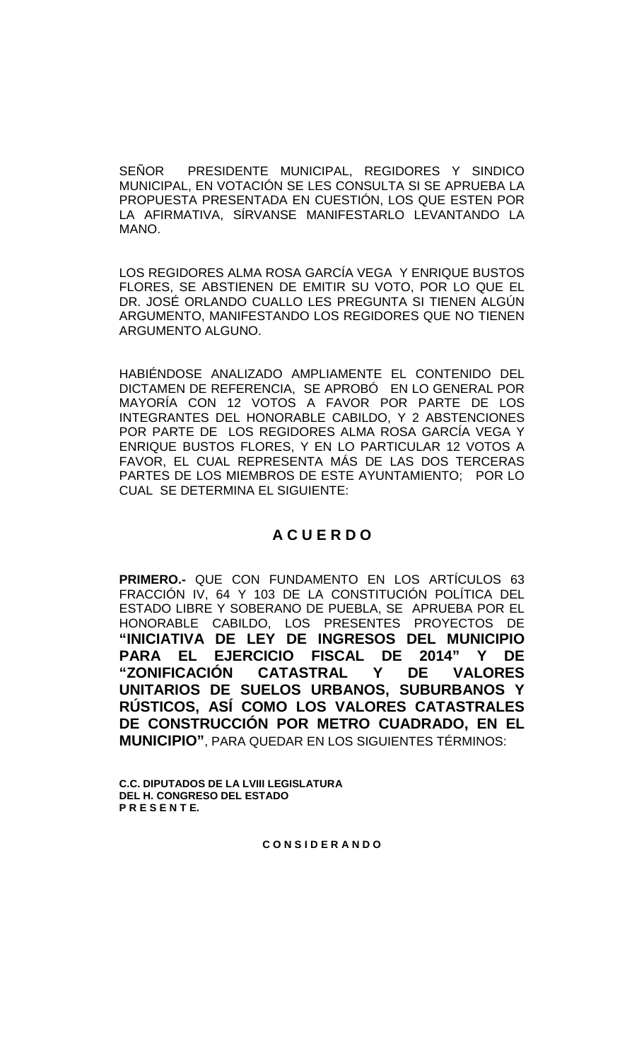SEÑOR PRESIDENTE MUNICIPAL, REGIDORES Y SINDICO MUNICIPAL, EN VOTACIÓN SE LES CONSULTA SI SE APRUEBA LA PROPUESTA PRESENTADA EN CUESTIÓN, LOS QUE ESTEN POR LA AFIRMATIVA, SÍRVANSE MANIFESTARLO LEVANTANDO LA MANO.

LOS REGIDORES ALMA ROSA GARCÍA VEGA Y ENRIQUE BUSTOS FLORES, SE ABSTIENEN DE EMITIR SU VOTO, POR LO QUE EL DR. JOSÉ ORLANDO CUALLO LES PREGUNTA SI TIENEN ALGÚN ARGUMENTO, MANIFESTANDO LOS REGIDORES QUE NO TIENEN ARGUMENTO ALGUNO.

HABIÉNDOSE ANALIZADO AMPLIAMENTE EL CONTENIDO DEL DICTAMEN DE REFERENCIA, SE APROBO EN LO GENERAL POR MAYORÍA CON 12 VOTOS A FAVOR POR PARTE DE LOS INTEGRANTES DEL HONORABLE CABILDO, Y 2 ABSTENCIONES POR PARTE DE LOS REGIDORES ALMA ROSA GARCÍA VEGA Y ENRIQUE BUSTOS FLORES, Y EN LO PARTICULAR 12 VOTOS A FAVOR, EL CUAL REPRESENTA MÁS DE LAS DOS TERCERAS PARTES DE LOS MIEMBROS DE ESTE AYUNTAMIENTO; POR LO CUAL SE DETERMINA EL SIGUIENTE:

# **A C U E R D O**

**PRIMERO.-** QUE CON FUNDAMENTO EN LOS ARTÍCULOS 63 FRACCIÓN IV, 64 Y 103 DE LA CONSTITUCIÓN POLÍTICA DEL ESTADO LIBRE Y SOBERANO DE PUEBLA, SE APRUEBA POR EL HONORABLE CABILDO, LOS PRESENTES PROYECTOS DE **"INICIATIVA DE LEY DE INGRESOS DEL MUNICIPIO PARA EL EJERCICIO FISCAL DE 2014" Y DE "ZONIFICACIÓN CATASTRAL Y DE VALORES UNITARIOS DE SUELOS URBANOS, SUBURBANOS Y RÚSTICOS, ASÍ COMO LOS VALORES CATASTRALES DE CONSTRUCCIÓN POR METRO CUADRADO, EN EL MUNICIPIO"**, PARA QUEDAR EN LOS SIGUIENTES TÉRMINOS:

**C.C. DIPUTADOS DE LA LVIII LEGISLATURA DEL H. CONGRESO DEL ESTADO P R E S E N T E.**

**C O N S I D E R A N D O**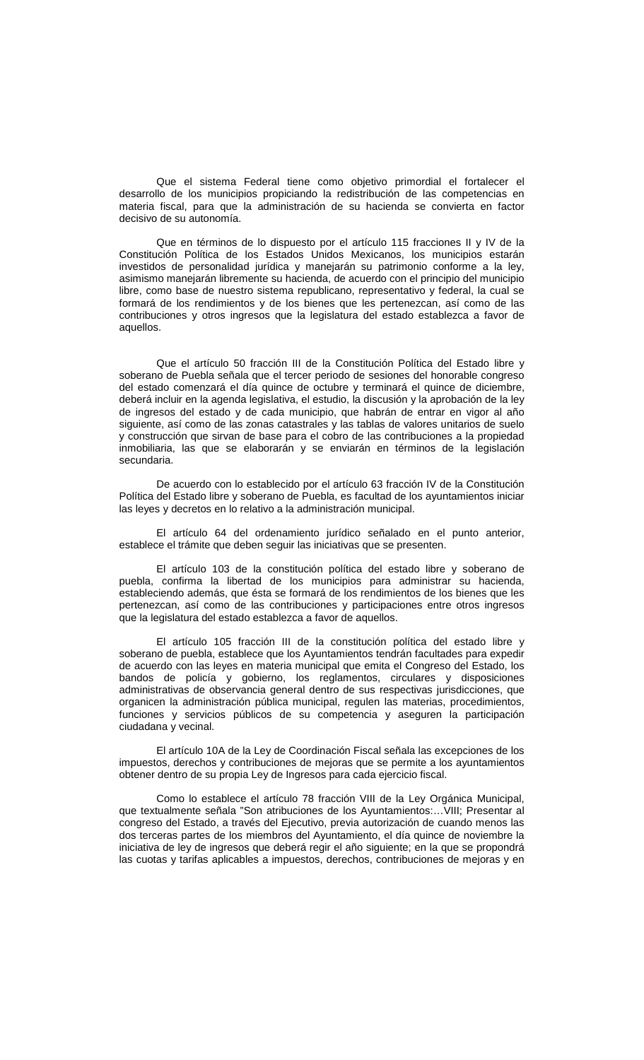Que el sistema Federal tiene como objetivo primordial el fortalecer el desarrollo de los municipios propiciando la redistribución de las competencias en materia fiscal, para que la administración de su hacienda se convierta en factor decisivo de su autonomía.

Que en términos de lo dispuesto por el artículo 115 fracciones II y IV de la Constitución Política de los Estados Unidos Mexicanos, los municipios estarán investidos de personalidad jurídica y manejarán su patrimonio conforme a la ley, asimismo manejarán libremente su hacienda, de acuerdo con el principio del municipio libre, como base de nuestro sistema republicano, representativo y federal, la cual se formará de los rendimientos y de los bienes que les pertenezcan, así como de las contribuciones y otros ingresos que la legislatura del estado establezca a favor de aquellos.

Que el artículo 50 fracción III de la Constitución Política del Estado libre y soberano de Puebla señala que el tercer periodo de sesiones del honorable congreso del estado comenzará el día quince de octubre y terminará el quince de diciembre, deberá incluir en la agenda legislativa, el estudio, la discusión y la aprobación de la ley de ingresos del estado y de cada municipio, que habrán de entrar en vigor al año siguiente, así como de las zonas catastrales y las tablas de valores unitarios de suelo y construcción que sirvan de base para el cobro de las contribuciones a la propiedad inmobiliaria, las que se elaborarán y se enviarán en términos de la legislación secundaria.

De acuerdo con lo establecido por el artículo 63 fracción IV de la Constitución Política del Estado libre y soberano de Puebla, es facultad de los ayuntamientos iniciar las leyes y decretos en lo relativo a la administración municipal.

El artículo 64 del ordenamiento jurídico señalado en el punto anterior, establece el trámite que deben seguir las iniciativas que se presenten.

El artículo 103 de la constitución política del estado libre y soberano de puebla, confirma la libertad de los municipios para administrar su hacienda, estableciendo además, que ésta se formará de los rendimientos de los bienes que les pertenezcan, así como de las contribuciones y participaciones entre otros ingresos que la legislatura del estado establezca a favor de aquellos.

El artículo 105 fracción III de la constitución política del estado libre y soberano de puebla, establece que los Ayuntamientos tendrán facultades para expedir de acuerdo con las leyes en materia municipal que emita el Congreso del Estado, los bandos de policía y gobierno, los reglamentos, circulares y disposiciones administrativas de observancia general dentro de sus respectivas jurisdicciones, que organicen la administración pública municipal, regulen las materias, procedimientos, funciones y servicios públicos de su competencia y aseguren la participación ciudadana y vecinal.

El artículo 10A de la Ley de Coordinación Fiscal señala las excepciones de los impuestos, derechos y contribuciones de mejoras que se permite a los ayuntamientos obtener dentro de su propia Ley de Ingresos para cada ejercicio fiscal.

Como lo establece el artículo 78 fracción VIII de la Ley Orgánica Municipal, que textualmente señala "Son atribuciones de los Ayuntamientos:…VIII; Presentar al congreso del Estado, a través del Ejecutivo, previa autorización de cuando menos las dos terceras partes de los miembros del Ayuntamiento, el día quince de noviembre la iniciativa de ley de ingresos que deberá regir el año siguiente; en la que se propondrá las cuotas y tarifas aplicables a impuestos, derechos, contribuciones de mejoras y en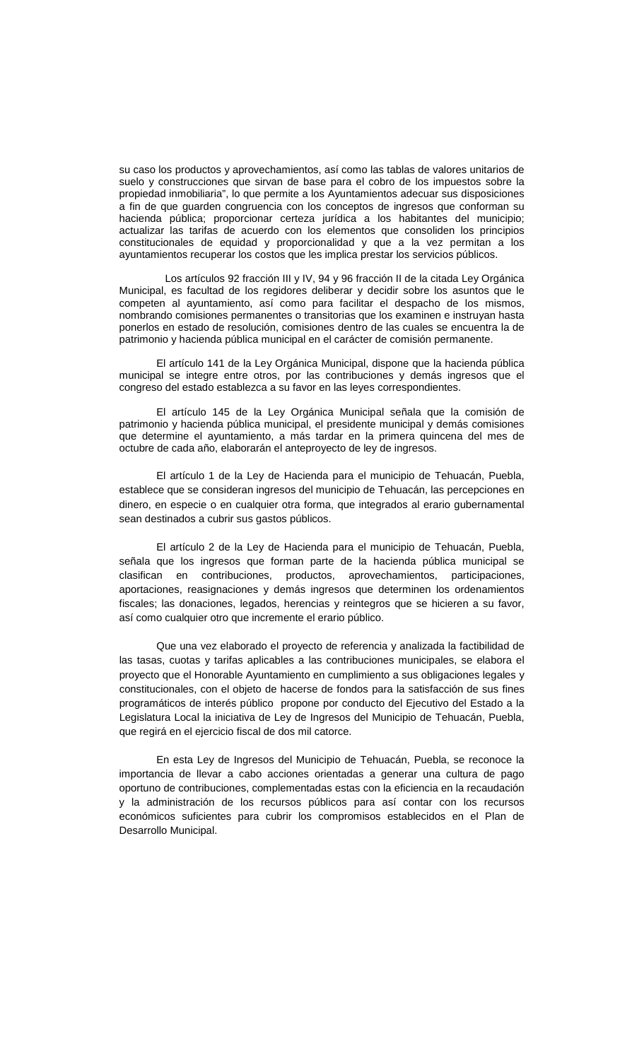su caso los productos y aprovechamientos, así como las tablas de valores unitarios de suelo y construcciones que sirvan de base para el cobro de los impuestos sobre la propiedad inmobiliaria", lo que permite a los Ayuntamientos adecuar sus disposiciones a fin de que guarden congruencia con los conceptos de ingresos que conforman su hacienda pública; proporcionar certeza jurídica a los habitantes del municipio; actualizar las tarifas de acuerdo con los elementos que consoliden los principios constitucionales de equidad y proporcionalidad y que a la vez permitan a los ayuntamientos recuperar los costos que les implica prestar los servicios públicos.

 Los artículos 92 fracción III y IV, 94 y 96 fracción II de la citada Ley Orgánica Municipal, es facultad de los regidores deliberar y decidir sobre los asuntos que le competen al ayuntamiento, así como para facilitar el despacho de los mismos, nombrando comisiones permanentes o transitorias que los examinen e instruyan hasta ponerlos en estado de resolución, comisiones dentro de las cuales se encuentra la de patrimonio y hacienda pública municipal en el carácter de comisión permanente.

El artículo 141 de la Ley Orgánica Municipal, dispone que la hacienda pública municipal se integre entre otros, por las contribuciones y demás ingresos que el congreso del estado establezca a su favor en las leyes correspondientes.

El artículo 145 de la Ley Orgánica Municipal señala que la comisión de patrimonio y hacienda pública municipal, el presidente municipal y demás comisiones que determine el ayuntamiento, a más tardar en la primera quincena del mes de octubre de cada año, elaborarán el anteproyecto de ley de ingresos.

El artículo 1 de la Ley de Hacienda para el municipio de Tehuacán, Puebla, establece que se consideran ingresos del municipio de Tehuacán, las percepciones en dinero, en especie o en cualquier otra forma, que integrados al erario gubernamental sean destinados a cubrir sus gastos públicos.

El artículo 2 de la Ley de Hacienda para el municipio de Tehuacán, Puebla, señala que los ingresos que forman parte de la hacienda pública municipal se clasifican en contribuciones, productos, aprovechamientos, participaciones, aportaciones, reasignaciones y demás ingresos que determinen los ordenamientos fiscales; las donaciones, legados, herencias y reintegros que se hicieren a su favor, así como cualquier otro que incremente el erario público.

Que una vez elaborado el proyecto de referencia y analizada la factibilidad de las tasas, cuotas y tarifas aplicables a las contribuciones municipales, se elabora el proyecto que el Honorable Ayuntamiento en cumplimiento a sus obligaciones legales y constitucionales, con el objeto de hacerse de fondos para la satisfacción de sus fines programáticos de interés público propone por conducto del Ejecutivo del Estado a la Legislatura Local la iniciativa de Ley de Ingresos del Municipio de Tehuacán, Puebla, que regirá en el ejercicio fiscal de dos mil catorce.

En esta Ley de Ingresos del Municipio de Tehuacán, Puebla, se reconoce la importancia de llevar a cabo acciones orientadas a generar una cultura de pago oportuno de contribuciones, complementadas estas con la eficiencia en la recaudación y la administración de los recursos públicos para así contar con los recursos económicos suficientes para cubrir los compromisos establecidos en el Plan de Desarrollo Municipal.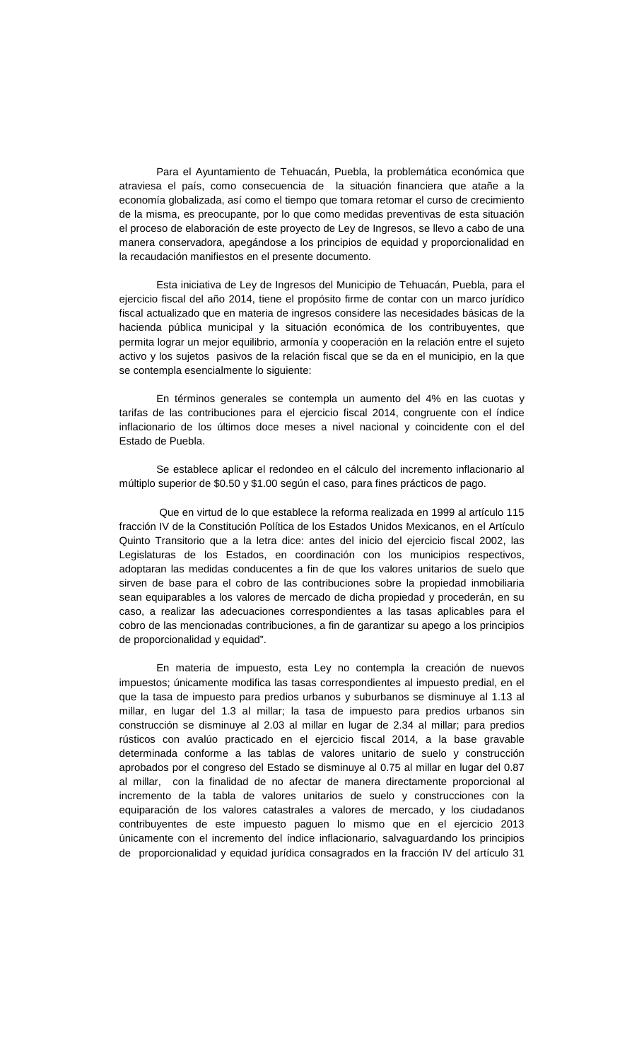Para el Ayuntamiento de Tehuacán, Puebla, la problemática económica que atraviesa el país, como consecuencia de la situación financiera que atañe a la economía globalizada, así como el tiempo que tomara retomar el curso de crecimiento de la misma, es preocupante, por lo que como medidas preventivas de esta situación el proceso de elaboración de este proyecto de Ley de Ingresos, se llevo a cabo de una manera conservadora, apegándose a los principios de equidad y proporcionalidad en la recaudación manifiestos en el presente documento.

Esta iniciativa de Ley de Ingresos del Municipio de Tehuacán, Puebla, para el ejercicio fiscal del año 2014, tiene el propósito firme de contar con un marco jurídico fiscal actualizado que en materia de ingresos considere las necesidades básicas de la hacienda pública municipal y la situación económica de los contribuyentes, que permita lograr un mejor equilibrio, armonía y cooperación en la relación entre el sujeto activo y los sujetos pasivos de la relación fiscal que se da en el municipio, en la que se contempla esencialmente lo siguiente:

En términos generales se contempla un aumento del 4% en las cuotas y tarifas de las contribuciones para el ejercicio fiscal 2014, congruente con el índice inflacionario de los últimos doce meses a nivel nacional y coincidente con el del Estado de Puebla.

Se establece aplicar el redondeo en el cálculo del incremento inflacionario al múltiplo superior de \$0.50 y \$1.00 según el caso, para fines prácticos de pago.

Que en virtud de lo que establece la reforma realizada en 1999 al artículo 115 fracción IV de la Constitución Política de los Estados Unidos Mexicanos, en el Artículo Quinto Transitorio que a la letra dice: antes del inicio del ejercicio fiscal 2002, las Legislaturas de los Estados, en coordinación con los municipios respectivos, adoptaran las medidas conducentes a fin de que los valores unitarios de suelo que sirven de base para el cobro de las contribuciones sobre la propiedad inmobiliaria sean equiparables a los valores de mercado de dicha propiedad y procederán, en su caso, a realizar las adecuaciones correspondientes a las tasas aplicables para el cobro de las mencionadas contribuciones, a fin de garantizar su apego a los principios de proporcionalidad y equidad".

En materia de impuesto, esta Ley no contempla la creación de nuevos impuestos; únicamente modifica las tasas correspondientes al impuesto predial, en el que la tasa de impuesto para predios urbanos y suburbanos se disminuye al 1.13 al millar, en lugar del 1.3 al millar; la tasa de impuesto para predios urbanos sin construcción se disminuye al 2.03 al millar en lugar de 2.34 al millar; para predios rústicos con avalúo practicado en el ejercicio fiscal 2014, a la base gravable determinada conforme a las tablas de valores unitario de suelo y construcción aprobados por el congreso del Estado se disminuye al 0.75 al millar en lugar del 0.87 al millar, con la finalidad de no afectar de manera directamente proporcional al incremento de la tabla de valores unitarios de suelo y construcciones con la equiparación de los valores catastrales a valores de mercado, y los ciudadanos contribuyentes de este impuesto paguen lo mismo que en el ejercicio 2013 únicamente con el incremento del índice inflacionario, salvaguardando los principios de proporcionalidad y equidad jurídica consagrados en la fracción IV del artículo 31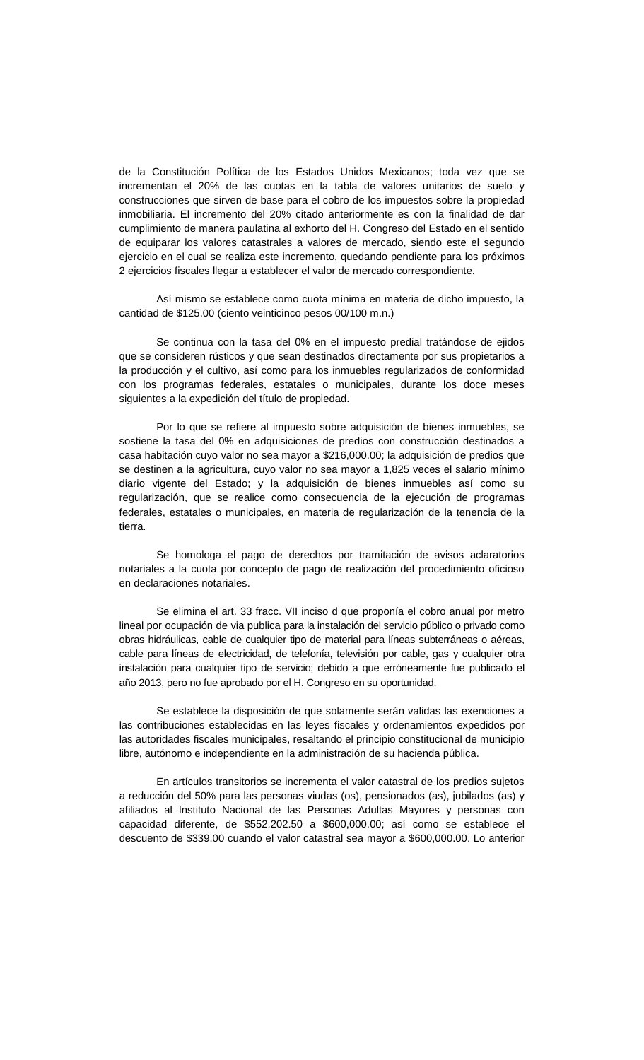de la Constitución Política de los Estados Unidos Mexicanos; toda vez que se incrementan el 20% de las cuotas en la tabla de valores unitarios de suelo y construcciones que sirven de base para el cobro de los impuestos sobre la propiedad inmobiliaria. El incremento del 20% citado anteriormente es con la finalidad de dar cumplimiento de manera paulatina al exhorto del H. Congreso del Estado en el sentido de equiparar los valores catastrales a valores de mercado, siendo este el segundo ejercicio en el cual se realiza este incremento, quedando pendiente para los próximos 2 ejercicios fiscales llegar a establecer el valor de mercado correspondiente.

Así mismo se establece como cuota mínima en materia de dicho impuesto, la cantidad de \$125.00 (ciento veinticinco pesos 00/100 m.n.)

Se continua con la tasa del 0% en el impuesto predial tratándose de ejidos que se consideren rústicos y que sean destinados directamente por sus propietarios a la producción y el cultivo, así como para los inmuebles regularizados de conformidad con los programas federales, estatales o municipales, durante los doce meses siguientes a la expedición del título de propiedad.

Por lo que se refiere al impuesto sobre adquisición de bienes inmuebles, se sostiene la tasa del 0% en adquisiciones de predios con construcción destinados a casa habitación cuyo valor no sea mayor a \$216,000.00; la adquisición de predios que se destinen a la agricultura, cuyo valor no sea mayor a 1,825 veces el salario mínimo diario vigente del Estado; y la adquisición de bienes inmuebles así como su regularización, que se realice como consecuencia de la ejecución de programas federales, estatales o municipales, en materia de regularización de la tenencia de la tierra.

Se homologa el pago de derechos por tramitación de avisos aclaratorios notariales a la cuota por concepto de pago de realización del procedimiento oficioso en declaraciones notariales.

Se elimina el art. 33 fracc. VII inciso d que proponía el cobro anual por metro lineal por ocupación de via publica para la instalación del servicio público o privado como obras hidráulicas, cable de cualquier tipo de material para líneas subterráneas o aéreas, cable para líneas de electricidad, de telefonía, televisión por cable, gas y cualquier otra instalación para cualquier tipo de servicio; debido a que erróneamente fue publicado el año 2013, pero no fue aprobado por el H. Congreso en su oportunidad.

Se establece la disposición de que solamente serán validas las exenciones a las contribuciones establecidas en las leyes fiscales y ordenamientos expedidos por las autoridades fiscales municipales, resaltando el principio constitucional de municipio libre, autónomo e independiente en la administración de su hacienda pública.

En artículos transitorios se incrementa el valor catastral de los predios sujetos a reducción del 50% para las personas viudas (os), pensionados (as), jubilados (as) y afiliados al Instituto Nacional de las Personas Adultas Mayores y personas con capacidad diferente, de \$552,202.50 a \$600,000.00; así como se establece el descuento de \$339.00 cuando el valor catastral sea mayor a \$600,000.00. Lo anterior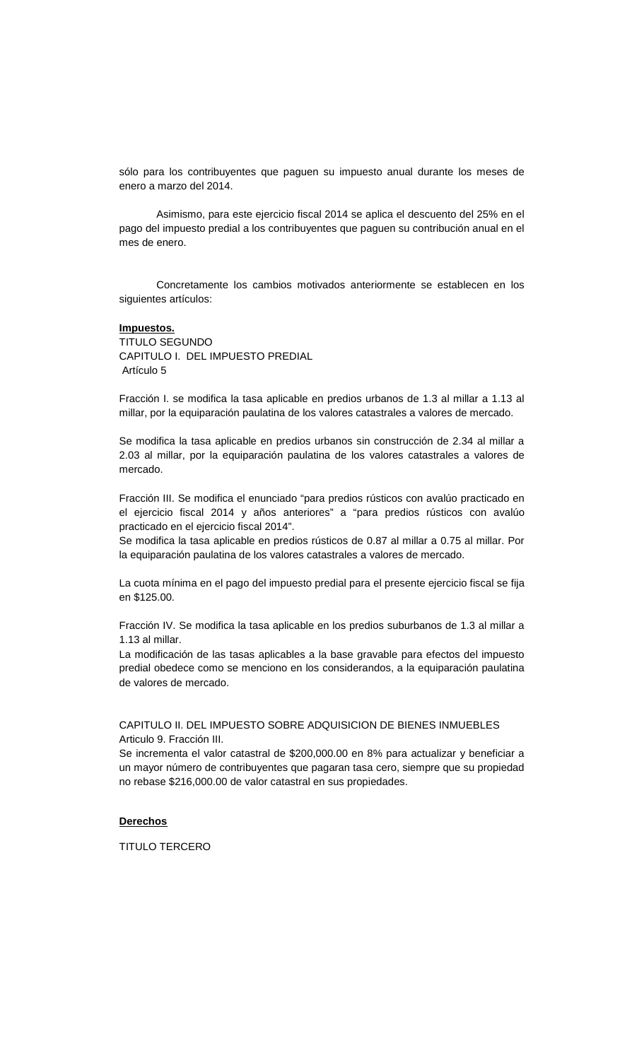sólo para los contribuyentes que paguen su impuesto anual durante los meses de enero a marzo del 2014.

Asimismo, para este ejercicio fiscal 2014 se aplica el descuento del 25% en el pago del impuesto predial a los contribuyentes que paguen su contribución anual en el mes de enero.

Concretamente los cambios motivados anteriormente se establecen en los siguientes artículos:

#### **Impuestos.**

TITULO SEGUNDO CAPITULO I. DEL IMPUESTO PREDIAL Artículo 5

Fracción I. se modifica la tasa aplicable en predios urbanos de 1.3 al millar a 1.13 al millar, por la equiparación paulatina de los valores catastrales a valores de mercado.

Se modifica la tasa aplicable en predios urbanos sin construcción de 2.34 al millar a 2.03 al millar, por la equiparación paulatina de los valores catastrales a valores de mercado.

Fracción III. Se modifica el enunciado "para predios rústicos con avalúo practicado en el ejercicio fiscal 2014 y años anteriores" a "para predios rústicos con avalúo practicado en el ejercicio fiscal 2014".

Se modifica la tasa aplicable en predios rústicos de 0.87 al millar a 0.75 al millar. Por la equiparación paulatina de los valores catastrales a valores de mercado.

La cuota mínima en el pago del impuesto predial para el presente ejercicio fiscal se fija en \$125.00.

Fracción IV. Se modifica la tasa aplicable en los predios suburbanos de 1.3 al millar a 1.13 al millar.

La modificación de las tasas aplicables a la base gravable para efectos del impuesto predial obedece como se menciono en los considerandos, a la equiparación paulatina de valores de mercado.

CAPITULO II. DEL IMPUESTO SOBRE ADQUISICION DE BIENES INMUEBLES Articulo 9. Fracción III.

Se incrementa el valor catastral de \$200,000.00 en 8% para actualizar y beneficiar a un mayor número de contribuyentes que pagaran tasa cero, siempre que su propiedad no rebase \$216,000.00 de valor catastral en sus propiedades.

### **Derechos**

TITULO TERCERO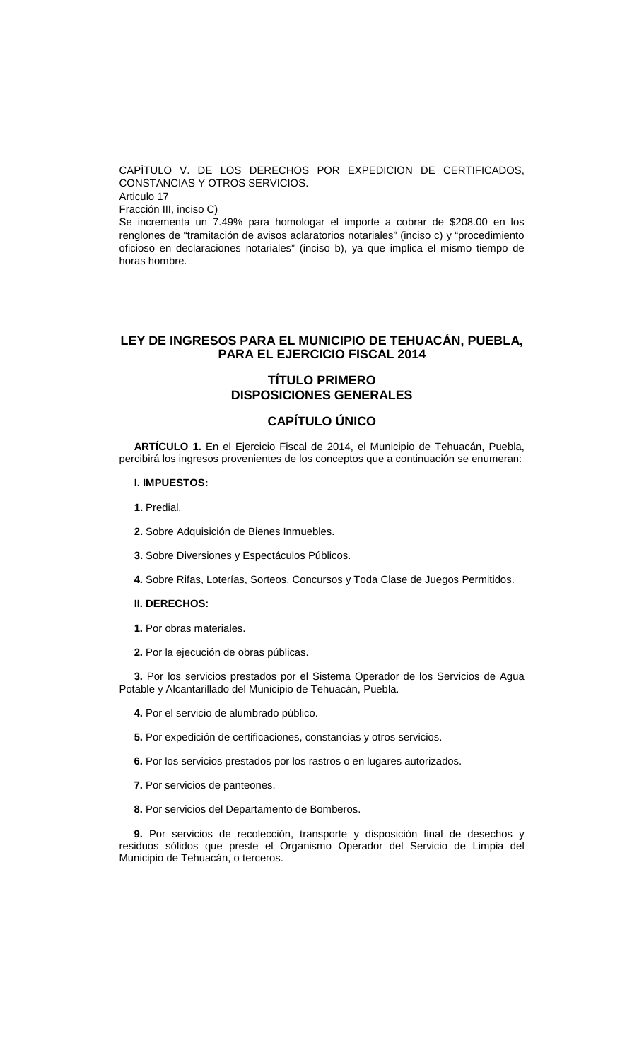CAPÍTULO V. DE LOS DERECHOS POR EXPEDICION DE CERTIFICADOS, CONSTANCIAS Y OTROS SERVICIOS. Articulo 17 Fracción III, inciso C)

Se incrementa un 7.49% para homologar el importe a cobrar de \$208.00 en los renglones de "tramitación de avisos aclaratorios notariales" (inciso c) y "procedimiento oficioso en declaraciones notariales" (inciso b), ya que implica el mismo tiempo de horas hombre.

### **LEY DE INGRESOS PARA EL MUNICIPIO DE TEHUACÁN, PUEBLA, PARA EL EJERCICIO FISCAL 2014**

# **TÍTULO PRIMERO DISPOSICIONES GENERALES**

# **CAPÍTULO ÚNICO**

**ARTÍCULO 1.** En el Ejercicio Fiscal de 2014, el Municipio de Tehuacán, Puebla, percibirá los ingresos provenientes de los conceptos que a continuación se enumeran:

#### **I. IMPUESTOS:**

- **1.** Predial.
- **2.** Sobre Adquisición de Bienes Inmuebles.
- **3.** Sobre Diversiones y Espectáculos Públicos.
- **4.** Sobre Rifas, Loterías, Sorteos, Concursos y Toda Clase de Juegos Permitidos.
- **II. DERECHOS:**
- **1.** Por obras materiales.
- **2.** Por la ejecución de obras públicas.

**3.** Por los servicios prestados por el Sistema Operador de los Servicios de Agua Potable y Alcantarillado del Municipio de Tehuacán, Puebla.

- **4.** Por el servicio de alumbrado público.
- **5.** Por expedición de certificaciones, constancias y otros servicios.
- **6.** Por los servicios prestados por los rastros o en lugares autorizados.
- **7.** Por servicios de panteones.
- **8.** Por servicios del Departamento de Bomberos.

**9.** Por servicios de recolección, transporte y disposición final de desechos y residuos sólidos que preste el Organismo Operador del Servicio de Limpia del Municipio de Tehuacán, o terceros.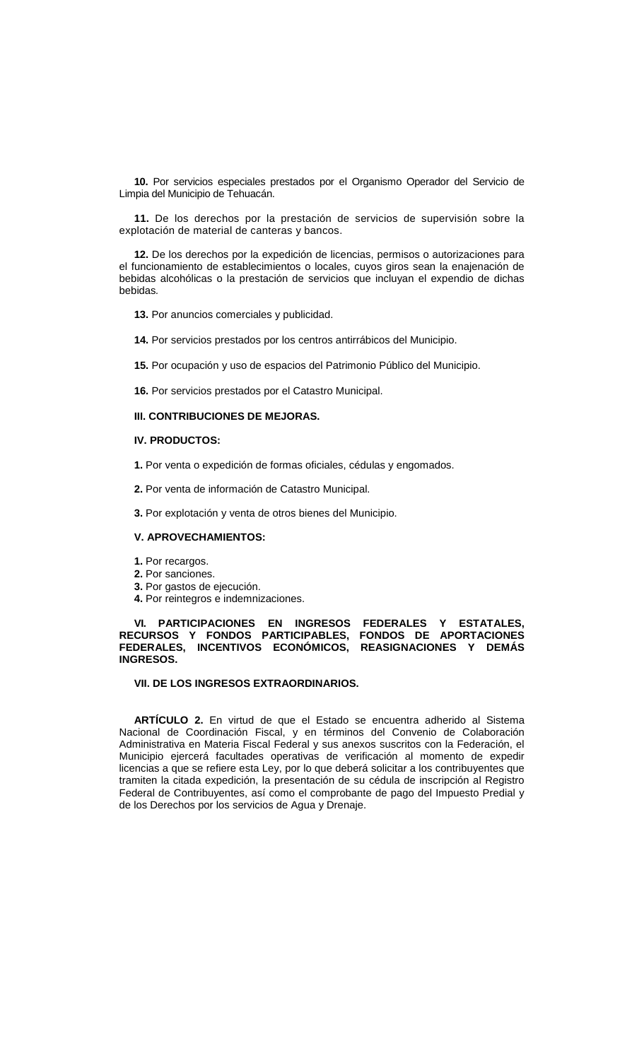**10.** Por servicios especiales prestados por el Organismo Operador del Servicio de Limpia del Municipio de Tehuacán.

**11.** De los derechos por la prestación de servicios de supervisión sobre la explotación de material de canteras y bancos.

**12.** De los derechos por la expedición de licencias, permisos o autorizaciones para el funcionamiento de establecimientos o locales, cuyos giros sean la enajenación de bebidas alcohólicas o la prestación de servicios que incluyan el expendio de dichas bebidas*.*

**13.** Por anuncios comerciales y publicidad.

**14.** Por servicios prestados por los centros antirrábicos del Municipio.

- **15.** Por ocupación y uso de espacios del Patrimonio Público del Municipio.
- **16.** Por servicios prestados por el Catastro Municipal.

#### **III. CONTRIBUCIONES DE MEJORAS.**

#### **IV. PRODUCTOS:**

**1.** Por venta o expedición de formas oficiales, cédulas y engomados.

**2.** Por venta de información de Catastro Municipal.

**3.** Por explotación y venta de otros bienes del Municipio.

#### **V. APROVECHAMIENTOS:**

- **1.** Por recargos.
- **2.** Por sanciones.
- **3.** Por gastos de ejecución.
- **4.** Por reintegros e indemnizaciones.

#### **VI. PARTICIPACIONES EN INGRESOS FEDERALES Y ESTATALES, RECURSOS Y FONDOS PARTICIPABLES, FONDOS DE APORTACIONES FEDERALES, INCENTIVOS ECONÓMICOS, REASIGNACIONES Y DEMÁS INGRESOS.**

#### **VII. DE LOS INGRESOS EXTRAORDINARIOS.**

**ARTÍCULO 2.** En virtud de que el Estado se encuentra adherido al Sistema Nacional de Coordinación Fiscal, y en términos del Convenio de Colaboración Administrativa en Materia Fiscal Federal y sus anexos suscritos con la Federación, el Municipio ejercerá facultades operativas de verificación al momento de expedir licencias a que se refiere esta Ley, por lo que deberá solicitar a los contribuyentes que tramiten la citada expedición, la presentación de su cédula de inscripción al Registro Federal de Contribuyentes, así como el comprobante de pago del Impuesto Predial y de los Derechos por los servicios de Agua y Drenaje.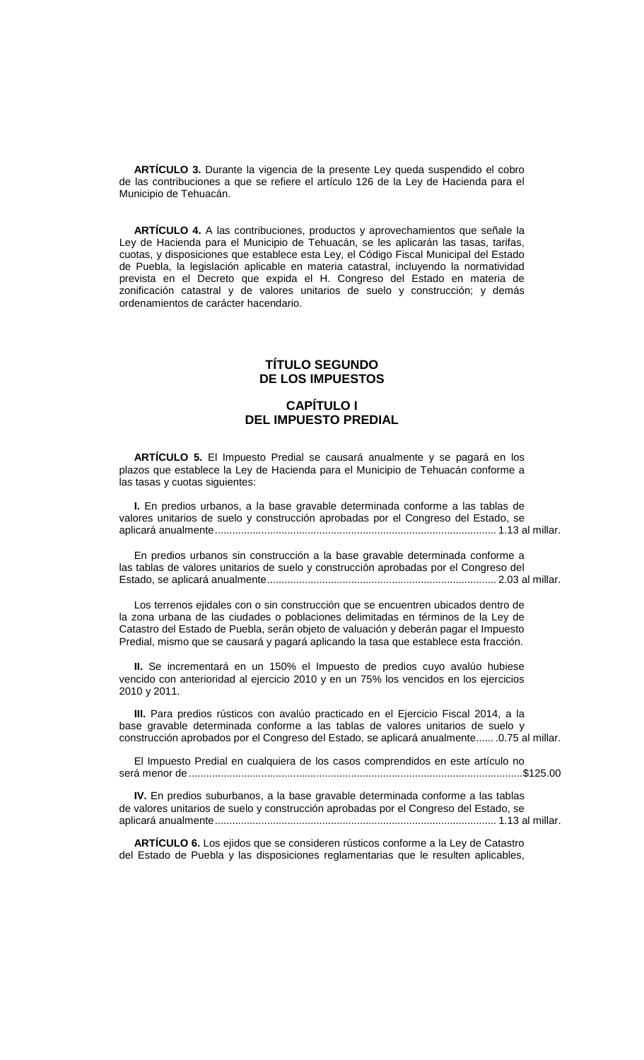**ARTÍCULO 3.** Durante la vigencia de la presente Ley queda suspendido el cobro de las contribuciones a que se refiere el artículo 126 de la Ley de Hacienda para el Municipio de Tehuacán.

**ARTÍCULO 4.** A las contribuciones, productos y aprovechamientos que señale la Ley de Hacienda para el Municipio de Tehuacán, se les aplicarán las tasas, tarifas, cuotas, y disposiciones que establece esta Ley, el Código Fiscal Municipal del Estado de Puebla, la legislación aplicable en materia catastral, incluyendo la normatividad prevista en el Decreto que expida el H. Congreso del Estado en materia de zonificación catastral y de valores unitarios de suelo y construcción; y demás ordenamientos de carácter hacendario.

### **TÍTULO SEGUNDO DE LOS IMPUESTOS**

### **CAPÍTULO I DEL IMPUESTO PREDIAL**

**ARTÍCULO 5.** El Impuesto Predial se causará anualmente y se pagará en los plazos que establece la Ley de Hacienda para el Municipio de Tehuacán conforme a las tasas y cuotas siguientes:

**I.** En predios urbanos, a la base gravable determinada conforme a las tablas de valores unitarios de suelo y construcción aprobadas por el Congreso del Estado, se aplicará anualmente................................................................................................. 1.13 al millar.

En predios urbanos sin construcción a la base gravable determinada conforme a las tablas de valores unitarios de suelo y construcción aprobadas por el Congreso del Estado, se aplicará anualmente............................................................................... 2.03 al millar.

Los terrenos ejidales con o sin construcción que se encuentren ubicados dentro de la zona urbana de las ciudades o poblaciones delimitadas en términos de la Ley de Catastro del Estado de Puebla, serán objeto de valuación y deberán pagar el Impuesto Predial, mismo que se causará y pagará aplicando la tasa que establece esta fracción.

**II.** Se incrementará en un 150% el Impuesto de predios cuyo avalúo hubiese vencido con anterioridad al ejercicio 2010 y en un 75% los vencidos en los ejercicios 2010 y 2011.

**III.** Para predios rústicos con avalúo practicado en el Ejercicio Fiscal 2014, a la base gravable determinada conforme a las tablas de valores unitarios de suelo y construcción aprobados por el Congreso del Estado, se aplicará anualmente...... .0.75 al millar.

El Impuesto Predial en cualquiera de los casos comprendidos en este artículo no será menor de ...................................................................................................................\$125.00

**IV.** En predios suburbanos, a la base gravable determinada conforme a las tablas de valores unitarios de suelo y construcción aprobadas por el Congreso del Estado, se aplicará anualmente................................................................................................. 1.13 al millar.

**ARTÍCULO 6.** Los ejidos que se consideren rústicos conforme a la Ley de Catastro del Estado de Puebla y las disposiciones reglamentarias que le resulten aplicables,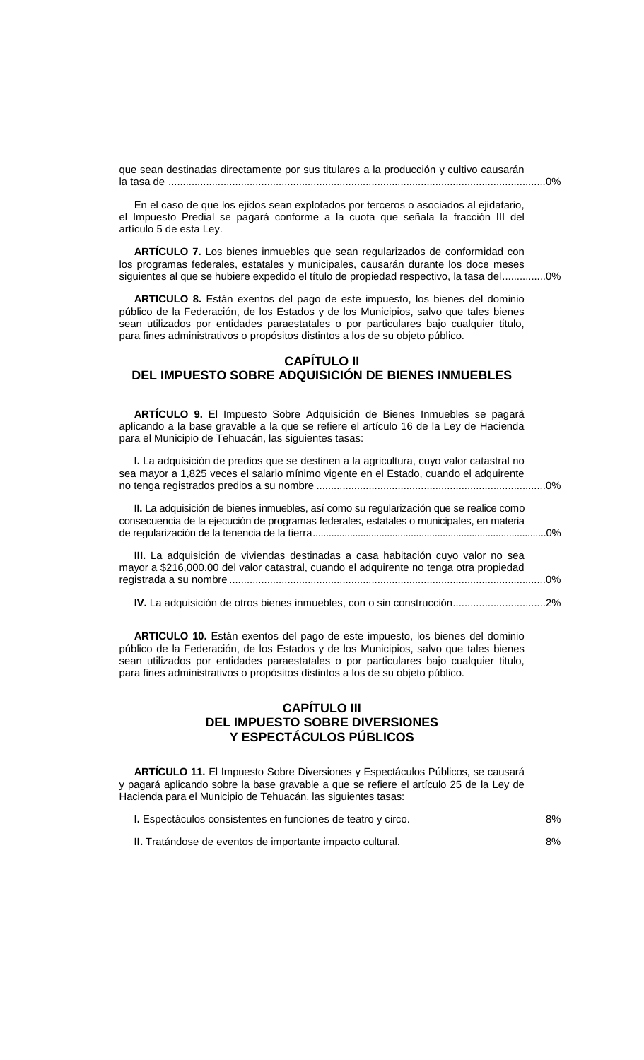que sean destinadas directamente por sus titulares a la producción y cultivo causarán la tasa de ..................................................................................................................................0%

En el caso de que los ejidos sean explotados por terceros o asociados al ejidatario, el Impuesto Predial se pagará conforme a la cuota que señala la fracción III del artículo 5 de esta Ley.

**ARTÍCULO 7.** Los bienes inmuebles que sean regularizados de conformidad con los programas federales, estatales y municipales, causarán durante los doce meses siguientes al que se hubiere expedido el título de propiedad respectivo, la tasa del...............0%

**ARTICULO 8.** Están exentos del pago de este impuesto, los bienes del dominio público de la Federación, de los Estados y de los Municipios, salvo que tales bienes sean utilizados por entidades paraestatales o por particulares bajo cualquier titulo, para fines administrativos o propósitos distintos a los de su objeto público.

#### **CAPÍTULO II DEL IMPUESTO SOBRE ADQUISICIÓN DE BIENES INMUEBLES**

**ARTÍCULO 9.** El Impuesto Sobre Adquisición de Bienes Inmuebles se pagará aplicando a la base gravable a la que se refiere el artículo 16 de la Ley de Hacienda para el Municipio de Tehuacán, las siguientes tasas:

**I.** La adquisición de predios que se destinen a la agricultura, cuyo valor catastral no sea mayor a 1,825 veces el salario mínimo vigente en el Estado, cuando el adquirente no tenga registrados predios a su nombre ...............................................................................0%

**II.** La adquisición de bienes inmuebles, así como su regularización que se realice como consecuencia de la ejecución de programas federales, estatales o municipales, en materia de regularización de la tenencia de la tierra........................................................................................0%

**III.** La adquisición de viviendas destinadas a casa habitación cuyo valor no sea mayor a \$216,000.00 del valor catastral, cuando el adquirente no tenga otra propiedad registrada a su nombre .............................................................................................................0%

**IV.** La adquisición de otros bienes inmuebles, con o sin construcción................................2%

**ARTICULO 10.** Están exentos del pago de este impuesto, los bienes del dominio público de la Federación, de los Estados y de los Municipios, salvo que tales bienes sean utilizados por entidades paraestatales o por particulares bajo cualquier titulo, para fines administrativos o propósitos distintos a los de su objeto público.

### **CAPÍTULO III DEL IMPUESTO SOBRE DIVERSIONES Y ESPECTÁCULOS PÚBLICOS**

**ARTÍCULO 11.** El Impuesto Sobre Diversiones y Espectáculos Públicos, se causará y pagará aplicando sobre la base gravable a que se refiere el artículo 25 de la Ley de Hacienda para el Municipio de Tehuacán, las siguientes tasas:

| <b>I.</b> Espectáculos consistentes en funciones de teatro y circo. | 8% |
|---------------------------------------------------------------------|----|
|---------------------------------------------------------------------|----|

**II.** Tratándose de eventos de importante impacto cultural. 8%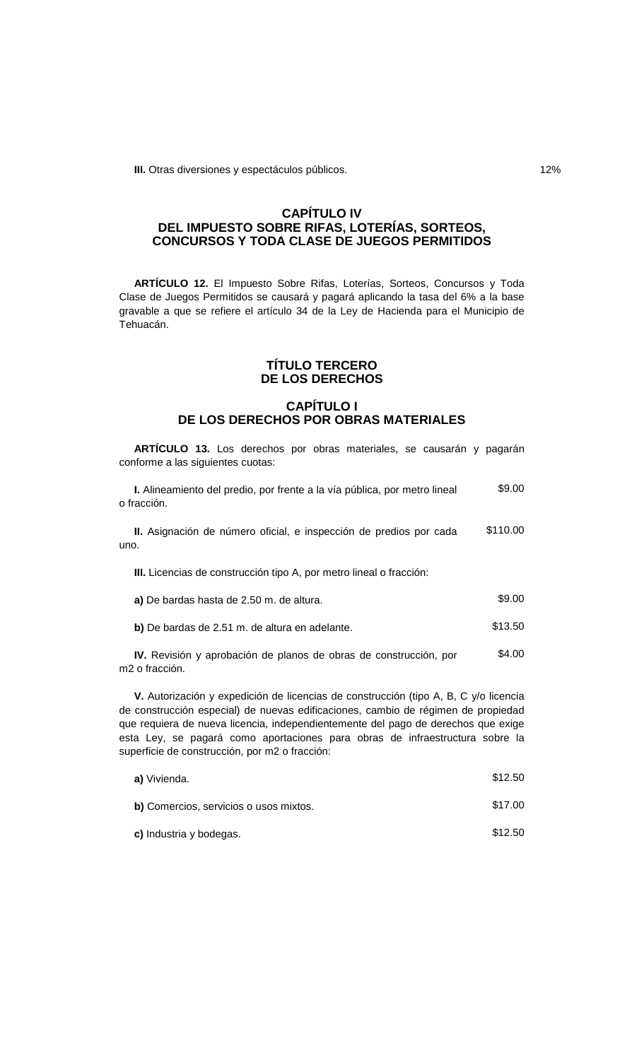**III.** Otras diversiones y espectáculos públicos. 12%

### **CAPÍTULO IV DEL IMPUESTO SOBRE RIFAS, LOTERÍAS, SORTEOS, CONCURSOS Y TODA CLASE DE JUEGOS PERMITIDOS**

**ARTÍCULO 12.** El Impuesto Sobre Rifas, Loterías, Sorteos, Concursos y Toda Clase de Juegos Permitidos se causará y pagará aplicando la tasa del 6% a la base gravable a que se refiere el artículo 34 de la Ley de Hacienda para el Municipio de Tehuacán.

## **TÍTULO TERCERO DE LOS DERECHOS**

## **CAPÍTULO I DE LOS DERECHOS POR OBRAS MATERIALES**

**ARTÍCULO 13.** Los derechos por obras materiales, se causarán y pagarán conforme a las siguientes cuotas:

| I. Alineamiento del predio, por frente a la vía pública, por metro lineal<br>o fracción. | \$9.00   |
|------------------------------------------------------------------------------------------|----------|
| II. Asignación de número oficial, e inspección de predios por cada<br>uno.               | \$110.00 |
| III. Licencias de construcción tipo A, por metro lineal o fracción:                      |          |
| a) De bardas hasta de 2.50 m. de altura.                                                 | \$9.00   |
| b) De bardas de 2.51 m. de altura en adelante.                                           | \$13.50  |
| <b>IV.</b> Revisión y aprobación de planos de obras de construcción, por                 | \$4.00   |

**IV.** Revisión y aprobación de planos de obras de construcción, por m2 o fracción.

**V.** Autorización y expedición de licencias de construcción (tipo A, B, C y/o licencia de construcción especial) de nuevas edificaciones, cambio de régimen de propiedad que requiera de nueva licencia, independientemente del pago de derechos que exige esta Ley, se pagará como aportaciones para obras de infraestructura sobre la superficie de construcción, por m2 o fracción:

| a) Vivienda.                           | \$12.50 |
|----------------------------------------|---------|
| b) Comercios, servicios o usos mixtos. | \$17.00 |
| c) Industria y bodegas.                | \$12.50 |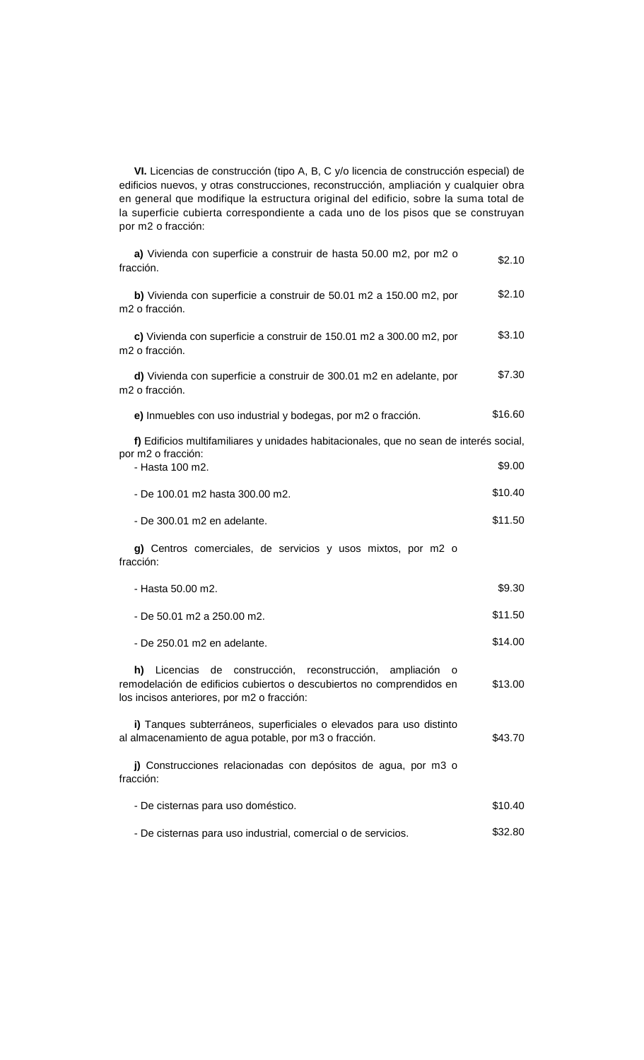**VI.** Licencias de construcción (tipo A, B, C y/o licencia de construcción especial) de edificios nuevos, y otras construcciones, reconstrucción, ampliación y cualquier obra en general que modifique la estructura original del edificio, sobre la suma total de la superficie cubierta correspondiente a cada uno de los pisos que se construyan por m2 o fracción:

| a) Vivienda con superficie a construir de hasta 50.00 m2, por m2 o<br>fracción.                                                                                                                  | \$2.10  |
|--------------------------------------------------------------------------------------------------------------------------------------------------------------------------------------------------|---------|
| b) Vivienda con superficie a construir de 50.01 m2 a 150.00 m2, por<br>m2 o fracción.                                                                                                            | \$2.10  |
| c) Vivienda con superficie a construir de 150.01 m2 a 300.00 m2, por<br>m <sub>2</sub> o fracción.                                                                                               | \$3.10  |
| d) Vivienda con superficie a construir de 300.01 m2 en adelante, por<br>m2 o fracción.                                                                                                           | \$7.30  |
| e) Inmuebles con uso industrial y bodegas, por m2 o fracción.                                                                                                                                    | \$16.60 |
| f) Edificios multifamiliares y unidades habitacionales, que no sean de interés social,<br>por m2 o fracción:                                                                                     |         |
| - Hasta 100 m2.                                                                                                                                                                                  | \$9.00  |
| - De 100.01 m2 hasta 300.00 m2.                                                                                                                                                                  | \$10.40 |
| - De 300.01 m2 en adelante.                                                                                                                                                                      | \$11.50 |
| g) Centros comerciales, de servicios y usos mixtos, por m2 o<br>fracción:                                                                                                                        |         |
| - Hasta 50.00 m2.                                                                                                                                                                                | \$9.30  |
| - De 50.01 m2 a 250.00 m2.                                                                                                                                                                       | \$11.50 |
| - De 250.01 m2 en adelante.                                                                                                                                                                      | \$14.00 |
| Licencias de construcción, reconstrucción,<br>h)<br>ampliación<br>$\circ$<br>remodelación de edificios cubiertos o descubiertos no comprendidos en<br>los incisos anteriores, por m2 o fracción: | \$13.00 |
| i) Tanques subterráneos, superficiales o elevados para uso distinto<br>al almacenamiento de agua potable, por m3 o fracción.                                                                     | \$43.70 |
| j) Construcciones relacionadas con depósitos de agua, por m3 o<br>fracción:                                                                                                                      |         |
| - De cisternas para uso doméstico.                                                                                                                                                               | \$10.40 |
| - De cisternas para uso industrial, comercial o de servicios.                                                                                                                                    | \$32.80 |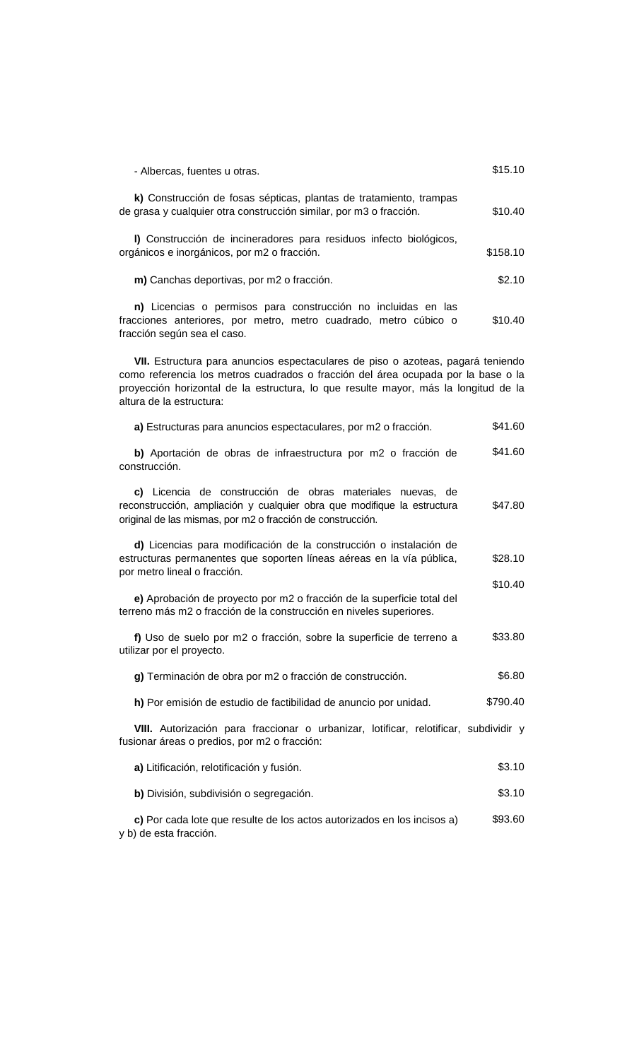| - Albercas, fuentes u otras.                                                                                                             | \$15.10  |
|------------------------------------------------------------------------------------------------------------------------------------------|----------|
| k) Construcción de fosas sépticas, plantas de tratamiento, trampas<br>de grasa y cualquier otra construcción similar, por m3 o fracción. | \$10.40  |
| I) Construcción de incineradores para residuos infecto biológicos,<br>orgánicos e inorgánicos, por m2 o fracción.                        | \$158.10 |
| m) Canchas deportivas, por m2 o fracción.                                                                                                | \$2.10   |

**n)** Licencias o permisos para construcción no incluidas en las fracciones anteriores, por metro, metro cuadrado, metro cúbico o fracción según sea el caso. \$10.40

**VII.** Estructura para anuncios espectaculares de piso o azoteas, pagará teniendo como referencia los metros cuadrados o fracción del área ocupada por la base o la proyección horizontal de la estructura, lo que resulte mayor, más la longitud de la altura de la estructura:

| a) Estructuras para anuncios espectaculares, por m2 o fracción.                                                                                                                                     | \$41.60  |
|-----------------------------------------------------------------------------------------------------------------------------------------------------------------------------------------------------|----------|
| b) Aportación de obras de infraestructura por m2 o fracción de<br>construcción.                                                                                                                     | \$41.60  |
| c) Licencia de construcción de obras materiales nuevas, de<br>reconstrucción, ampliación y cualquier obra que modifique la estructura<br>original de las mismas, por m2 o fracción de construcción. | \$47.80  |
| d) Licencias para modificación de la construcción o instalación de<br>estructuras permanentes que soporten líneas aéreas en la vía pública,<br>por metro lineal o fracción.                         | \$28.10  |
| e) Aprobación de proyecto por m2 o fracción de la superficie total del<br>terreno más m2 o fracción de la construcción en niveles superiores.                                                       | \$10.40  |
| f) Uso de suelo por m2 o fracción, sobre la superficie de terreno a<br>utilizar por el proyecto.                                                                                                    | \$33.80  |
| g) Terminación de obra por m2 o fracción de construcción.                                                                                                                                           | \$6.80   |
| h) Por emisión de estudio de factibilidad de anuncio por unidad.                                                                                                                                    | \$790.40 |
| VIII. Autorización para fraccionar o urbanizar, lotificar, relotificar, subdividir y<br>fusionar áreas o predios, por m2 o fracción:                                                                |          |
| a) Litificación, relotificación y fusión.                                                                                                                                                           | \$3.10   |
| b) División, subdivisión o segregación.                                                                                                                                                             | \$3.10   |
| c) Por cada lote que resulte de los actos autorizados en los incisos a)<br>y b) de esta fracción.                                                                                                   | \$93.60  |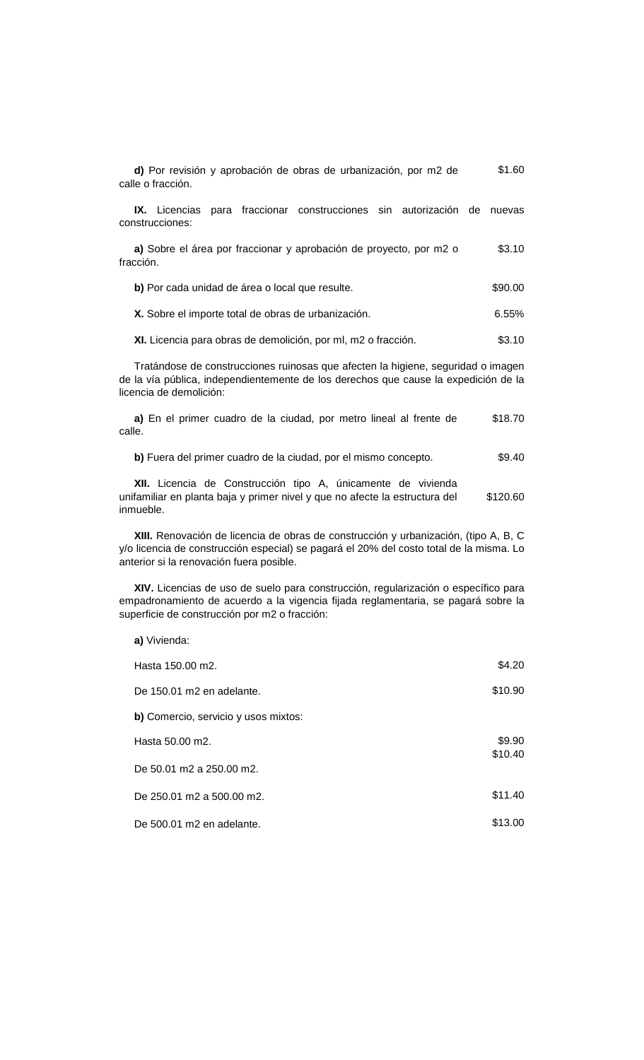| d) Por revisión y aprobación de obras de urbanización, por m2 de<br>calle o fracción.             | \$1.60   |
|---------------------------------------------------------------------------------------------------|----------|
| <b>IX.</b> Licencias para fraccionar construcciones sin autorización de nuevas<br>construcciones: |          |
| a) Sobre el área por fraccionar y aprobación de proyecto, por m2 o<br>fracción.                   | \$3.10   |
| b) Por cada unidad de área o local que resulte.                                                   | \$90.00  |
| X. Sobre el importe total de obras de urbanización.                                               | $6.55\%$ |
| <b>XI.</b> Licencia para obras de demolición, por ml, m2 o fracción.                              | \$3.10   |

Tratándose de construcciones ruinosas que afecten la higiene, seguridad o imagen de la vía pública, independientemente de los derechos que cause la expedición de la licencia de demolición:

**a)** En el primer cuadro de la ciudad, por metro lineal al frente de calle. \$18.70

**b)** Fuera del primer cuadro de la ciudad, por el mismo concepto. \$9.40

**XII.** Licencia de Construcción tipo A, únicamente de vivienda unifamiliar en planta baja y primer nivel y que no afecte la estructura del inmueble. \$120.60

**XIII.** Renovación de licencia de obras de construcción y urbanización, (tipo A, B, C y/o licencia de construcción especial) se pagará el 20% del costo total de la misma. Lo anterior si la renovación fuera posible.

**XIV.** Licencias de uso de suelo para construcción, regularización o específico para empadronamiento de acuerdo a la vigencia fijada reglamentaria, se pagará sobre la superficie de construcción por m2 o fracción:

**a)** Vivienda:

| Hasta 150.00 m2.                     | \$4.20            |
|--------------------------------------|-------------------|
| De 150.01 m2 en adelante.            | \$10.90           |
| b) Comercio, servicio y usos mixtos: |                   |
| Hasta 50.00 m2.                      | \$9.90<br>\$10.40 |
| De 50.01 m2 a 250.00 m2.             |                   |
| De 250.01 m2 a 500.00 m2.            | \$11.40           |
| De 500.01 m2 en adelante.            | \$13.00           |
|                                      |                   |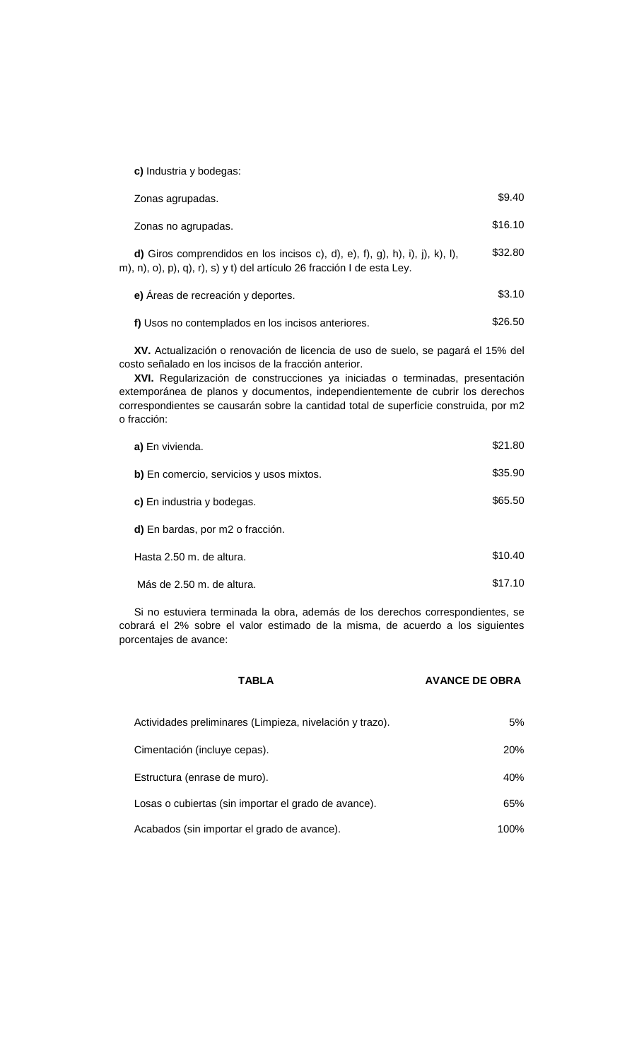**c)** Industria y bodegas:

| Zonas agrupadas.                                                                                                                                                                                                                                                                                                                                                                                                      | \$9.40  |
|-----------------------------------------------------------------------------------------------------------------------------------------------------------------------------------------------------------------------------------------------------------------------------------------------------------------------------------------------------------------------------------------------------------------------|---------|
| Zonas no agrupadas.                                                                                                                                                                                                                                                                                                                                                                                                   | \$16.10 |
| <b>d)</b> Giros comprendidos en los incisos c), d), e), f), g), h), i), j), k), l),<br>m), n), o), p), q), r), s) y t) del artículo 26 fracción I de esta Ley.                                                                                                                                                                                                                                                        | \$32.80 |
| e) Áreas de recreación y deportes.                                                                                                                                                                                                                                                                                                                                                                                    | \$3.10  |
| f) Usos no contemplados en los incisos anteriores.                                                                                                                                                                                                                                                                                                                                                                    | \$26.50 |
| XV. Actualización o renovación de licencia de uso de suelo, se pagará el 15% del<br>costo señalado en los incisos de la fracción anterior.<br>XVI. Regularización de construcciones ya iniciadas o terminadas, presentación<br>extemporánea de planos y documentos, independientemente de cubrir los derechos<br>correspondientes se causarán sobre la cantidad total de superficie construida, por m2<br>o fracción: |         |
| a) En vivienda.                                                                                                                                                                                                                                                                                                                                                                                                       | \$21.80 |
| b) En comercio, servicios y usos mixtos.                                                                                                                                                                                                                                                                                                                                                                              | \$35.90 |
| c) En industria y bodegas.                                                                                                                                                                                                                                                                                                                                                                                            | \$65.50 |
| d) En bardas, por m2 o fracción.                                                                                                                                                                                                                                                                                                                                                                                      |         |

| Hasta 2.50 m. de altura.  | \$10.40 |
|---------------------------|---------|
| Más de 2.50 m. de altura. | \$17.10 |

Si no estuviera terminada la obra, además de los derechos correspondientes, se cobrará el 2% sobre el valor estimado de la misma, de acuerdo a los siguientes porcentajes de avance:

| TABLA                                                    | <b>AVANCE DE OBRA</b> |
|----------------------------------------------------------|-----------------------|
| Actividades preliminares (Limpieza, nivelación y trazo). | 5%                    |
| Cimentación (incluye cepas).                             | 20%                   |
| Estructura (enrase de muro).                             | 40%                   |
| Losas o cubiertas (sin importar el grado de avance).     | 65%                   |
| Acabados (sin importar el grado de avance).              | 100%                  |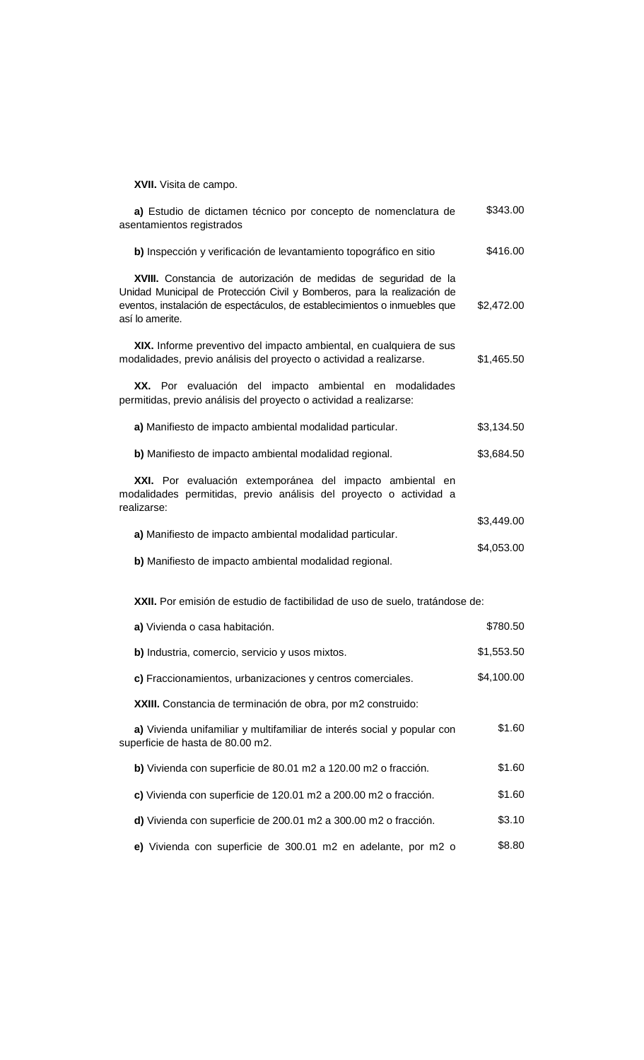**XVII.** Visita de campo.

| a) Estudio de dictamen técnico por concepto de nomenclatura de<br>asentamientos registrados                                                                                                                                                | \$343.00   |
|--------------------------------------------------------------------------------------------------------------------------------------------------------------------------------------------------------------------------------------------|------------|
| b) Inspección y verificación de levantamiento topográfico en sitio                                                                                                                                                                         | \$416.00   |
| XVIII. Constancia de autorización de medidas de seguridad de la<br>Unidad Municipal de Protección Civil y Bomberos, para la realización de<br>eventos, instalación de espectáculos, de establecimientos o inmuebles que<br>así lo amerite. | \$2,472.00 |
| XIX. Informe preventivo del impacto ambiental, en cualquiera de sus<br>modalidades, previo análisis del proyecto o actividad a realizarse.                                                                                                 | \$1,465.50 |
| XX. Por evaluación del impacto ambiental en modalidades<br>permitidas, previo análisis del proyecto o actividad a realizarse:                                                                                                              |            |
| a) Manifiesto de impacto ambiental modalidad particular.                                                                                                                                                                                   | \$3,134.50 |
| b) Manifiesto de impacto ambiental modalidad regional.                                                                                                                                                                                     | \$3,684.50 |
| XXI. Por evaluación extemporánea del impacto ambiental en<br>modalidades permitidas, previo análisis del proyecto o actividad a<br>realizarse:                                                                                             |            |
| a) Manifiesto de impacto ambiental modalidad particular.                                                                                                                                                                                   | \$3,449.00 |
| b) Manifiesto de impacto ambiental modalidad regional.                                                                                                                                                                                     | \$4,053.00 |
| XXII. Por emisión de estudio de factibilidad de uso de suelo, tratándose de:                                                                                                                                                               |            |
| a) Vivienda o casa habitación.                                                                                                                                                                                                             | \$780.50   |
| b) Industria, comercio, servicio y usos mixtos.                                                                                                                                                                                            | \$1,553.50 |
| c) Fraccionamientos, urbanizaciones y centros comerciales.                                                                                                                                                                                 | \$4,100.00 |
| XXIII. Constancia de terminación de obra, por m2 construido:                                                                                                                                                                               |            |
| a) Vivienda unifamiliar y multifamiliar de interés social y popular con<br>superficie de hasta de 80.00 m2.                                                                                                                                | \$1.60     |
| b) Vivienda con superficie de 80.01 m2 a 120.00 m2 o fracción.                                                                                                                                                                             | \$1.60     |
| c) Vivienda con superficie de 120.01 m2 a 200.00 m2 o fracción.                                                                                                                                                                            | \$1.60     |
| d) Vivienda con superficie de 200.01 m2 a 300.00 m2 o fracción.                                                                                                                                                                            | \$3.10     |
| e) Vivienda con superficie de 300.01 m2 en adelante, por m2 o                                                                                                                                                                              | \$8.80     |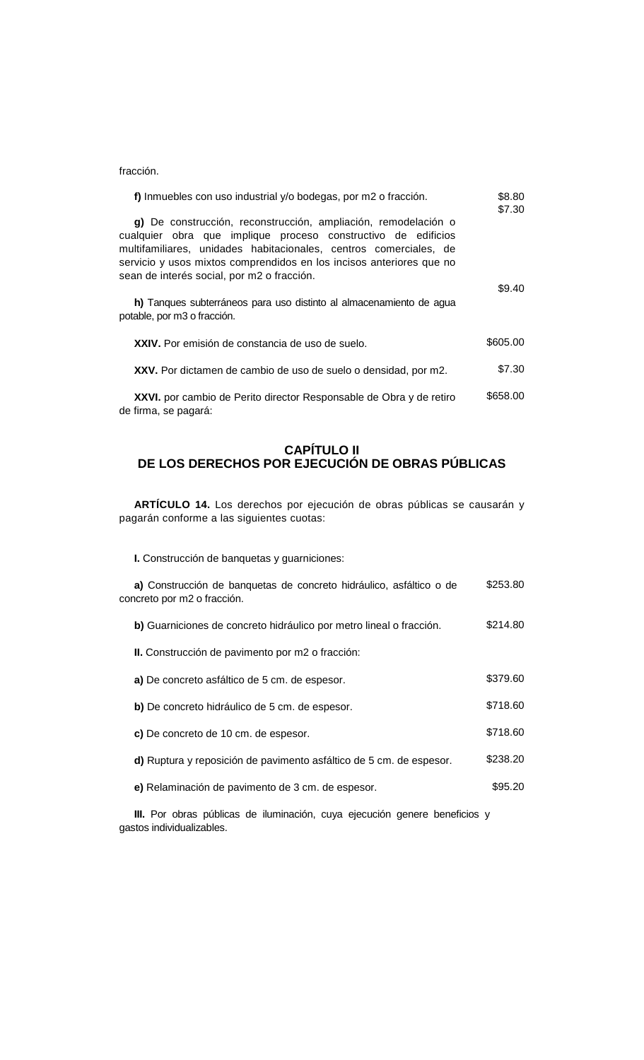#### fracción.

| f) Inmuebles con uso industrial y/o bodegas, por m2 o fracción.                                                                                                                                                                                                                                                            | \$8.80<br>\$7.30 |
|----------------------------------------------------------------------------------------------------------------------------------------------------------------------------------------------------------------------------------------------------------------------------------------------------------------------------|------------------|
| g) De construcción, reconstrucción, ampliación, remodelación o<br>cualquier obra que implique proceso constructivo de edificios<br>multifamiliares, unidades habitacionales, centros comerciales, de<br>servicio y usos mixtos comprendidos en los incisos anteriores que no<br>sean de interés social, por m2 o fracción. |                  |
|                                                                                                                                                                                                                                                                                                                            | \$9.40           |
| h) Tanques subterráneos para uso distinto al almacenamiento de agua<br>potable, por m3 o fracción.                                                                                                                                                                                                                         |                  |
| XXIV. Por emisión de constancia de uso de suelo.                                                                                                                                                                                                                                                                           | \$605.00         |
| XXV. Por dictamen de cambio de uso de suelo o densidad, por m2.                                                                                                                                                                                                                                                            | \$7.30           |
| XXVI. por cambio de Perito director Responsable de Obra y de retiro<br>de firma, se pagará:                                                                                                                                                                                                                                | \$658.00         |

### **CAPÍTULO II DE LOS DERECHOS POR EJECUCIÓN DE OBRAS PÚBLICAS**

**ARTÍCULO 14.** Los derechos por ejecución de obras públicas se causarán y pagarán conforme a las siguientes cuotas:

**I.** Construcción de banquetas y guarniciones:

| a) Construcción de banquetas de concreto hidráulico, asfáltico o de<br>concreto por m2 o fracción. | \$253.80 |
|----------------------------------------------------------------------------------------------------|----------|
| b) Guarniciones de concreto hidráulico por metro lineal o fracción.                                | \$214.80 |
| II. Construcción de pavimento por m2 o fracción:                                                   |          |
| a) De concreto asfáltico de 5 cm. de espesor.                                                      | \$379.60 |
| b) De concreto hidráulico de 5 cm. de espesor.                                                     | \$718.60 |
| c) De concreto de 10 cm. de espesor.                                                               | \$718.60 |
| d) Ruptura y reposición de pavimento asfáltico de 5 cm. de espesor.                                | \$238.20 |
| e) Relaminación de pavimento de 3 cm. de espesor.                                                  | \$95.20  |

**III.** Por obras públicas de iluminación, cuya ejecución genere beneficios y gastos individualizables.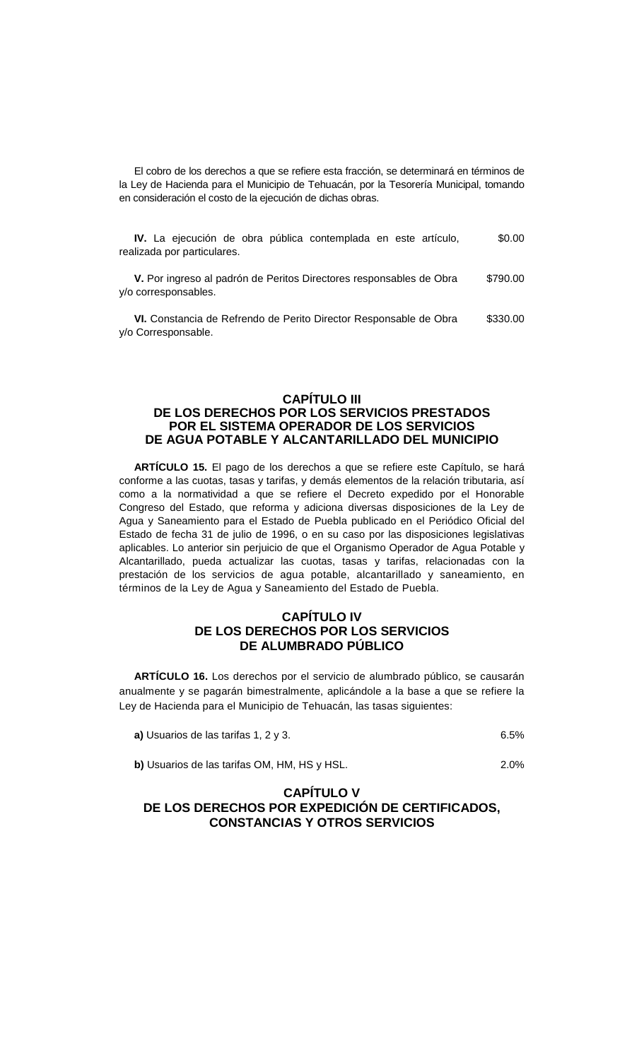El cobro de los derechos a que se refiere esta fracción, se determinará en términos de la Ley de Hacienda para el Municipio de Tehuacán, por la Tesorería Municipal, tomando en consideración el costo de la ejecución de dichas obras.

**IV.** La ejecución de obra pública contemplada en este artículo, realizada por particulares. \$0.00

**V.** Por ingreso al padrón de Peritos Directores responsables de Obra y/o corresponsables. \$790.00

**VI.** Constancia de Refrendo de Perito Director Responsable de Obra y/o Corresponsable. \$330.00

### **CAPÍTULO III DE LOS DERECHOS POR LOS SERVICIOS PRESTADOS POR EL SISTEMA OPERADOR DE LOS SERVICIOS DE AGUA POTABLE Y ALCANTARILLADO DEL MUNICIPIO**

**ARTÍCULO 15.** El pago de los derechos a que se refiere este Capítulo, se hará conforme a las cuotas, tasas y tarifas, y demás elementos de la relación tributaria, así como a la normatividad a que se refiere el Decreto expedido por el Honorable Congreso del Estado, que reforma y adiciona diversas disposiciones de la Ley de Agua y Saneamiento para el Estado de Puebla publicado en el Periódico Oficial del Estado de fecha 31 de julio de 1996, o en su caso por las disposiciones legislativas aplicables. Lo anterior sin perjuicio de que el Organismo Operador de Agua Potable y Alcantarillado, pueda actualizar las cuotas, tasas y tarifas, relacionadas con la prestación de los servicios de agua potable, alcantarillado y saneamiento, en términos de la Ley de Agua y Saneamiento del Estado de Puebla.

### **CAPÍTULO IV DE LOS DERECHOS POR LOS SERVICIOS DE ALUMBRADO PÚBLICO**

**ARTÍCULO 16.** Los derechos por el servicio de alumbrado público, se causarán anualmente y se pagarán bimestralmente, aplicándole a la base a que se refiere la Ley de Hacienda para el Municipio de Tehuacán, las tasas siguientes:

| a) Usuarios de las tarifas $1, 2, y, 3$ . | 6.5% |
|-------------------------------------------|------|
|-------------------------------------------|------|

| b) Usuarios de las tarifas OM, HM, HS y HSL. | 2.0% |
|----------------------------------------------|------|
|----------------------------------------------|------|

### **CAPÍTULO V DE LOS DERECHOS POR EXPEDICIÓN DE CERTIFICADOS, CONSTANCIAS Y OTROS SERVICIOS**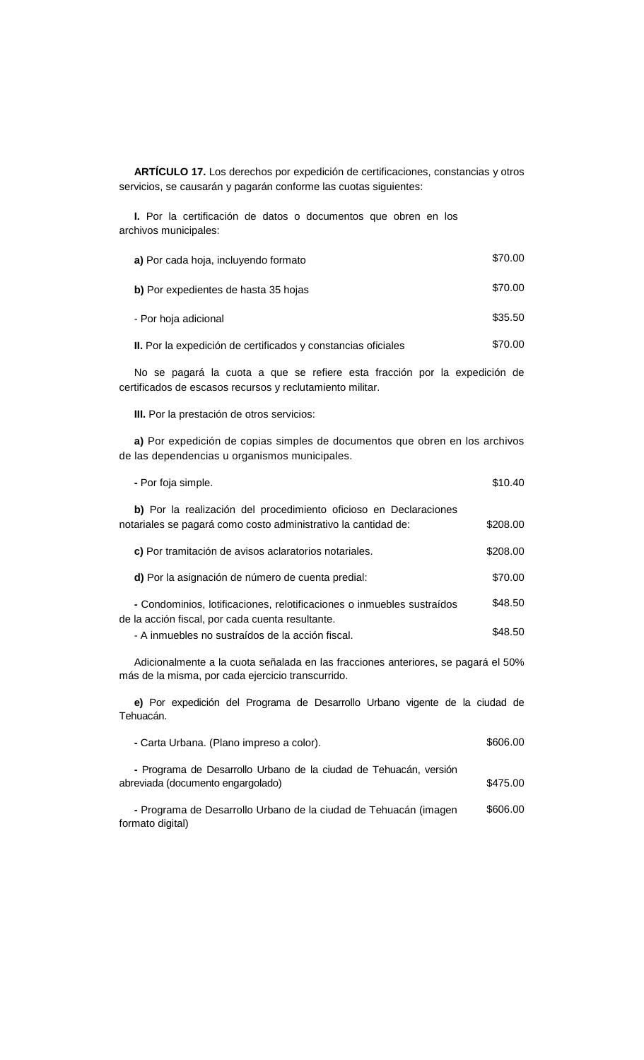**ARTÍCULO 17.** Los derechos por expedición de certificaciones, constancias y otros servicios, se causarán y pagarán conforme las cuotas siguientes:

**I.** Por la certificación de datos o documentos que obren en los archivos municipales:

| a) Por cada hoja, incluyendo formato                          | \$70.00 |
|---------------------------------------------------------------|---------|
| b) Por expedientes de hasta 35 hojas                          | \$70.00 |
| - Por hoja adicional                                          | \$35.50 |
| II. Por la expedición de certificados y constancias oficiales | \$70.00 |

No se pagará la cuota a que se refiere esta fracción por la expedición de certificados de escasos recursos y reclutamiento militar.

**III.** Por la prestación de otros servicios:

**a)** Por expedición de copias simples de documentos que obren en los archivos de las dependencias u organismos municipales.

| - Por foja simple.                                                                                                                     | \$10.40  |
|----------------------------------------------------------------------------------------------------------------------------------------|----------|
| b) Por la realización del procedimiento oficioso en Declaraciones<br>notariales se pagará como costo administrativo la cantidad de:    | \$208.00 |
| c) Por tramitación de avisos aclaratorios notariales.                                                                                  | \$208.00 |
| d) Por la asignación de número de cuenta predial:                                                                                      | \$70.00  |
| - Condominios, lotificaciones, relotificaciones o inmuebles sustraídos                                                                 | \$48.50  |
| de la acción fiscal, por cada cuenta resultante.<br>- A inmuebles no sustraídos de la acción fiscal.                                   | \$48.50  |
| Adicionalmente a la cuota señalada en las fracciones anteriores, se pagará el 50%<br>más de la misma, por cada ejercicio transcurrido. |          |
| e) Por expedición del Programa de Desarrollo Urbano vigente de la ciudad de<br>Tehuacán.                                               |          |
| - Carta Urbana. (Plano impreso a color).                                                                                               | \$606.00 |
| - Programa de Desarrollo Urbano de la ciudad de Tehuacán, versión<br>abreviada (documento engargolado)                                 | \$475.00 |

**-** Programa de Desarrollo Urbano de la ciudad de Tehuacán (imagen formato digital) \$606.00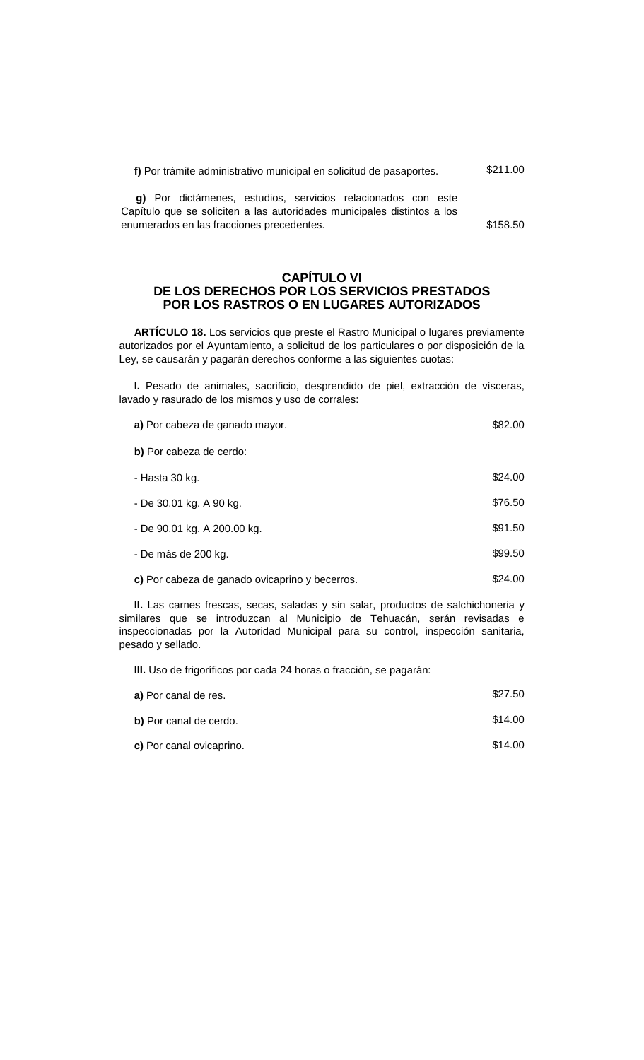| f) Por trámite administrativo municipal en solicitud de pasaportes. | \$211.00 |
|---------------------------------------------------------------------|----------|
|---------------------------------------------------------------------|----------|

**g)** Por dictámenes, estudios, servicios relacionados con este Capítulo que se soliciten a las autoridades municipales distintos a los enumerados en las fracciones precedentes.  $$158.50$ 

#### **CAPÍTULO VI DE LOS DERECHOS POR LOS SERVICIOS PRESTADOS POR LOS RASTROS O EN LUGARES AUTORIZADOS**

**ARTÍCULO 18.** Los servicios que preste el Rastro Municipal o lugares previamente autorizados por el Ayuntamiento, a solicitud de los particulares o por disposición de la Ley, se causarán y pagarán derechos conforme a las siguientes cuotas:

**I.** Pesado de animales, sacrificio, desprendido de piel, extracción de vísceras, lavado y rasurado de los mismos y uso de corrales:

| a) Por cabeza de ganado mayor.                 | \$82.00 |
|------------------------------------------------|---------|
| b) Por cabeza de cerdo:                        |         |
| - Hasta 30 kg.                                 | \$24.00 |
| - De 30.01 kg. A 90 kg.                        | \$76.50 |
| - De 90.01 kg. A 200.00 kg.                    | \$91.50 |
| - De más de 200 kg.                            | \$99.50 |
| c) Por cabeza de ganado ovicaprino y becerros. | \$24.00 |

**II.** Las carnes frescas, secas, saladas y sin salar, productos de salchichoneria y similares que se introduzcan al Municipio de Tehuacán, serán revisadas e inspeccionadas por la Autoridad Municipal para su control, inspección sanitaria, pesado y sellado.

**III.** Uso de frigoríficos por cada 24 horas o fracción, se pagarán:

| a) Por canal de res.     | \$27.50 |
|--------------------------|---------|
| b) Por canal de cerdo.   | \$14.00 |
| c) Por canal ovicaprino. | \$14.00 |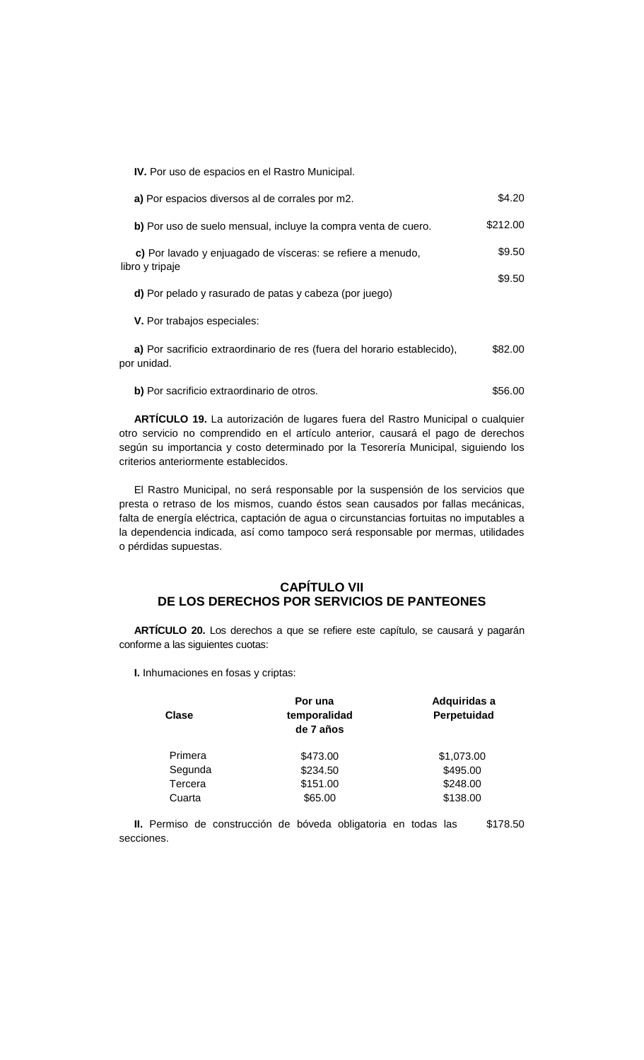**IV.** Por uso de espacios en el Rastro Municipal.

| a) Por espacios diversos al de corrales por m2.                                         | \$4.20   |
|-----------------------------------------------------------------------------------------|----------|
| b) Por uso de suelo mensual, incluye la compra venta de cuero.                          | \$212.00 |
| c) Por lavado y enjuagado de vísceras: se refiere a menudo,<br>libro y tripaje          | \$9.50   |
|                                                                                         | \$9.50   |
| d) Por pelado y rasurado de patas y cabeza (por juego)                                  |          |
| V. Por trabajos especiales:                                                             |          |
| a) Por sacrificio extraordinario de res (fuera del horario establecido),<br>por unidad. | \$82.00  |
| b) Por sacrificio extraordinario de otros.                                              | \$56.00  |

**ARTÍCULO 19.** La autorización de lugares fuera del Rastro Municipal o cualquier otro servicio no comprendido en el artículo anterior, causará el pago de derechos según su importancia y costo determinado por la Tesorería Municipal, siguiendo los criterios anteriormente establecidos.

El Rastro Municipal, no será responsable por la suspensión de los servicios que presta o retraso de los mismos, cuando éstos sean causados por fallas mecánicas, falta de energía eléctrica, captación de agua o circunstancias fortuitas no imputables a la dependencia indicada, así como tampoco será responsable por mermas, utilidades o pérdidas supuestas.

## **CAPÍTULO VII DE LOS DERECHOS POR SERVICIOS DE PANTEONES**

**ARTÍCULO 20.** Los derechos a que se refiere este capítulo, se causará y pagarán conforme a las siguientes cuotas:

**I.** Inhumaciones en fosas y criptas:

| Clase   | Por una<br>temporalidad<br>de 7 años | Adquiridas a<br>Perpetuidad |
|---------|--------------------------------------|-----------------------------|
| Primera | \$473.00                             | \$1,073.00                  |
| Segunda | \$234.50                             | \$495.00                    |
| Tercera | \$151.00                             | \$248.00                    |
| Cuarta  | \$65.00                              | \$138.00                    |

**II.** Permiso de construcción de bóveda obligatoria en todas las secciones. \$178.50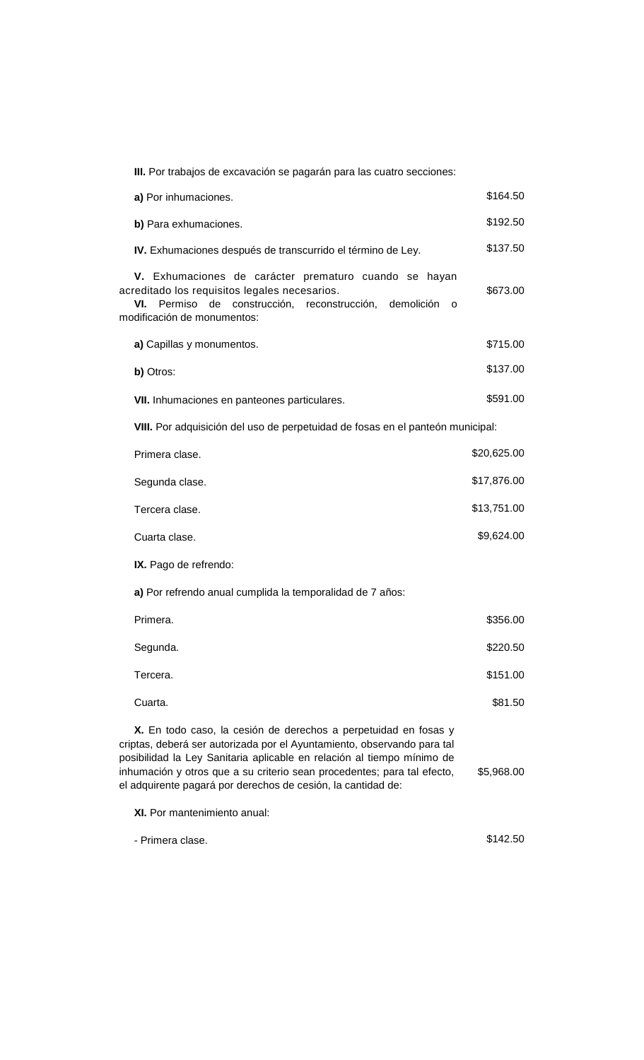| III. Por trabajos de excavación se pagarán para las cuatro secciones:                                                                                                                                                                                                                                                                                           |             |  |
|-----------------------------------------------------------------------------------------------------------------------------------------------------------------------------------------------------------------------------------------------------------------------------------------------------------------------------------------------------------------|-------------|--|
| a) Por inhumaciones.                                                                                                                                                                                                                                                                                                                                            | \$164.50    |  |
| b) Para exhumaciones.                                                                                                                                                                                                                                                                                                                                           | \$192.50    |  |
| IV. Exhumaciones después de transcurrido el término de Ley.                                                                                                                                                                                                                                                                                                     | \$137.50    |  |
| V. Exhumaciones de carácter prematuro cuando se hayan<br>acreditado los requisitos legales necesarios.<br>Permiso de construcción, reconstrucción,<br>demolición<br>VI.<br>$\circ$<br>modificación de monumentos:                                                                                                                                               | \$673.00    |  |
| a) Capillas y monumentos.                                                                                                                                                                                                                                                                                                                                       | \$715.00    |  |
| b) Otros:                                                                                                                                                                                                                                                                                                                                                       | \$137.00    |  |
| VII. Inhumaciones en panteones particulares.                                                                                                                                                                                                                                                                                                                    | \$591.00    |  |
| VIII. Por adquisición del uso de perpetuidad de fosas en el panteón municipal:                                                                                                                                                                                                                                                                                  |             |  |
| Primera clase.                                                                                                                                                                                                                                                                                                                                                  | \$20,625.00 |  |
| Segunda clase.                                                                                                                                                                                                                                                                                                                                                  | \$17,876.00 |  |
| Tercera clase.                                                                                                                                                                                                                                                                                                                                                  | \$13,751.00 |  |
| Cuarta clase.                                                                                                                                                                                                                                                                                                                                                   | \$9,624.00  |  |
| IX. Pago de refrendo:                                                                                                                                                                                                                                                                                                                                           |             |  |
| a) Por refrendo anual cumplida la temporalidad de 7 años:                                                                                                                                                                                                                                                                                                       |             |  |
| Primera.                                                                                                                                                                                                                                                                                                                                                        | \$356.00    |  |
| Segunda.                                                                                                                                                                                                                                                                                                                                                        | \$220.50    |  |
| Tercera.                                                                                                                                                                                                                                                                                                                                                        | \$151.00    |  |
| Cuarta.                                                                                                                                                                                                                                                                                                                                                         | \$81.50     |  |
| X. En todo caso, la cesión de derechos a perpetuidad en fosas y<br>criptas, deberá ser autorizada por el Ayuntamiento, observando para tal<br>posibilidad la Ley Sanitaria aplicable en relación al tiempo mínimo de<br>inhumación y otros que a su criterio sean procedentes; para tal efecto,<br>el adquirente pagará por derechos de cesión, la cantidad de: | \$5,968.00  |  |
| <b>XI.</b> Por mantenimiento anual:                                                                                                                                                                                                                                                                                                                             |             |  |
| - Primera clase.                                                                                                                                                                                                                                                                                                                                                | \$142.50    |  |
|                                                                                                                                                                                                                                                                                                                                                                 |             |  |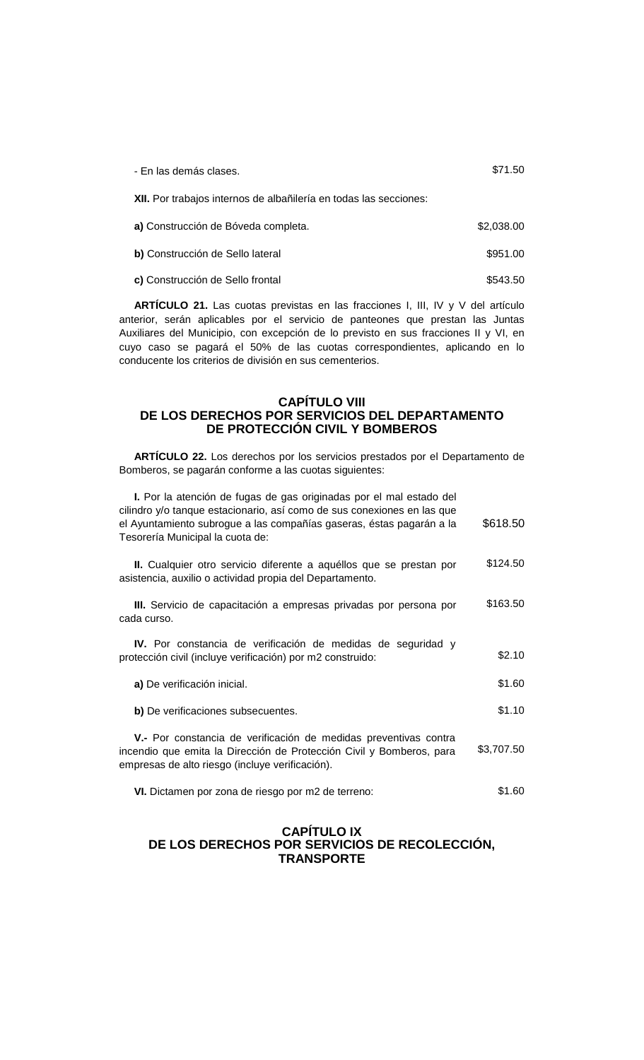| - En las demás clases.                                            | \$71.50    |
|-------------------------------------------------------------------|------------|
| XII. Por trabajos internos de albañilería en todas las secciones: |            |
| a) Construcción de Bóveda completa.                               | \$2,038.00 |
| b) Construcción de Sello lateral                                  | \$951.00   |
|                                                                   |            |

**c)** Construcción de Sello frontal \$543.50

**ARTÍCULO 21.** Las cuotas previstas en las fracciones I, III, IV y V del artículo anterior, serán aplicables por el servicio de panteones que prestan las Juntas Auxiliares del Municipio, con excepción de lo previsto en sus fracciones II y VI, en cuyo caso se pagará el 50% de las cuotas correspondientes, aplicando en lo conducente los criterios de división en sus cementerios.

### **CAPÍTULO VIII DE LOS DERECHOS POR SERVICIOS DEL DEPARTAMENTO DE PROTECCIÓN CIVIL Y BOMBEROS**

**ARTÍCULO 22.** Los derechos por los servicios prestados por el Departamento de Bomberos, se pagarán conforme a las cuotas siguientes:

| I. Por la atención de fugas de gas originadas por el mal estado del<br>cilindro y/o tanque estacionario, así como de sus conexiones en las que<br>el Ayuntamiento subrogue a las compañías gaseras, éstas pagarán a la<br>Tesorería Municipal la cuota de: | \$618.50   |
|------------------------------------------------------------------------------------------------------------------------------------------------------------------------------------------------------------------------------------------------------------|------------|
| II. Cualquier otro servicio diferente a aquéllos que se prestan por<br>asistencia, auxilio o actividad propia del Departamento.                                                                                                                            | \$124.50   |
| III. Servicio de capacitación a empresas privadas por persona por<br>cada curso.                                                                                                                                                                           | \$163.50   |
| IV. Por constancia de verificación de medidas de seguridad y<br>protección civil (incluye verificación) por m2 construido:                                                                                                                                 | \$2.10     |
| a) De verificación inicial.                                                                                                                                                                                                                                | \$1.60     |
| b) De verificaciones subsecuentes.                                                                                                                                                                                                                         | \$1.10     |
| V.- Por constancia de verificación de medidas preventivas contra<br>incendio que emita la Dirección de Protección Civil y Bomberos, para<br>empresas de alto riesgo (incluye verificación).                                                                | \$3,707.50 |
| VI. Dictamen por zona de riesgo por m2 de terreno:                                                                                                                                                                                                         | \$1.60     |

### **CAPÍTULO IX DE LOS DERECHOS POR SERVICIOS DE RECOLECCIÓN, TRANSPORTE**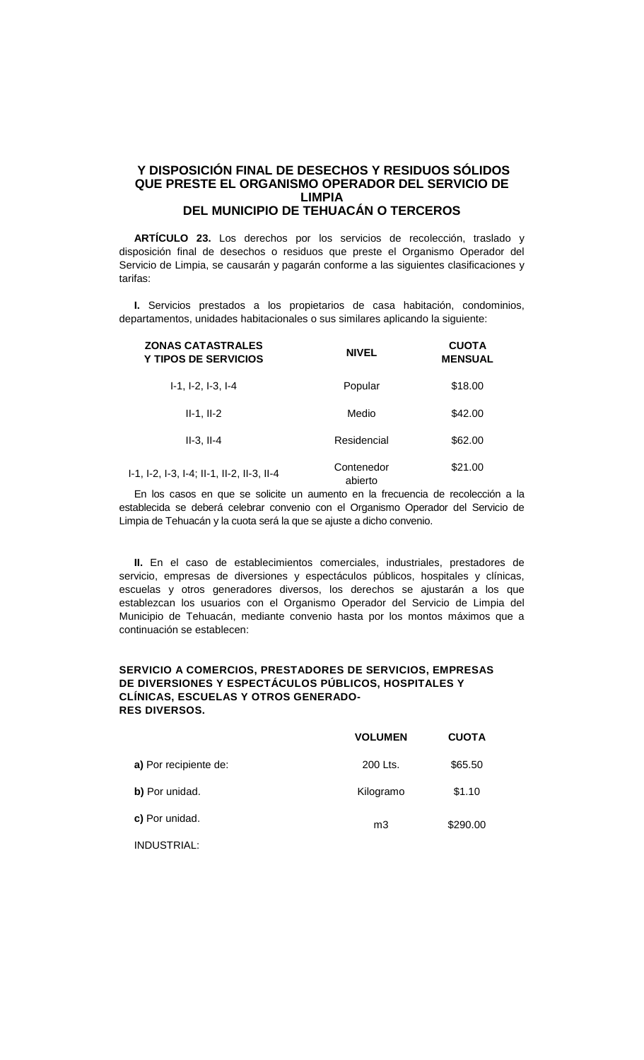### **Y DISPOSICIÓN FINAL DE DESECHOS Y RESIDUOS SÓLIDOS QUE PRESTE EL ORGANISMO OPERADOR DEL SERVICIO DE LIMPIA DEL MUNICIPIO DE TEHUACÁN O TERCEROS**

**ARTÍCULO 23.** Los derechos por los servicios de recolección, traslado y disposición final de desechos o residuos que preste el Organismo Operador del Servicio de Limpia, se causarán y pagarán conforme a las siguientes clasificaciones y tarifas:

**I.** Servicios prestados a los propietarios de casa habitación, condominios, departamentos, unidades habitacionales o sus similares aplicando la siguiente:

| <b>ZONAS CATASTRALES</b><br><b>Y TIPOS DE SERVICIOS</b> | <b>NIVEL</b>          | <b>CUOTA</b><br><b>MENSUAL</b> |  |  |
|---------------------------------------------------------|-----------------------|--------------------------------|--|--|
| $I-1$ , $I-2$ , $I-3$ , $I-4$                           | Popular               | \$18.00                        |  |  |
| $II-1, II-2$                                            | Medio                 | \$42.00                        |  |  |
| $II-3. II-4$                                            | Residencial           | \$62.00                        |  |  |
| I-1, I-2, I-3, I-4; II-1, II-2, II-3, II-4              | Contenedor<br>abierto | \$21.00                        |  |  |

En los casos en que se solicite un aumento en la frecuencia de recolección a la establecida se deberá celebrar convenio con el Organismo Operador del Servicio de Limpia de Tehuacán y la cuota será la que se ajuste a dicho convenio.

**II.** En el caso de establecimientos comerciales, industriales, prestadores de servicio, empresas de diversiones y espectáculos públicos, hospitales y clínicas, escuelas y otros generadores diversos, los derechos se ajustarán a los que establezcan los usuarios con el Organismo Operador del Servicio de Limpia del Municipio de Tehuacán, mediante convenio hasta por los montos máximos que a continuación se establecen:

#### **SERVICIO A COMERCIOS, PRESTADORES DE SERVICIOS, EMPRESAS DE DIVERSIONES Y ESPECTÁCULOS PÚBLICOS, HOSPITALES Y CLÍNICAS, ESCUELAS Y OTROS GENERADO-RES DIVERSOS.**

|                       | <b>VOLUMEN</b> | <b>CUOTA</b> |
|-----------------------|----------------|--------------|
| a) Por recipiente de: | 200 Lts.       | \$65.50      |
| b) Por unidad.        | Kilogramo      | \$1.10       |
| c) Por unidad.        | m3             | \$290.00     |
| INDUSTRIAL:           |                |              |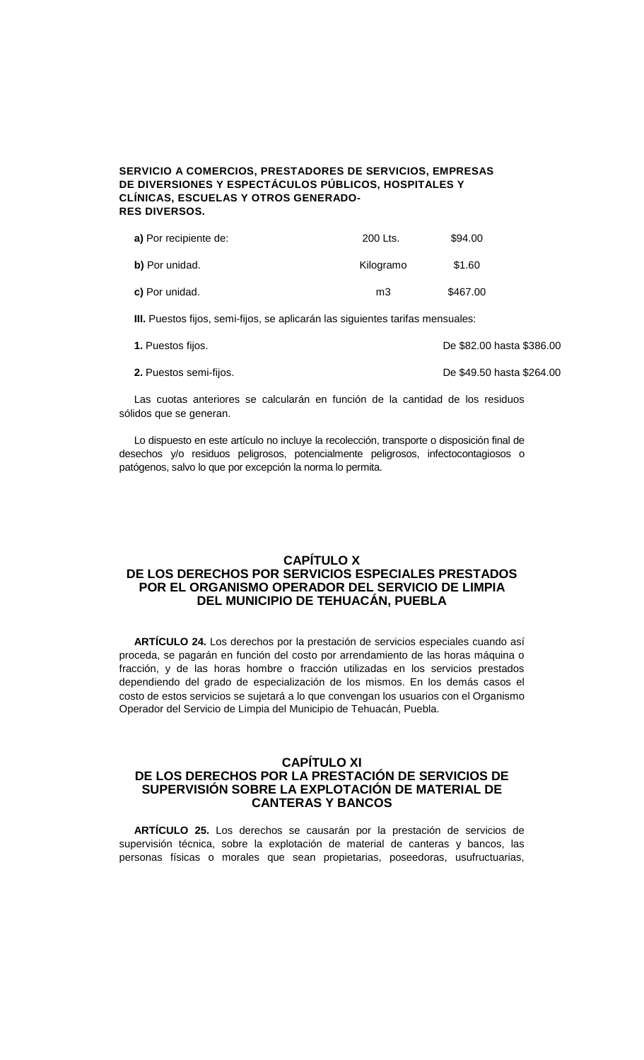#### **SERVICIO A COMERCIOS, PRESTADORES DE SERVICIOS, EMPRESAS DE DIVERSIONES Y ESPECTÁCULOS PÚBLICOS, HOSPITALES Y CLÍNICAS, ESCUELAS Y OTROS GENERADO-RES DIVERSOS.**

| a) Por recipiente de: | 200 Lts.  | \$94.00  |
|-----------------------|-----------|----------|
| b) Por unidad.        | Kilogramo | \$1.60   |
| c) Por unidad.        | mЗ        | \$467.00 |

**III.** Puestos fijos, semi-fijos, se aplicarán las siguientes tarifas mensuales:

| 1. Puestos fijos. | De \$82.00 hasta \$386.00 |
|-------------------|---------------------------|
|-------------------|---------------------------|

**2. Puestos semi-fijos. 2.** *Puestos* **semi-fijos. De \$49.50 hasta \$264.00** 

Las cuotas anteriores se calcularán en función de la cantidad de los residuos sólidos que se generan.

Lo dispuesto en este artículo no incluye la recolección, transporte o disposición final de desechos y/o residuos peligrosos, potencialmente peligrosos, infectocontagiosos o patógenos, salvo lo que por excepción la norma lo permita.

### **CAPÍTULO X DE LOS DERECHOS POR SERVICIOS ESPECIALES PRESTADOS POR EL ORGANISMO OPERADOR DEL SERVICIO DE LIMPIA DEL MUNICIPIO DE TEHUACÁN, PUEBLA**

**ARTÍCULO 24.** Los derechos por la prestación de servicios especiales cuando así proceda, se pagarán en función del costo por arrendamiento de las horas máquina o fracción, y de las horas hombre o fracción utilizadas en los servicios prestados dependiendo del grado de especialización de los mismos. En los demás casos el costo de estos servicios se sujetará a lo que convengan los usuarios con el Organismo Operador del Servicio de Limpia del Municipio de Tehuacán, Puebla.

### **CAPÍTULO XI DE LOS DERECHOS POR LA PRESTACIÓN DE SERVICIOS DE SUPERVISIÓN SOBRE LA EXPLOTACIÓN DE MATERIAL DE CANTERAS Y BANCOS**

**ARTÍCULO 25.** Los derechos se causarán por la prestación de servicios de supervisión técnica, sobre la explotación de material de canteras y bancos, las personas físicas o morales que sean propietarias, poseedoras, usufructuarias,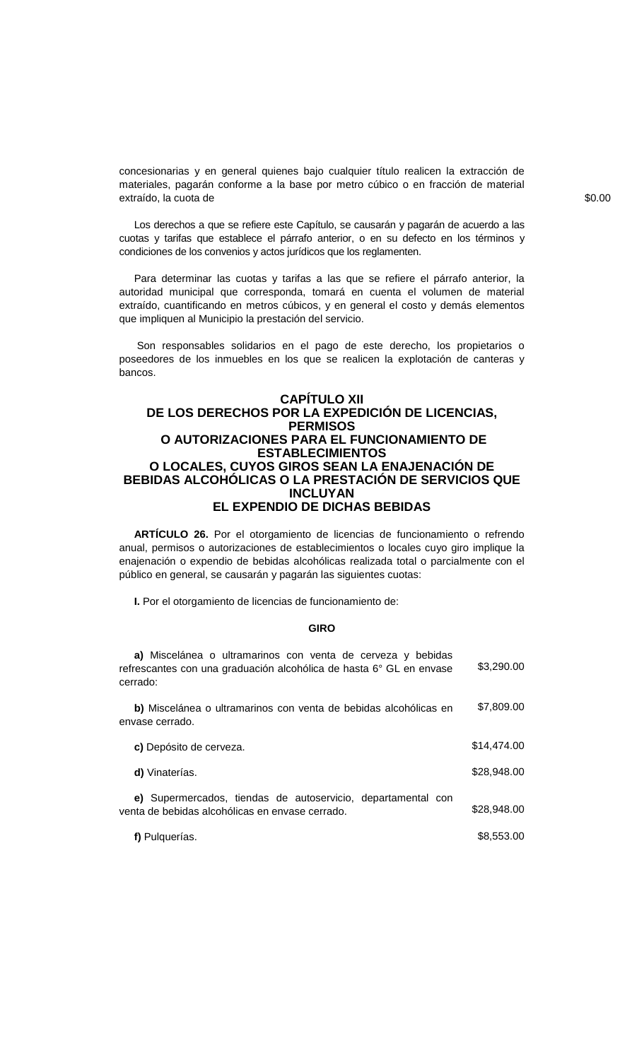concesionarias y en general quienes bajo cualquier título realicen la extracción de materiales, pagarán conforme a la base por metro cúbico o en fracción de material extraído, la cuota de  $\sim$ 

Los derechos a que se refiere este Capítulo, se causarán y pagarán de acuerdo a las cuotas y tarifas que establece el párrafo anterior, o en su defecto en los términos y condiciones de los convenios y actos jurídicos que los reglamenten.

Para determinar las cuotas y tarifas a las que se refiere el párrafo anterior, la autoridad municipal que corresponda, tomará en cuenta el volumen de material extraído, cuantificando en metros cúbicos, y en general el costo y demás elementos que impliquen al Municipio la prestación del servicio.

Son responsables solidarios en el pago de este derecho, los propietarios o poseedores de los inmuebles en los que se realicen la explotación de canteras y bancos.

#### **CAPÍTULO XII DE LOS DERECHOS POR LA EXPEDICIÓN DE LICENCIAS, PERMISOS O AUTORIZACIONES PARA EL FUNCIONAMIENTO DE ESTABLECIMIENTOS O LOCALES, CUYOS GIROS SEAN LA ENAJENACIÓN DE BEBIDAS ALCOHÓLICAS O LA PRESTACIÓN DE SERVICIOS QUE INCLUYAN EL EXPENDIO DE DICHAS BEBIDAS**

**ARTÍCULO 26.** Por el otorgamiento de licencias de funcionamiento o refrendo anual, permisos o autorizaciones de establecimientos o locales cuyo giro implique la enajenación o expendio de bebidas alcohólicas realizada total o parcialmente con el público en general, se causarán y pagarán las siguientes cuotas:

**I.** Por el otorgamiento de licencias de funcionamiento de:

#### **GIRO**

| a) Miscelánea o ultramarinos con venta de cerveza y bebidas<br>refrescantes con una graduación alcohólica de hasta 6° GL en envase<br>cerrado: | \$3,290.00  |
|------------------------------------------------------------------------------------------------------------------------------------------------|-------------|
| b) Miscelánea o ultramarinos con venta de bebidas alcohólicas en<br>envase cerrado.                                                            | \$7,809.00  |
| c) Depósito de cerveza.                                                                                                                        | \$14.474.00 |
| d) Vinaterías.                                                                                                                                 | \$28,948.00 |
| e) Supermercados, tiendas de autoservicio, departamental con<br>venta de bebidas alcohólicas en envase cerrado.                                | \$28,948.00 |
| f) Pulguerías.                                                                                                                                 | \$8,553,00  |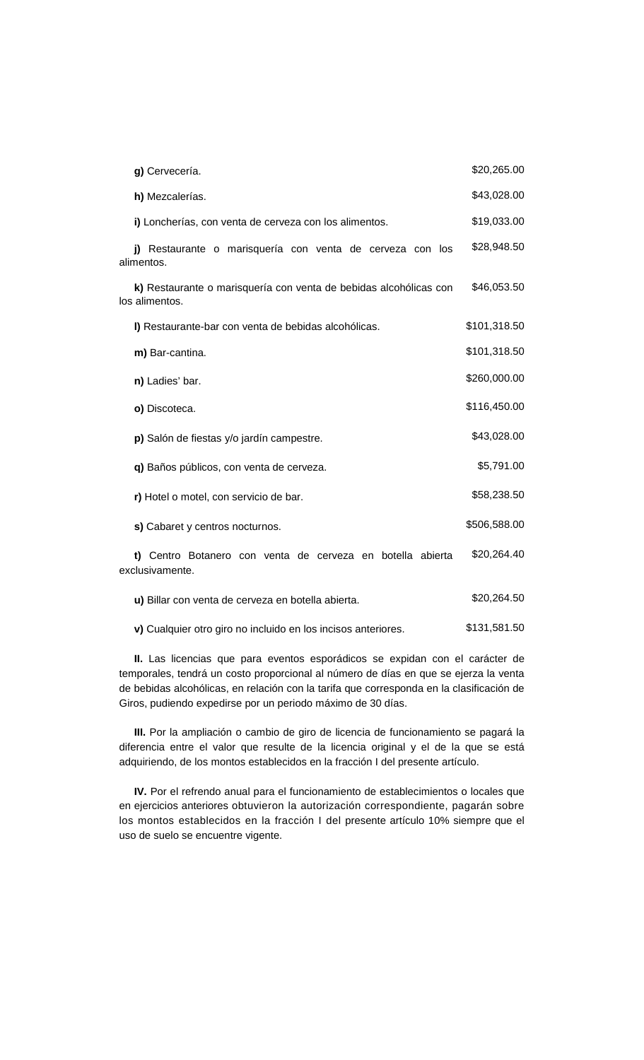| g) Cervecería.                                                                      | \$20,265.00  |
|-------------------------------------------------------------------------------------|--------------|
| h) Mezcalerías.                                                                     | \$43,028.00  |
| i) Loncherías, con venta de cerveza con los alimentos.                              | \$19,033.00  |
| Restaurante o marisquería con venta de cerveza con los<br>alimentos.                | \$28,948.50  |
| k) Restaurante o marisquería con venta de bebidas alcohólicas con<br>los alimentos. | \$46,053.50  |
| I) Restaurante-bar con venta de bebidas alcohólicas.                                | \$101,318.50 |
| m) Bar-cantina.                                                                     | \$101,318.50 |
| n) Ladies' bar.                                                                     | \$260,000.00 |
| o) Discoteca.                                                                       | \$116,450.00 |
| p) Salón de fiestas y/o jardín campestre.                                           | \$43,028.00  |
| q) Baños públicos, con venta de cerveza.                                            | \$5,791.00   |
| r) Hotel o motel, con servicio de bar.                                              | \$58,238.50  |
| s) Cabaret y centros nocturnos.                                                     | \$506,588.00 |
| t) Centro Botanero con venta de cerveza en botella abierta<br>exclusivamente.       | \$20,264.40  |
| u) Billar con venta de cerveza en botella abierta.                                  | \$20,264.50  |
| v) Cualquier otro giro no incluido en los incisos anteriores.                       | \$131,581.50 |

**II.** Las licencias que para eventos esporádicos se expidan con el carácter de temporales, tendrá un costo proporcional al número de días en que se ejerza la venta de bebidas alcohólicas, en relación con la tarifa que corresponda en la clasificación de Giros, pudiendo expedirse por un periodo máximo de 30 días.

**III.** Por la ampliación o cambio de giro de licencia de funcionamiento se pagará la diferencia entre el valor que resulte de la licencia original y el de la que se está adquiriendo, de los montos establecidos en la fracción I del presente artículo.

**IV.** Por el refrendo anual para el funcionamiento de establecimientos o locales que en ejercicios anteriores obtuvieron la autorización correspondiente, pagarán sobre los montos establecidos en la fracción I del presente artículo 10% siempre que el uso de suelo se encuentre vigente.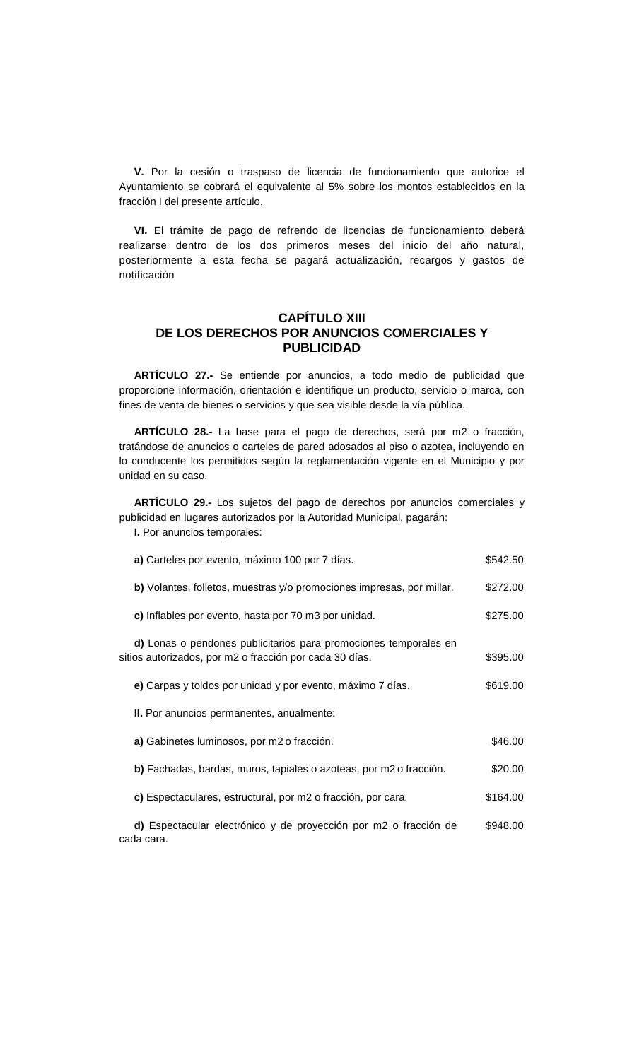**V.** Por la cesión o traspaso de licencia de funcionamiento que autorice el Ayuntamiento se cobrará el equivalente al 5% sobre los montos establecidos en la fracción I del presente artículo.

**VI.** El trámite de pago de refrendo de licencias de funcionamiento deberá realizarse dentro de los dos primeros meses del inicio del año natural, posteriormente a esta fecha se pagará actualización, recargos y gastos de notificación

## **CAPÍTULO XIII DE LOS DERECHOS POR ANUNCIOS COMERCIALES Y PUBLICIDAD**

**ARTÍCULO 27.-** Se entiende por anuncios, a todo medio de publicidad que proporcione información, orientación e identifique un producto, servicio o marca, con fines de venta de bienes o servicios y que sea visible desde la vía pública.

**ARTÍCULO 28.-** La base para el pago de derechos, será por m2 o fracción, tratándose de anuncios o carteles de pared adosados al piso o azotea, incluyendo en lo conducente los permitidos según la reglamentación vigente en el Municipio y por unidad en su caso.

**ARTÍCULO 29.-** Los sujetos del pago de derechos por anuncios comerciales y publicidad en lugares autorizados por la Autoridad Municipal, pagarán:

**I.** Por anuncios temporales:

| a) Carteles por evento, máximo 100 por 7 días.                                                                              | \$542.50 |
|-----------------------------------------------------------------------------------------------------------------------------|----------|
| b) Volantes, folletos, muestras y/o promociones impresas, por millar.                                                       | \$272.00 |
| c) Inflables por evento, hasta por 70 m3 por unidad.                                                                        | \$275.00 |
| d) Lonas o pendones publicitarios para promociones temporales en<br>sitios autorizados, por m2 o fracción por cada 30 días. | \$395.00 |
| e) Carpas y toldos por unidad y por evento, máximo 7 días.                                                                  | \$619.00 |
| <b>II.</b> Por anuncios permanentes, anualmente:                                                                            |          |
| a) Gabinetes luminosos, por m2 o fracción.                                                                                  | \$46.00  |
| b) Fachadas, bardas, muros, tapiales o azoteas, por m2 o fracción.                                                          | \$20.00  |
| c) Espectaculares, estructural, por m2 o fracción, por cara.                                                                | \$164.00 |
| d) Espectacular electrónico y de proyección por m2 o fracción de<br>cada cara.                                              | \$948.00 |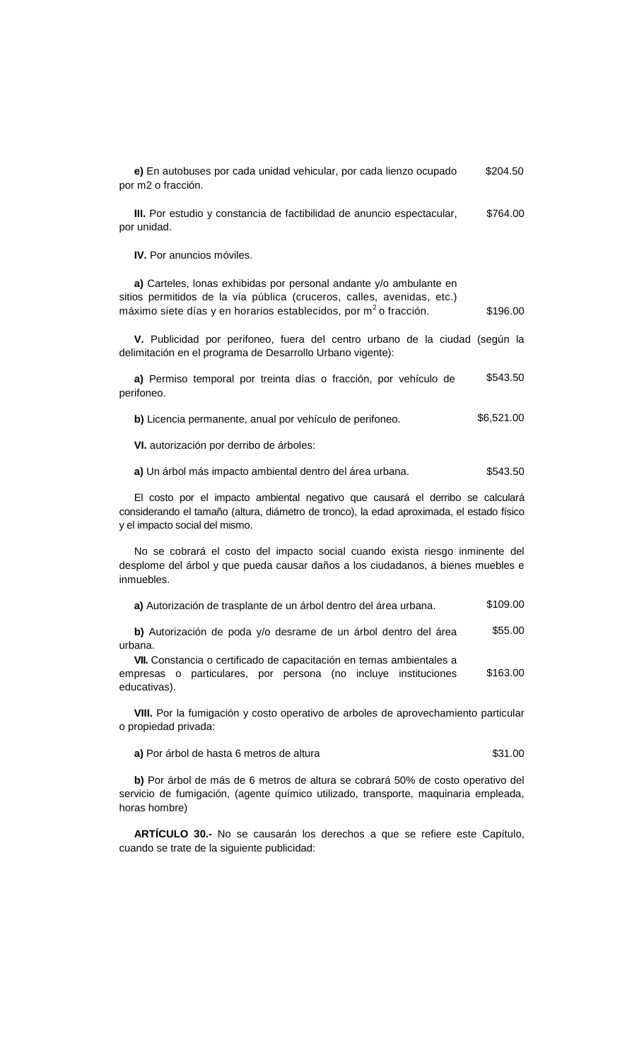| e) En autobuses por cada unidad vehicular, por cada lienzo ocupado<br>por m2 o fracción. | \$204.50 |
|------------------------------------------------------------------------------------------|----------|
| III. Por estudio y constancia de factibilidad de anuncio espectacular,<br>por unidad.    | \$764.00 |
| <b>IV.</b> Por anuncios móviles.                                                         |          |
| a) Carteles, lonas exhibidas por personal andante y/o ambulante en                       |          |

sitios permitidos de la vía pública (cruceros, calles, avenidas, etc.) máximo siete días y en horarios establecidos, por  $m^2$  o fracción.  $$196.00$ 

**V.** Publicidad por perifoneo, fuera del centro urbano de la ciudad (según la delimitación en el programa de Desarrollo Urbano vigente):

| a) Permiso temporal por treinta días o fracción, por vehículo de |  |  |  |  | \$543.50 |
|------------------------------------------------------------------|--|--|--|--|----------|
| perifoneo.                                                       |  |  |  |  |          |

**b)** Licencia permanente, anual por vehículo de perifoneo. \$6,521.00

**VI.** autorización por derribo de árboles:

**a)** Un árbol más impacto ambiental dentro del área urbana. \$543.50

El costo por el impacto ambiental negativo que causará el derribo se calculará considerando el tamaño (altura, diámetro de tronco), la edad aproximada, el estado físico y el impacto social del mismo.

No se cobrará el costo del impacto social cuando exista riesgo inminente del desplome del árbol y que pueda causar daños a los ciudadanos, a bienes muebles e inmuebles.

| a) Autorización de trasplante de un árbol dentro del área urbana. | \$109.00 |
|-------------------------------------------------------------------|----------|
|-------------------------------------------------------------------|----------|

**b)** Autorización de poda y/o desrame de un árbol dentro del área urbana. \$55.00

**VII.** Constancia o certificado de capacitación en temas ambientales a empresas o particulares, por persona (no incluye instituciones educativas). \$163.00

**VIII.** Por la fumigación y costo operativo de arboles de aprovechamiento particular o propiedad privada:

**a)** Por árbol de hasta 6 metros de altura  $$31.00$ 

**b)** Por árbol de más de 6 metros de altura se cobrará 50% de costo operativo del servicio de fumigación, (agente químico utilizado, transporte, maquinaria empleada, horas hombre)

**ARTÍCULO 30.-** No se causarán los derechos a que se refiere este Capítulo, cuando se trate de la siguiente publicidad: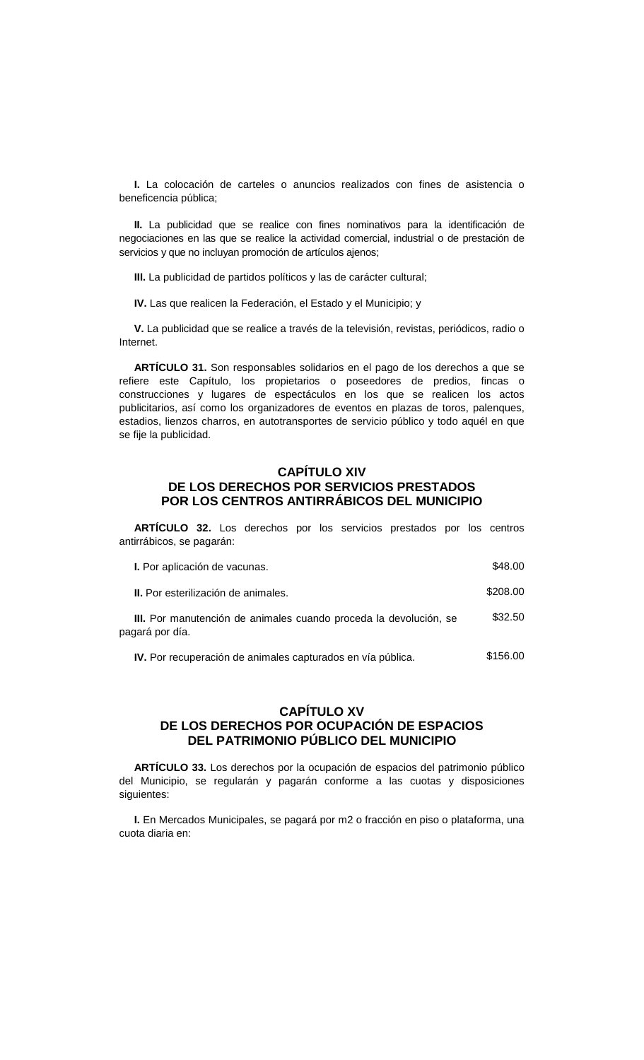**I.** La colocación de carteles o anuncios realizados con fines de asistencia o beneficencia pública;

**II.** La publicidad que se realice con fines nominativos para la identificación de negociaciones en las que se realice la actividad comercial, industrial o de prestación de servicios y que no incluyan promoción de artículos ajenos;

**III.** La publicidad de partidos políticos y las de carácter cultural;

**IV.** Las que realicen la Federación, el Estado y el Municipio; y

**V.** La publicidad que se realice a través de la televisión, revistas, periódicos, radio o Internet.

**ARTÍCULO 31.** Son responsables solidarios en el pago de los derechos a que se refiere este Capítulo, los propietarios o poseedores de predios, fincas o construcciones y lugares de espectáculos en los que se realicen los actos publicitarios, así como los organizadores de eventos en plazas de toros, palenques, estadios, lienzos charros, en autotransportes de servicio público y todo aquél en que se fije la publicidad.

### **CAPÍTULO XIV DE LOS DERECHOS POR SERVICIOS PRESTADOS POR LOS CENTROS ANTIRRÁBICOS DEL MUNICIPIO**

**ARTÍCULO 32.** Los derechos por los servicios prestados por los centros antirrábicos, se pagarán:

| I. Por aplicación de vacunas.                                                        | \$48.00  |
|--------------------------------------------------------------------------------------|----------|
| II. Por esterilización de animales.                                                  | \$208.00 |
| III. Por manutención de animales cuando proceda la devolución, se<br>pagará por día. | \$32.50  |

**IV.** Por recuperación de animales capturados en vía pública. \$156.00

### **CAPÍTULO XV DE LOS DERECHOS POR OCUPACIÓN DE ESPACIOS DEL PATRIMONIO PÚBLICO DEL MUNICIPIO**

**ARTÍCULO 33.** Los derechos por la ocupación de espacios del patrimonio público del Municipio, se regularán y pagarán conforme a las cuotas y disposiciones siguientes:

**I.** En Mercados Municipales, se pagará por m2 o fracción en piso o plataforma, una cuota diaria en: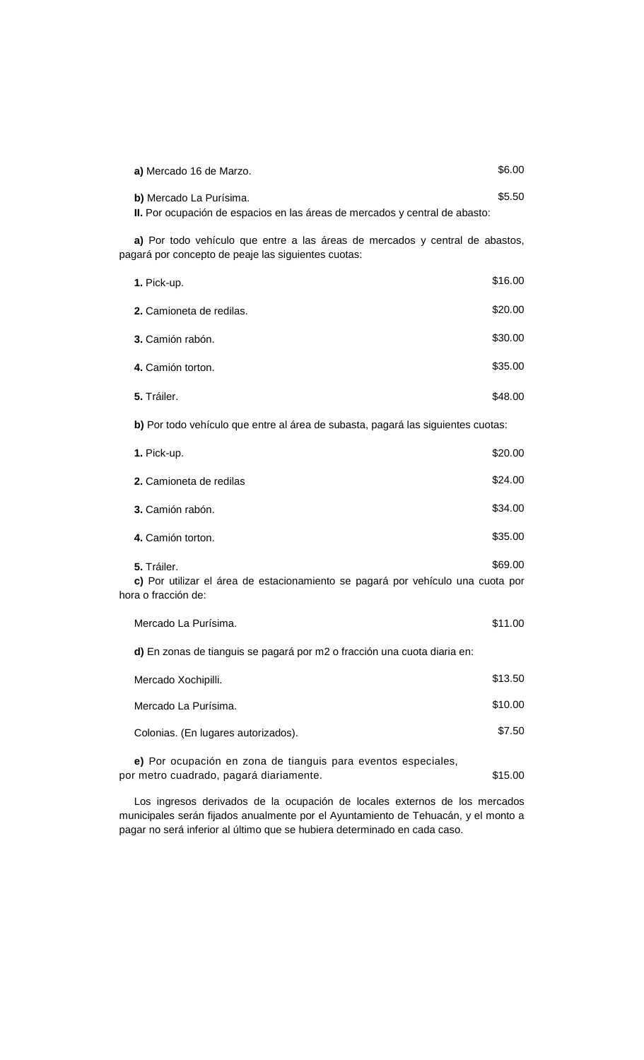| a) Mercado 16 de Marzo.                                                                                                             | \$6.00  |
|-------------------------------------------------------------------------------------------------------------------------------------|---------|
| b) Mercado La Purísima.<br>II. Por ocupación de espacios en las áreas de mercados y central de abasto:                              | \$5.50  |
| a) Por todo vehículo que entre a las áreas de mercados y central de abastos,<br>pagará por concepto de peaje las siguientes cuotas: |         |
| 1. Pick-up.                                                                                                                         | \$16.00 |
| 2. Camioneta de redilas.                                                                                                            | \$20.00 |
| 3. Camión rabón.                                                                                                                    | \$30.00 |
| 4. Camión torton.                                                                                                                   | \$35.00 |
| 5. Tráiler.                                                                                                                         | \$48.00 |
| b) Por todo vehículo que entre al área de subasta, pagará las siguientes cuotas:                                                    |         |
| 1. Pick-up.                                                                                                                         | \$20.00 |
| 2. Camioneta de redilas                                                                                                             | \$24.00 |
| 3. Camión rabón.                                                                                                                    | \$34.00 |
| 4. Camión torton.                                                                                                                   | \$35.00 |
| 5. Tráiler.<br>c) Por utilizar el área de estacionamiento se pagará por vehículo una cuota por<br>hora o fracción de:               | \$69.00 |
| Mercado La Purísima.                                                                                                                | \$11.00 |
| d) En zonas de tianguis se pagará por m2 o fracción una cuota diaria en:                                                            |         |
| Mercado Xochipilli.                                                                                                                 | \$13.50 |
| Mercado La Purísima.                                                                                                                | \$10.00 |
| Colonias. (En lugares autorizados).                                                                                                 | \$7.50  |
| e) Por ocupación en zona de tianguis para eventos especiales,<br>por metro cuadrado, pagará diariamente.                            | \$15.00 |

Los ingresos derivados de la ocupación de locales externos de los mercados municipales serán fijados anualmente por el Ayuntamiento de Tehuacán, y el monto a pagar no será inferior al último que se hubiera determinado en cada caso.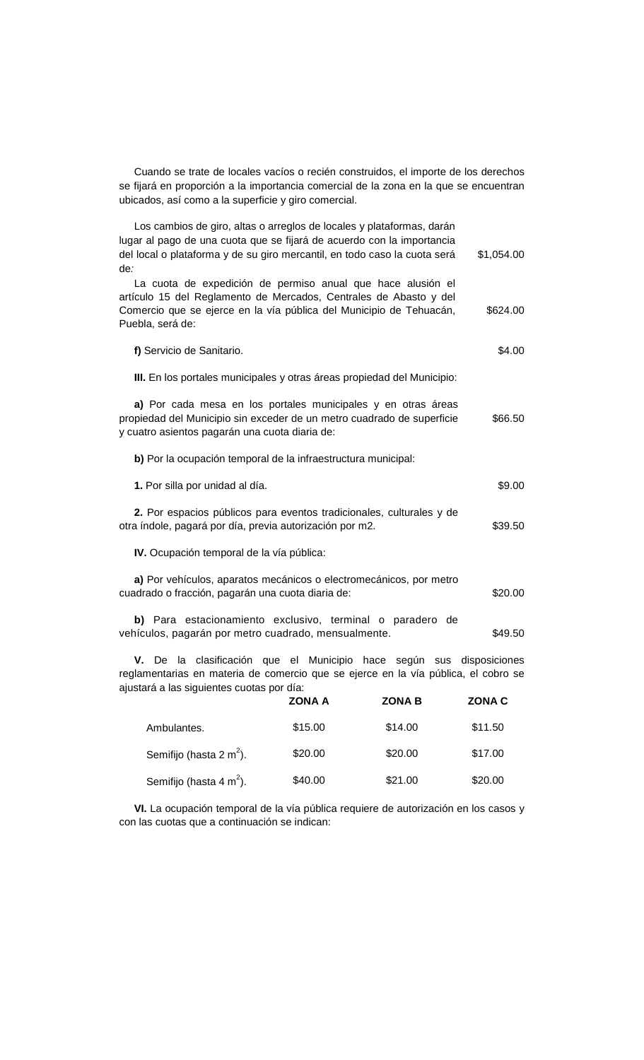Cuando se trate de locales vacíos o recién construidos, el importe de los derechos se fijará en proporción a la importancia comercial de la zona en la que se encuentran ubicados, así como a la superficie y giro comercial.

| Los cambios de giro, altas o arreglos de locales y plataformas, darán<br>lugar al pago de una cuota que se fijará de acuerdo con la importancia                                                                             |            |
|-----------------------------------------------------------------------------------------------------------------------------------------------------------------------------------------------------------------------------|------------|
| del local o plataforma y de su giro mercantil, en todo caso la cuota será<br>de:                                                                                                                                            | \$1,054.00 |
| La cuota de expedición de permiso anual que hace alusión el<br>artículo 15 del Reglamento de Mercados, Centrales de Abasto y del<br>Comercio que se ejerce en la vía pública del Municipio de Tehuacán,<br>Puebla, será de: | \$624.00   |
| f) Servicio de Sanitario.                                                                                                                                                                                                   | \$4.00     |
| III. En los portales municipales y otras áreas propiedad del Municipio:                                                                                                                                                     |            |
| a) Por cada mesa en los portales municipales y en otras áreas<br>propiedad del Municipio sin exceder de un metro cuadrado de superficie<br>y cuatro asientos pagarán una cuota diaria de:                                   | \$66.50    |
| b) Por la ocupación temporal de la infraestructura municipal:                                                                                                                                                               |            |
| 1. Por silla por unidad al día.                                                                                                                                                                                             | \$9.00     |
| 2. Por espacios públicos para eventos tradicionales, culturales y de<br>otra índole, pagará por día, previa autorización por m2.                                                                                            | \$39.50    |
| IV. Ocupación temporal de la vía pública:                                                                                                                                                                                   |            |
| a) Por vehículos, aparatos mecánicos o electromecánicos, por metro<br>cuadrado o fracción, pagarán una cuota diaria de:                                                                                                     | \$20.00    |
| b) Para estacionamiento exclusivo, terminal o paradero de<br>vehículos, pagarán por metro cuadrado, mensualmente.                                                                                                           | \$49.50    |
| <b>V.</b> De la clasificación que el Municipio hace según sus disposiciones                                                                                                                                                 |            |

**V.** De la clasificación que el Municipio hace según sus disposiciones reglamentarias en materia de comercio que se ejerce en la vía pública, el cobro se ajustará a las siguientes cuotas por día:

|                                     | <b>ZONA A</b> | <b>ZONA B</b> | <b>ZONA C</b> |
|-------------------------------------|---------------|---------------|---------------|
| Ambulantes.                         | \$15.00       | \$14.00       | \$11.50       |
| Semifijo (hasta 2 m <sup>2</sup> ). | \$20.00       | \$20.00       | \$17.00       |
| Semifijo (hasta 4 m <sup>2</sup> ). | \$40.00       | \$21.00       | \$20.00       |

**VI.** La ocupación temporal de la vía pública requiere de autorización en los casos y con las cuotas que a continuación se indican: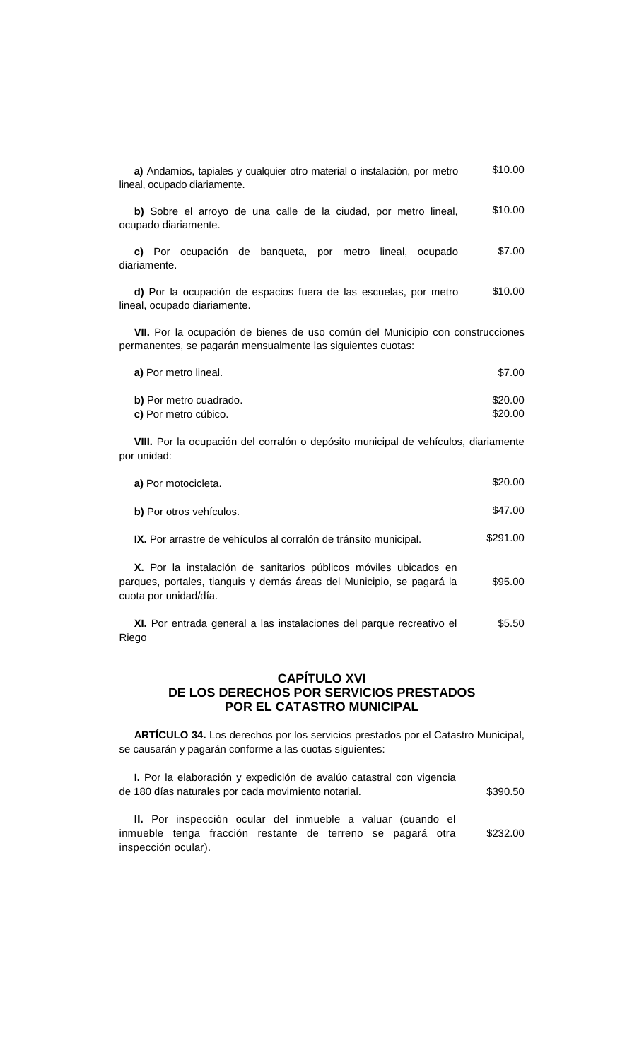| a) Andamios, tapiales y cualquier otro material o instalación, por metro<br>lineal, ocupado diariamente.                                                           | \$10.00            |
|--------------------------------------------------------------------------------------------------------------------------------------------------------------------|--------------------|
| b) Sobre el arroyo de una calle de la ciudad, por metro lineal,<br>ocupado diariamente.                                                                            | \$10.00            |
| c) Por ocupación de banqueta, por metro lineal, ocupado<br>diariamente.                                                                                            | \$7.00             |
| d) Por la ocupación de espacios fuera de las escuelas, por metro<br>lineal, ocupado diariamente.                                                                   | \$10.00            |
| VII. Por la ocupación de bienes de uso común del Municipio con construcciones<br>permanentes, se pagarán mensualmente las siguientes cuotas:                       |                    |
| a) Por metro lineal.                                                                                                                                               | \$7.00             |
| b) Por metro cuadrado.                                                                                                                                             | \$20.00<br>\$20.00 |
| c) Por metro cúbico.                                                                                                                                               |                    |
| VIII. Por la ocupación del corralón o depósito municipal de vehículos, diariamente<br>por unidad:                                                                  |                    |
| a) Por motocicleta.                                                                                                                                                | \$20.00            |
| b) Por otros vehículos.                                                                                                                                            | \$47.00            |
| IX. Por arrastre de vehículos al corralón de tránsito municipal.                                                                                                   | \$291.00           |
| X. Por la instalación de sanitarios públicos móviles ubicados en<br>parques, portales, tianguis y demás áreas del Municipio, se pagará la<br>cuota por unidad/día. | \$95.00            |

**XI.** Por entrada general a las instalaciones del parque recreativo el Riego \$5.50

#### **CAPÍTULO XVI DE LOS DERECHOS POR SERVICIOS PRESTADOS POR EL CATASTRO MUNICIPAL**

**ARTÍCULO 34.** Los derechos por los servicios prestados por el Catastro Municipal, se causarán y pagarán conforme a las cuotas siguientes:

| I. Por la elaboración y expedición de avalúo catastral con vigencia |          |
|---------------------------------------------------------------------|----------|
| de 180 días naturales por cada movimiento notarial.                 | \$390.50 |

**II.** Por inspección ocular del inmueble a valuar (cuando el inmueble tenga fracción restante de terreno se pagará otra inspección ocular). \$232.00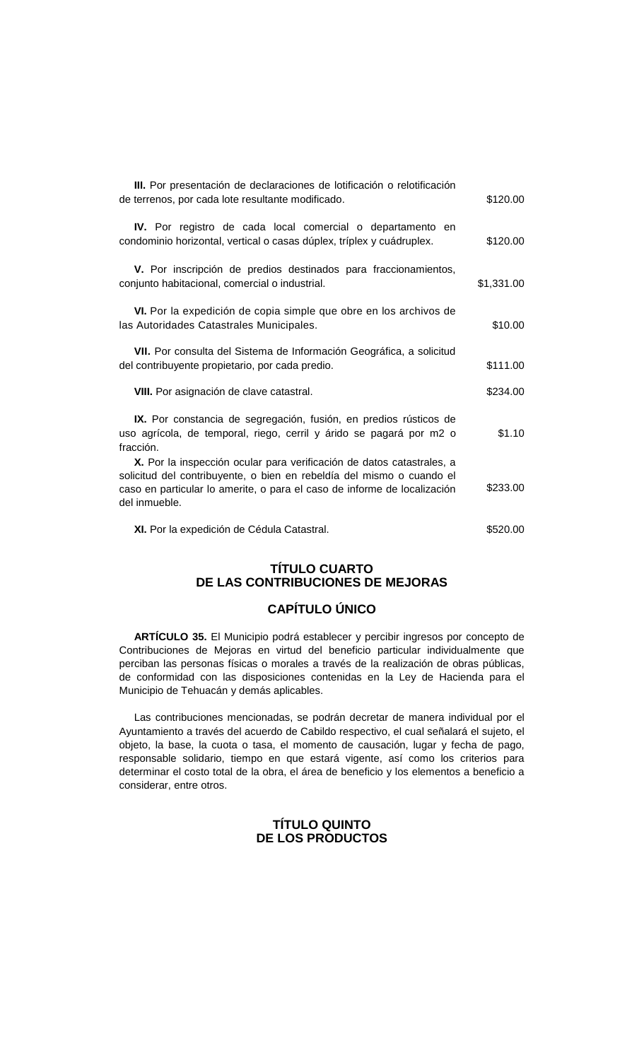| III. Por presentación de declaraciones de lotificación o relotificación<br>de terrenos, por cada lote resultante modificado.                                                                                                                | \$120.00   |
|---------------------------------------------------------------------------------------------------------------------------------------------------------------------------------------------------------------------------------------------|------------|
| IV. Por registro de cada local comercial o departamento en<br>condominio horizontal, vertical o casas dúplex, tríplex y cuádruplex.                                                                                                         | \$120.00   |
| V. Por inscripción de predios destinados para fraccionamientos,<br>conjunto habitacional, comercial o industrial.                                                                                                                           | \$1,331.00 |
| VI. Por la expedición de copia simple que obre en los archivos de<br>las Autoridades Catastrales Municipales.                                                                                                                               | \$10.00    |
| VII. Por consulta del Sistema de Información Geográfica, a solicitud<br>del contribuyente propietario, por cada predio.                                                                                                                     | \$111.00   |
| VIII. Por asignación de clave catastral.                                                                                                                                                                                                    | \$234.00   |
| IX. Por constancia de segregación, fusión, en predios rústicos de<br>uso agrícola, de temporal, riego, cerril y árido se pagará por m2 o<br>fracción.                                                                                       | \$1.10     |
| X. Por la inspección ocular para verificación de datos catastrales, a<br>solicitud del contribuyente, o bien en rebeldía del mismo o cuando el<br>caso en particular lo amerite, o para el caso de informe de localización<br>del inmueble. | \$233.00   |
| XI. Por la expedición de Cédula Catastral.                                                                                                                                                                                                  | \$520.00   |

# **TÍTULO CUARTO DE LAS CONTRIBUCIONES DE MEJORAS**

# **CAPÍTULO ÚNICO**

**ARTÍCULO 35.** El Municipio podrá establecer y percibir ingresos por concepto de Contribuciones de Mejoras en virtud del beneficio particular individualmente que perciban las personas físicas o morales a través de la realización de obras públicas, de conformidad con las disposiciones contenidas en la Ley de Hacienda para el Municipio de Tehuacán y demás aplicables.

Las contribuciones mencionadas, se podrán decretar de manera individual por el Ayuntamiento a través del acuerdo de Cabildo respectivo, el cual señalará el sujeto, el objeto, la base, la cuota o tasa, el momento de causación, lugar y fecha de pago, responsable solidario, tiempo en que estará vigente, así como los criterios para determinar el costo total de la obra, el área de beneficio y los elementos a beneficio a considerar, entre otros.

### **TÍTULO QUINTO DE LOS PRODUCTOS**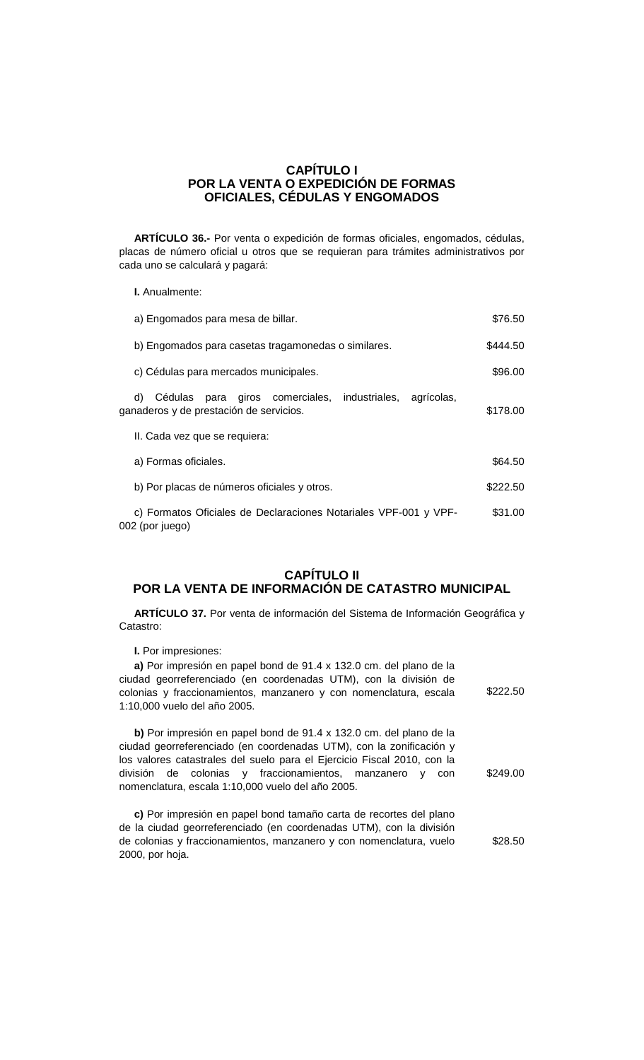### **CAPÍTULO I POR LA VENTA O EXPEDICIÓN DE FORMAS OFICIALES, CÉDULAS Y ENGOMADOS**

**ARTÍCULO 36.-** Por venta o expedición de formas oficiales, engomados, cédulas, placas de número oficial u otros que se requieran para trámites administrativos por cada uno se calculará y pagará:

**I.** Anualmente:

| a) Engomados para mesa de billar.                                                                         | \$76.50  |
|-----------------------------------------------------------------------------------------------------------|----------|
| b) Engomados para casetas tragamonedas o similares.                                                       | \$444.50 |
| c) Cédulas para mercados municipales.                                                                     | \$96.00  |
| Cédulas para giros comerciales, industriales, agrícolas,<br>d)<br>ganaderos y de prestación de servicios. | \$178.00 |
| II. Cada vez que se requiera:                                                                             |          |
| a) Formas oficiales.                                                                                      | \$64.50  |
| b) Por placas de números oficiales y otros.                                                               | \$222.50 |
| c) Formatos Oficiales de Declaraciones Notariales VPF-001 y VPF-<br>002 (por juego)                       | \$31.00  |

# **CAPÍTULO II POR LA VENTA DE INFORMACIÓN DE CATASTRO MUNICIPAL**

**ARTÍCULO 37.** Por venta de información del Sistema de Información Geográfica y Catastro:

**I.** Por impresiones:

| a) Por impresión en papel bond de 91.4 x 132.0 cm. del plano de la |          |
|--------------------------------------------------------------------|----------|
| ciudad georreferenciado (en coordenadas UTM), con la división de   |          |
| colonias y fraccionamientos, manzanero y con nomenclatura, escala  | \$222.50 |
| 1:10,000 vuelo del año 2005.                                       |          |
| h) Der impresión en penel bend de 04.4 y 422.0 em del plens de la  |          |

**b)** Por impresión en papel bond de 91.4 x 132.0 cm. del plano de la ciudad georreferenciado (en coordenadas UTM), con la zonificación y los valores catastrales del suelo para el Ejercicio Fiscal 2010, con la división de colonias y fraccionamientos, manzanero y con nomenclatura, escala 1:10,000 vuelo del año 2005. \$249.00

**c)** Por impresión en papel bond tamaño carta de recortes del plano de la ciudad georreferenciado (en coordenadas UTM), con la división de colonias y fraccionamientos, manzanero y con nomenclatura, vuelo 2000, por hoja. \$28.50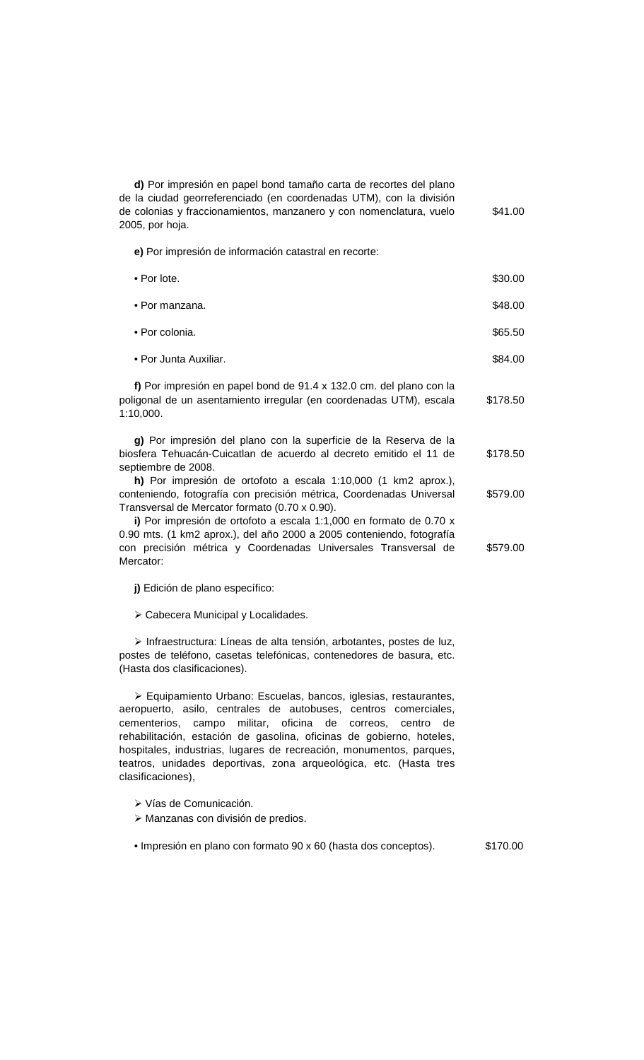**d)** Por impresión en papel bond tamaño carta de recortes del plano de la ciudad georreferenciado (en coordenadas UTM), con la división de colonias y fraccionamientos, manzanero y con nomenclatura, vuelo 2005, por hoja. \$41.00

**e)** Por impresión de información catastral en recorte:

| • Por lote.                                                                                                                                                                                                                                                               | \$30.00  |
|---------------------------------------------------------------------------------------------------------------------------------------------------------------------------------------------------------------------------------------------------------------------------|----------|
| • Por manzana.                                                                                                                                                                                                                                                            | \$48.00  |
| • Por colonia.                                                                                                                                                                                                                                                            | \$65.50  |
| • Por Junta Auxiliar.                                                                                                                                                                                                                                                     | \$84.00  |
| f) Por impresión en papel bond de 91.4 x 132.0 cm. del plano con la<br>poligonal de un asentamiento irregular (en coordenadas UTM), escala<br>1:10,000.                                                                                                                   | \$178.50 |
| g) Por impresión del plano con la superficie de la Reserva de la<br>biosfera Tehuacán-Cuicatlan de acuerdo al decreto emitido el 11 de<br>septiembre de 2008.                                                                                                             | \$178.50 |
| h) Por impresión de ortofoto a escala 1:10,000 (1 km2 aprox.),<br>conteniendo, fotografía con precisión métrica, Coordenadas Universal<br>Transversal de Mercator formato (0.70 x 0.90).<br>$\frac{1}{2}$ Der impresión de ertefete a escala 1:1.000 en fermete de 0.70 v | \$579.00 |

**i)** Por impresión de ortofoto a escala 1:1,000 en formato de 0.70 x 0.90 mts. (1 km2 aprox.), del año 2000 a 2005 conteniendo, fotografía con precisión métrica y Coordenadas Universales Transversal de Mercator: \$579.00

**j)** Edición de plano específico:

Cabecera Municipal y Localidades.

 Infraestructura: Líneas de alta tensión, arbotantes, postes de luz, postes de teléfono, casetas telefónicas, contenedores de basura, etc. (Hasta dos clasificaciones).

 Equipamiento Urbano: Escuelas, bancos, iglesias, restaurantes, aeropuerto, asilo, centrales de autobuses, centros comerciales, cementerios, campo militar, oficina de correos, centro de rehabilitación, estación de gasolina, oficinas de gobierno, hoteles, hospitales, industrias, lugares de recreación, monumentos, parques, teatros, unidades deportivas, zona arqueológica, etc. (Hasta tres clasificaciones),

Vías de Comunicación.

Manzanas con división de predios.

• Impresión en plano con formato 90 x 60 (hasta dos conceptos). \$170.00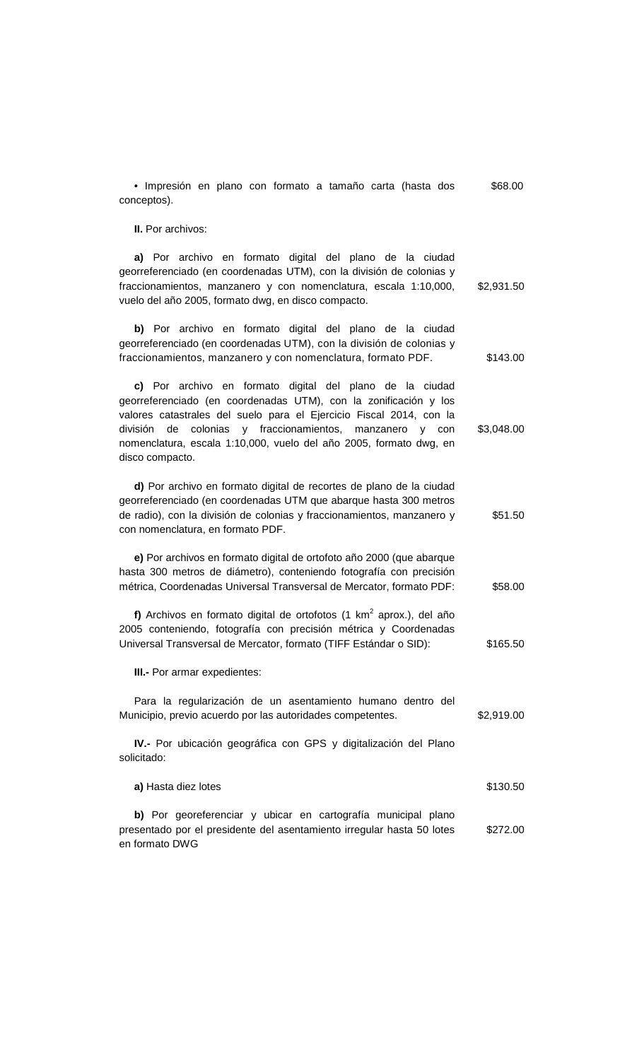• Impresión en plano con formato a tamaño carta (hasta dos conceptos). \$68.00 **II.** Por archivos: **a)** Por archivo en formato digital del plano de la ciudad georreferenciado (en coordenadas UTM), con la división de colonias y fraccionamientos, manzanero y con nomenclatura, escala 1:10,000, vuelo del año 2005, formato dwg, en disco compacto. \$2,931.50 **b)** Por archivo en formato digital del plano de la ciudad georreferenciado (en coordenadas UTM), con la división de colonias y fraccionamientos, manzanero y con nomenclatura, formato PDF. \$143.00 **c)** Por archivo en formato digital del plano de la ciudad georreferenciado (en coordenadas UTM), con la zonificación y los valores catastrales del suelo para el Ejercicio Fiscal 2014, con la división de colonias y fraccionamientos, manzanero y con nomenclatura, escala 1:10,000, vuelo del año 2005, formato dwg, en disco compacto. \$3,048.00 **d)** Por archivo en formato digital de recortes de plano de la ciudad georreferenciado (en coordenadas UTM que abarque hasta 300 metros de radio), con la división de colonias y fraccionamientos, manzanero y con nomenclatura, en formato PDF. \$51.50 **e)** Por archivos en formato digital de ortofoto año 2000 (que abarque hasta 300 metros de diámetro), conteniendo fotografía con precisión métrica, Coordenadas Universal Transversal de Mercator, formato PDF: \$58.00 f) Archivos en formato digital de ortofotos (1 km<sup>2</sup> aprox.), del año 2005 conteniendo, fotografía con precisión métrica y Coordenadas Universal Transversal de Mercator, formato (TIFF Estándar o SID): \$165.50 **III.-** Por armar expedientes: Para la regularización de un asentamiento humano dentro del Municipio, previo acuerdo por las autoridades competentes. \$2,919.00 **IV.-** Por ubicación geográfica con GPS y digitalización del Plano solicitado: **a)** Hasta diez lotes \$130.50 **b)** Por georeferenciar y ubicar en cartografía municipal plano presentado por el presidente del asentamiento irregular hasta 50 lotes en formato DWG \$272.00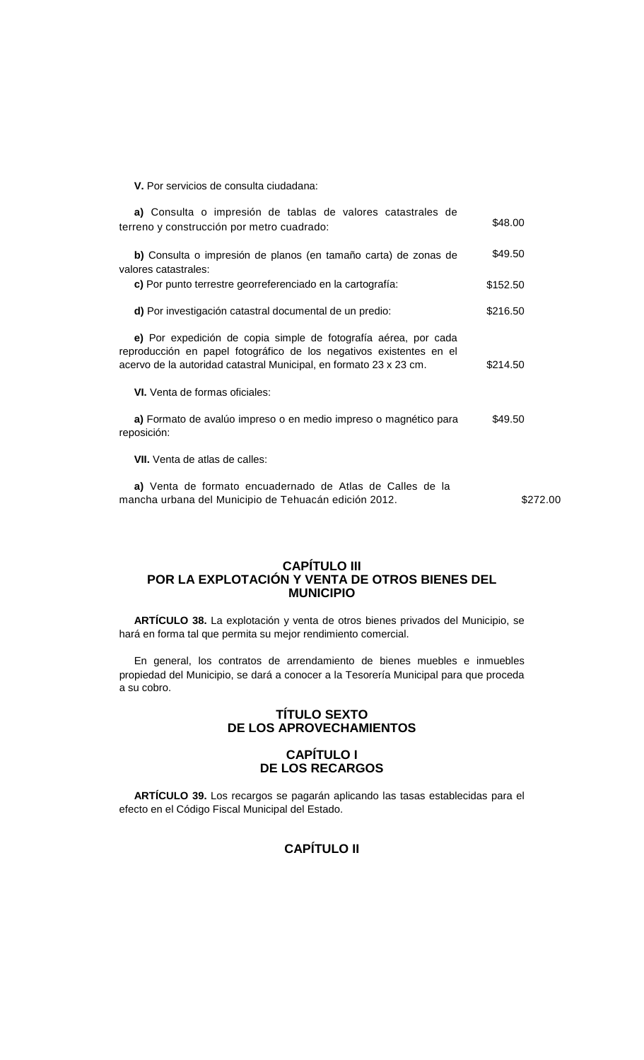**V.** Por servicios de consulta ciudadana:

| a) Consulta o impresión de tablas de valores catastrales de                                                                                                                                                  | \$48.00  |
|--------------------------------------------------------------------------------------------------------------------------------------------------------------------------------------------------------------|----------|
| terreno y construcción por metro cuadrado:                                                                                                                                                                   |          |
| b) Consulta o impresión de planos (en tamaño carta) de zonas de<br>valores catastrales:                                                                                                                      | \$49.50  |
| c) Por punto terrestre georreferenciado en la cartografía:                                                                                                                                                   | \$152.50 |
|                                                                                                                                                                                                              |          |
| d) Por investigación catastral documental de un predio:                                                                                                                                                      | \$216.50 |
| e) Por expedición de copia simple de fotografía aérea, por cada<br>reproducción en papel fotográfico de los negativos existentes en el<br>acervo de la autoridad catastral Municipal, en formato 23 x 23 cm. | \$214.50 |
| <b>VI.</b> Venta de formas oficiales:                                                                                                                                                                        |          |
| a) Formato de avalúo impreso o en medio impreso o magnético para<br>reposición:                                                                                                                              | \$49.50  |
| <b>VII.</b> Venta de atlas de calles:                                                                                                                                                                        |          |
| a) Venta de formato encuadernado de Atlas de Calles de la                                                                                                                                                    |          |

mancha urbana del Municipio de Tehuacán edición 2012. \$272.00

#### **CAPÍTULO III POR LA EXPLOTACIÓN Y VENTA DE OTROS BIENES DEL MUNICIPIO**

**ARTÍCULO 38.** La explotación y venta de otros bienes privados del Municipio, se hará en forma tal que permita su mejor rendimiento comercial.

En general, los contratos de arrendamiento de bienes muebles e inmuebles propiedad del Municipio, se dará a conocer a la Tesorería Municipal para que proceda a su cobro.

## **TÍTULO SEXTO DE LOS APROVECHAMIENTOS**

### **CAPÍTULO I DE LOS RECARGOS**

**ARTÍCULO 39.** Los recargos se pagarán aplicando las tasas establecidas para el efecto en el Código Fiscal Municipal del Estado.

# **CAPÍTULO II**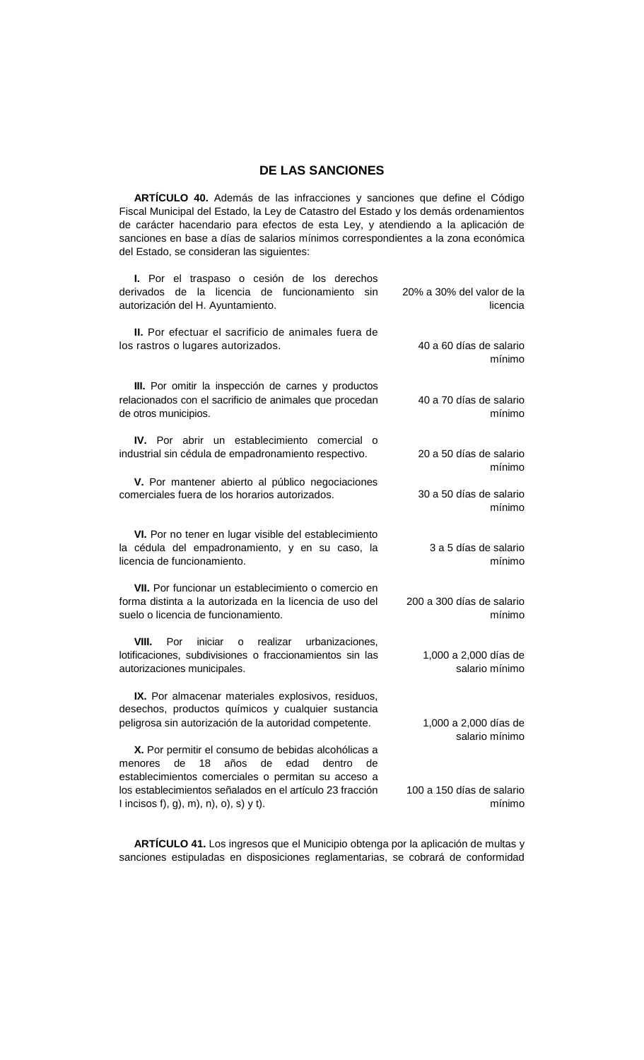### **DE LAS SANCIONES**

**ARTÍCULO 40.** Además de las infracciones y sanciones que define el Código Fiscal Municipal del Estado, la Ley de Catastro del Estado y los demás ordenamientos de carácter hacendario para efectos de esta Ley, y atendiendo a la aplicación de sanciones en base a días de salarios mínimos correspondientes a la zona económica del Estado, se consideran las siguientes:

| I. Por el traspaso o cesión de los derechos<br>la<br>licencia de funcionamiento<br>derivados<br>de<br>sin<br>autorización del H. Ayuntamiento.                          | 20% a 30% del valor de la<br>licencia   |
|-------------------------------------------------------------------------------------------------------------------------------------------------------------------------|-----------------------------------------|
| II. Por efectuar el sacrificio de animales fuera de<br>los rastros o lugares autorizados.                                                                               | 40 a 60 días de salario<br>mínimo       |
| III. Por omitir la inspección de carnes y productos<br>relacionados con el sacrificio de animales que procedan<br>de otros municipios.                                  | 40 a 70 días de salario<br>mínimo       |
| <b>IV.</b> Por abrir un establecimiento comercial<br>$\Omega$<br>industrial sin cédula de empadronamiento respectivo.                                                   | 20 a 50 días de salario<br>mínimo       |
| V. Por mantener abierto al público negociaciones<br>comerciales fuera de los horarios autorizados.                                                                      | 30 a 50 días de salario<br>mínimo       |
| VI. Por no tener en lugar visible del establecimiento<br>la cédula del empadronamiento, y en su caso, la<br>licencia de funcionamiento.                                 | 3 a 5 días de salario<br>mínimo         |
| VII. Por funcionar un establecimiento o comercio en<br>forma distinta a la autorizada en la licencia de uso del<br>suelo o licencia de funcionamiento.                  | 200 a 300 días de salario<br>mínimo     |
| VIII.<br>Por<br>iniciar<br>realizar<br>urbanizaciones,<br>0<br>lotificaciones, subdivisiones o fraccionamientos sin las<br>autorizaciones municipales.                  | 1,000 a 2,000 días de<br>salario mínimo |
| IX. Por almacenar materiales explosivos, residuos,<br>desechos, productos químicos y cualquier sustancia<br>peligrosa sin autorización de la autoridad competente.      | 1,000 a 2,000 días de<br>salario mínimo |
| X. Por permitir el consumo de bebidas alcohólicas a<br>18<br>años<br>de<br>edad<br>dentro<br>de<br>menores<br>de<br>establecimientos comerciales o permitan su acceso a |                                         |
| los establecimientos señalados en el artículo 23 fracción<br>I incisos f), g), m), n), o), s) y t).                                                                     | 100 a 150 días de salario<br>mínimo     |

**ARTÍCULO 41.** Los ingresos que el Municipio obtenga por la aplicación de multas y sanciones estipuladas en disposiciones reglamentarias, se cobrará de conformidad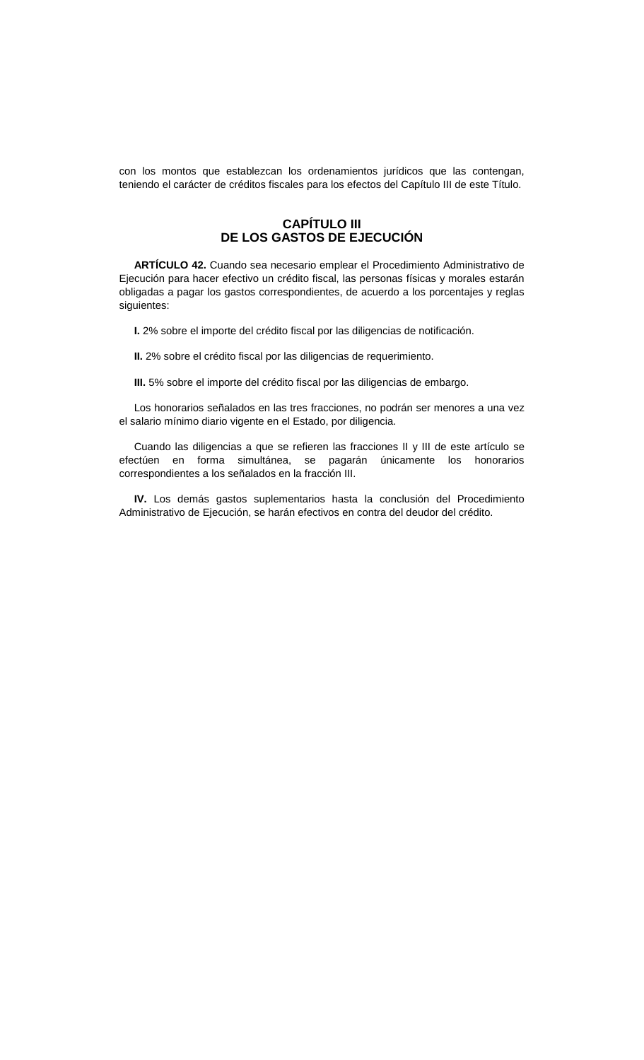con los montos que establezcan los ordenamientos jurídicos que las contengan, teniendo el carácter de créditos fiscales para los efectos del Capítulo III de este Título.

### **CAPÍTULO III DE LOS GASTOS DE EJECUCIÓN**

**ARTÍCULO 42.** Cuando sea necesario emplear el Procedimiento Administrativo de Ejecución para hacer efectivo un crédito fiscal, las personas físicas y morales estarán obligadas a pagar los gastos correspondientes, de acuerdo a los porcentajes y reglas siguientes:

**I.** 2% sobre el importe del crédito fiscal por las diligencias de notificación.

**II.** 2% sobre el crédito fiscal por las diligencias de requerimiento.

**III.** 5% sobre el importe del crédito fiscal por las diligencias de embargo.

Los honorarios señalados en las tres fracciones, no podrán ser menores a una vez el salario mínimo diario vigente en el Estado, por diligencia.

Cuando las diligencias a que se refieren las fracciones II y III de este artículo se efectúen en forma simultánea, se pagarán únicamente los honorarios correspondientes a los señalados en la fracción III.

**IV.** Los demás gastos suplementarios hasta la conclusión del Procedimiento Administrativo de Ejecución, se harán efectivos en contra del deudor del crédito.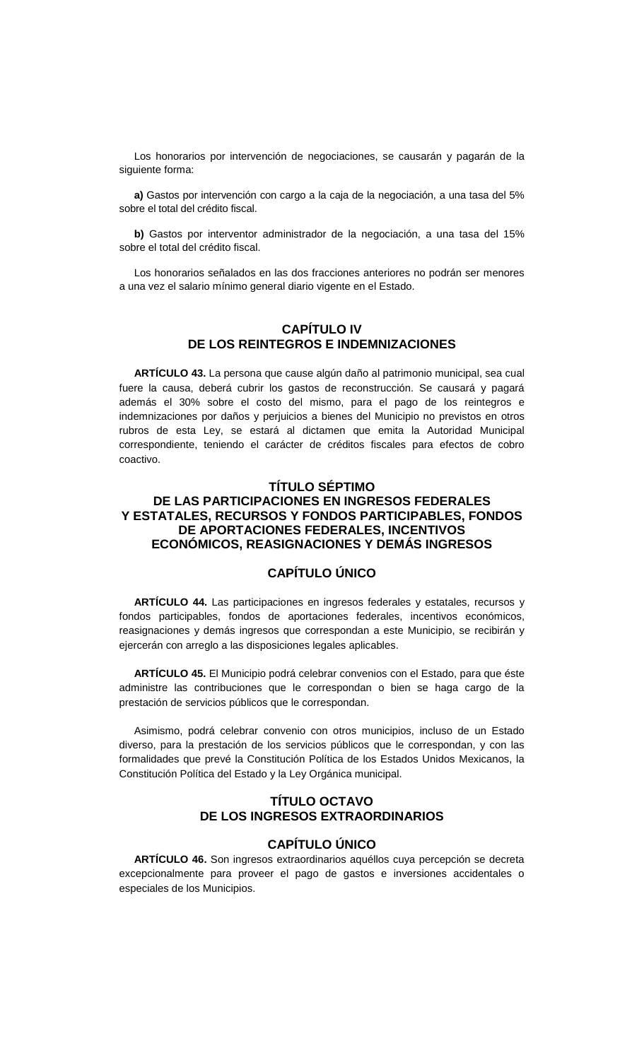Los honorarios por intervención de negociaciones, se causarán y pagarán de la siguiente forma:

**a)** Gastos por intervención con cargo a la caja de la negociación, a una tasa del 5% sobre el total del crédito fiscal.

**b)** Gastos por interventor administrador de la negociación, a una tasa del 15% sobre el total del crédito fiscal.

Los honorarios señalados en las dos fracciones anteriores no podrán ser menores a una vez el salario mínimo general diario vigente en el Estado.

### **CAPÍTULO IV DE LOS REINTEGROS E INDEMNIZACIONES**

**ARTÍCULO 43.** La persona que cause algún daño al patrimonio municipal, sea cual fuere la causa, deberá cubrir los gastos de reconstrucción. Se causará y pagará además el 30% sobre el costo del mismo, para el pago de los reintegros e indemnizaciones por daños y perjuicios a bienes del Municipio no previstos en otros rubros de esta Ley, se estará al dictamen que emita la Autoridad Municipal correspondiente, teniendo el carácter de créditos fiscales para efectos de cobro coactivo.

## **TÍTULO SÉPTIMO DE LAS PARTICIPACIONES EN INGRESOS FEDERALES Y ESTATALES, RECURSOS Y FONDOS PARTICIPABLES, FONDOS DE APORTACIONES FEDERALES, INCENTIVOS ECONÓMICOS, REASIGNACIONES Y DEMÁS INGRESOS**

## **CAPÍTULO ÚNICO**

**ARTÍCULO 44.** Las participaciones en ingresos federales y estatales, recursos y fondos participables, fondos de aportaciones federales, incentivos económicos, reasignaciones y demás ingresos que correspondan a este Municipio, se recibirán y ejercerán con arreglo a las disposiciones legales aplicables.

**ARTÍCULO 45.** El Municipio podrá celebrar convenios con el Estado, para que éste administre las contribuciones que le correspondan o bien se haga cargo de la prestación de servicios públicos que le correspondan.

Asimismo, podrá celebrar convenio con otros municipios, incluso de un Estado diverso, para la prestación de los servicios públicos que le correspondan, y con las formalidades que prevé la Constitución Política de los Estados Unidos Mexicanos, la Constitución Política del Estado y la Ley Orgánica municipal.

### **TÍTULO OCTAVO DE LOS INGRESOS EXTRAORDINARIOS**

# **CAPÍTULO ÚNICO**

**ARTÍCULO 46.** Son ingresos extraordinarios aquéllos cuya percepción se decreta excepcionalmente para proveer el pago de gastos e inversiones accidentales o especiales de los Municipios.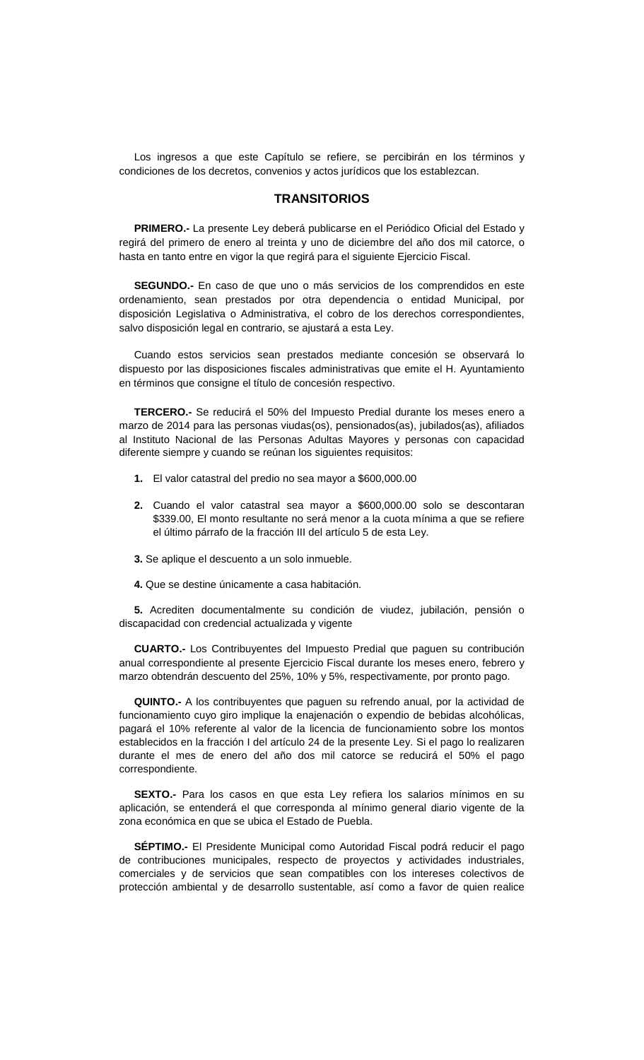Los ingresos a que este Capítulo se refiere, se percibirán en los términos y condiciones de los decretos, convenios y actos jurídicos que los establezcan.

### **TRANSITORIOS**

**PRIMERO.-** La presente Ley deberá publicarse en el Periódico Oficial del Estado y regirá del primero de enero al treinta y uno de diciembre del año dos mil catorce, o hasta en tanto entre en vigor la que regirá para el siguiente Ejercicio Fiscal.

**SEGUNDO.-** En caso de que uno o más servicios de los comprendidos en este ordenamiento, sean prestados por otra dependencia o entidad Municipal, por disposición Legislativa o Administrativa, el cobro de los derechos correspondientes, salvo disposición legal en contrario, se ajustará a esta Ley.

Cuando estos servicios sean prestados mediante concesión se observará lo dispuesto por las disposiciones fiscales administrativas que emite el H. Ayuntamiento en términos que consigne el título de concesión respectivo.

**TERCERO.-** Se reducirá el 50% del Impuesto Predial durante los meses enero a marzo de 2014 para las personas viudas(os), pensionados(as), jubilados(as), afiliados al Instituto Nacional de las Personas Adultas Mayores y personas con capacidad diferente siempre y cuando se reúnan los siguientes requisitos:

- **1.** El valor catastral del predio no sea mayor a \$600,000.00
- **2.** Cuando el valor catastral sea mayor a \$600,000.00 solo se descontaran \$339.00, El monto resultante no será menor a la cuota mínima a que se refiere el último párrafo de la fracción III del artículo 5 de esta Ley.
- **3.** Se aplique el descuento a un solo inmueble.
- **4.** Que se destine únicamente a casa habitación.

**5.** Acrediten documentalmente su condición de viudez, jubilación, pensión o discapacidad con credencial actualizada y vigente

**CUARTO.-** Los Contribuyentes del Impuesto Predial que paguen su contribución anual correspondiente al presente Ejercicio Fiscal durante los meses enero, febrero y marzo obtendrán descuento del 25%, 10% y 5%, respectivamente, por pronto pago.

**QUINTO.-** A los contribuyentes que paguen su refrendo anual, por la actividad de funcionamiento cuyo giro implique la enajenación o expendio de bebidas alcohólicas, pagará el 10% referente al valor de la licencia de funcionamiento sobre los montos establecidos en la fracción I del artículo 24 de la presente Ley. Si el pago lo realizaren durante el mes de enero del año dos mil catorce se reducirá el 50% el pago correspondiente.

**SEXTO.-** Para los casos en que esta Ley refiera los salarios mínimos en su aplicación, se entenderá el que corresponda al mínimo general diario vigente de la zona económica en que se ubica el Estado de Puebla.

**SÉPTIMO.-** El Presidente Municipal como Autoridad Fiscal podrá reducir el pago de contribuciones municipales, respecto de proyectos y actividades industriales, comerciales y de servicios que sean compatibles con los intereses colectivos de protección ambiental y de desarrollo sustentable, así como a favor de quien realice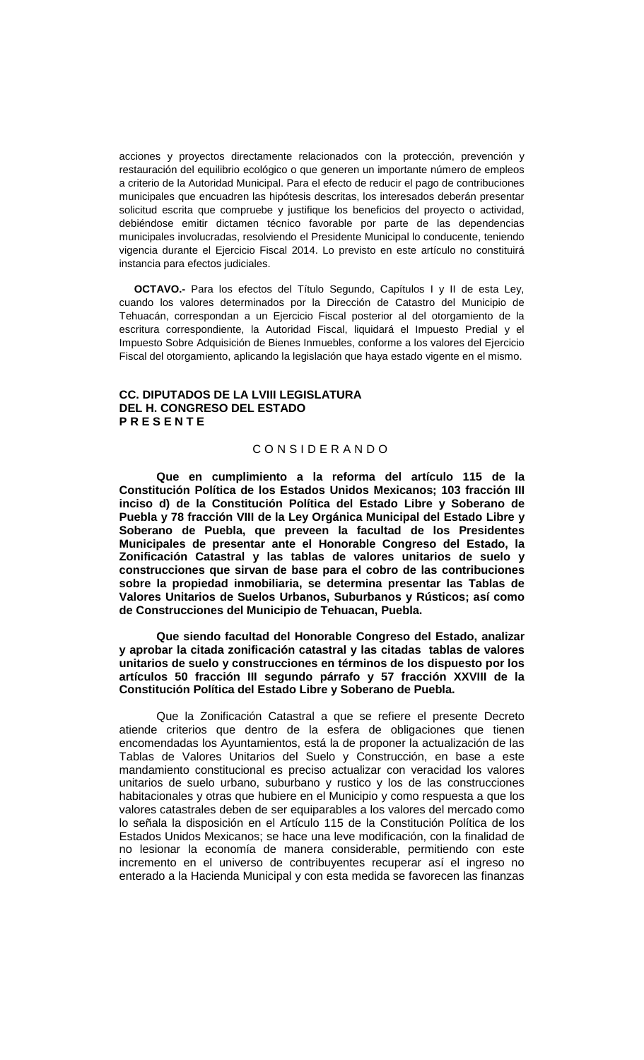acciones y proyectos directamente relacionados con la protección, prevención y restauración del equilibrio ecológico o que generen un importante número de empleos a criterio de la Autoridad Municipal. Para el efecto de reducir el pago de contribuciones municipales que encuadren las hipótesis descritas, los interesados deberán presentar solicitud escrita que compruebe y justifique los beneficios del proyecto o actividad, debiéndose emitir dictamen técnico favorable por parte de las dependencias municipales involucradas, resolviendo el Presidente Municipal lo conducente, teniendo vigencia durante el Ejercicio Fiscal 2014. Lo previsto en este artículo no constituirá instancia para efectos judiciales.

**OCTAVO.-** Para los efectos del Título Segundo, Capítulos I y II de esta Ley, cuando los valores determinados por la Dirección de Catastro del Municipio de Tehuacán, correspondan a un Ejercicio Fiscal posterior al del otorgamiento de la escritura correspondiente, la Autoridad Fiscal, liquidará el Impuesto Predial y el Impuesto Sobre Adquisición de Bienes Inmuebles, conforme a los valores del Ejercicio Fiscal del otorgamiento, aplicando la legislación que haya estado vigente en el mismo.

#### **CC. DIPUTADOS DE LA LVIII LEGISLATURA DEL H. CONGRESO DEL ESTADO P R E S E N T E**

## CONSIDERANDO

**Que en cumplimiento a la reforma del artículo 115 de la Constitución Política de los Estados Unidos Mexicanos; 103 fracción III inciso d) de la Constitución Política del Estado Libre y Soberano de Puebla y 78 fracción VIII de la Ley Orgánica Municipal del Estado Libre y Soberano de Puebla, que preveen la facultad de los Presidentes Municipales de presentar ante el Honorable Congreso del Estado, la Zonificación Catastral y las tablas de valores unitarios de suelo y construcciones que sirvan de base para el cobro de las contribuciones sobre la propiedad inmobiliaria, se determina presentar las Tablas de Valores Unitarios de Suelos Urbanos, Suburbanos y Rústicos; así como de Construcciones del Municipio de Tehuacan, Puebla.**

**Que siendo facultad del Honorable Congreso del Estado, analizar y aprobar la citada zonificación catastral y las citadas tablas de valores unitarios de suelo y construcciones en términos de los dispuesto por los artículos 50 fracción III segundo párrafo y 57 fracción XXVIII de la Constitución Política del Estado Libre y Soberano de Puebla.**

Que la Zonificación Catastral a que se refiere el presente Decreto atiende criterios que dentro de la esfera de obligaciones que tienen encomendadas los Ayuntamientos, está la de proponer la actualización de las Tablas de Valores Unitarios del Suelo y Construcción, en base a este mandamiento constitucional es preciso actualizar con veracidad los valores unitarios de suelo urbano, suburbano y rustico y los de las construcciones habitacionales y otras que hubiere en el Municipio y como respuesta a que los valores catastrales deben de ser equiparables a los valores del mercado como lo señala la disposición en el Artículo 115 de la Constitución Política de los Estados Unidos Mexicanos; se hace una leve modificación, con la finalidad de no lesionar la economía de manera considerable, permitiendo con este incremento en el universo de contribuyentes recuperar así el ingreso no enterado a la Hacienda Municipal y con esta medida se favorecen las finanzas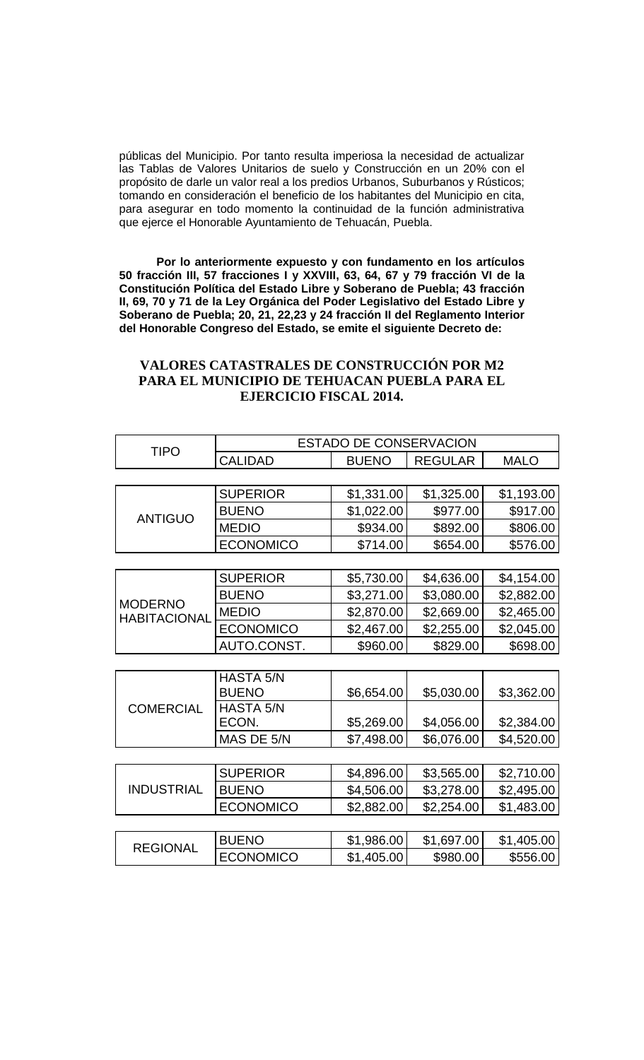públicas del Municipio. Por tanto resulta imperiosa la necesidad de actualizar las Tablas de Valores Unitarios de suelo y Construcción en un 20% con el propósito de darle un valor real a los predios Urbanos, Suburbanos y Rústicos; tomando en consideración el beneficio de los habitantes del Municipio en cita, para asegurar en todo momento la continuidad de la función administrativa que ejerce el Honorable Ayuntamiento de Tehuacán, Puebla.

**Por lo anteriormente expuesto y con fundamento en los artículos 50 fracción III, 57 fracciones I y XXVIII, 63, 64, 67 y 79 fracción VI de la Constitución Política del Estado Libre y Soberano de Puebla; 43 fracción II, 69, 70 y 71 de la Ley Orgánica del Poder Legislativo del Estado Libre y Soberano de Puebla; 20, 21, 22,23 y 24 fracción II del Reglamento Interior del Honorable Congreso del Estado, se emite el siguiente Decreto de:**

# **VALORES CATASTRALES DE CONSTRUCCIÓN POR M2 PARA EL MUNICIPIO DE TEHUACAN PUEBLA PARA EL EJERCICIO FISCAL 2014.**

| <b>TIPO</b>         | ESTADO DE CONSERVACION |              |                |             |
|---------------------|------------------------|--------------|----------------|-------------|
|                     | <b>CALIDAD</b>         | <b>BUENO</b> | <b>REGULAR</b> | <b>MALO</b> |
|                     |                        |              |                |             |
| <b>ANTIGUO</b>      | <b>SUPERIOR</b>        | \$1,331.00   | \$1,325.00     | \$1,193.00  |
|                     | <b>BUENO</b>           | \$1,022.00   | \$977.00       | \$917.00    |
|                     | <b>MEDIO</b>           | \$934.00     | \$892.00       | \$806.00    |
|                     | <b>ECONOMICO</b>       | \$714.00     | \$654.00       | \$576.00    |
|                     |                        |              |                |             |
|                     | <b>SUPERIOR</b>        | \$5,730.00   | \$4,636.00     | \$4,154.00  |
| <b>MODERNO</b>      | <b>BUENO</b>           | \$3,271.00   | \$3,080.00     | \$2,882.00  |
| <b>HABITACIONAL</b> | <b>MEDIO</b>           | \$2,870.00   | \$2,669.00     | \$2,465.00  |
|                     | <b>ECONOMICO</b>       | \$2,467.00   | \$2,255.00     | \$2,045.00  |
|                     | AUTO.CONST.            | \$960.00     | \$829.00       | \$698.00    |
|                     |                        |              |                |             |
|                     | <b>HASTA 5/N</b>       |              |                |             |
|                     | <b>BUENO</b>           | \$6,654.00   | \$5,030.00     | \$3,362.00  |
| <b>COMERCIAL</b>    | <b>HASTA 5/N</b>       |              |                |             |
|                     | ECON.                  | \$5,269.00   | \$4,056.00     | \$2,384.00  |
|                     | MAS DE 5/N             | \$7,498.00   | \$6,076.00     | \$4,520.00  |
|                     |                        |              |                |             |
| <b>INDUSTRIAL</b>   | <b>SUPERIOR</b>        | \$4,896.00   | \$3,565.00     | \$2,710.00  |
|                     | <b>BUENO</b>           | \$4,506.00   | \$3,278.00     | \$2,495.00  |
|                     | <b>ECONOMICO</b>       | \$2,882.00   | \$2,254.00     | \$1,483.00  |
|                     |                        |              |                |             |
| <b>REGIONAL</b>     | <b>BUENO</b>           | \$1,986.00   | \$1,697.00     | \$1,405.00  |
|                     | <b>ECONOMICO</b>       | \$1,405.00   | \$980.00       | \$556.00    |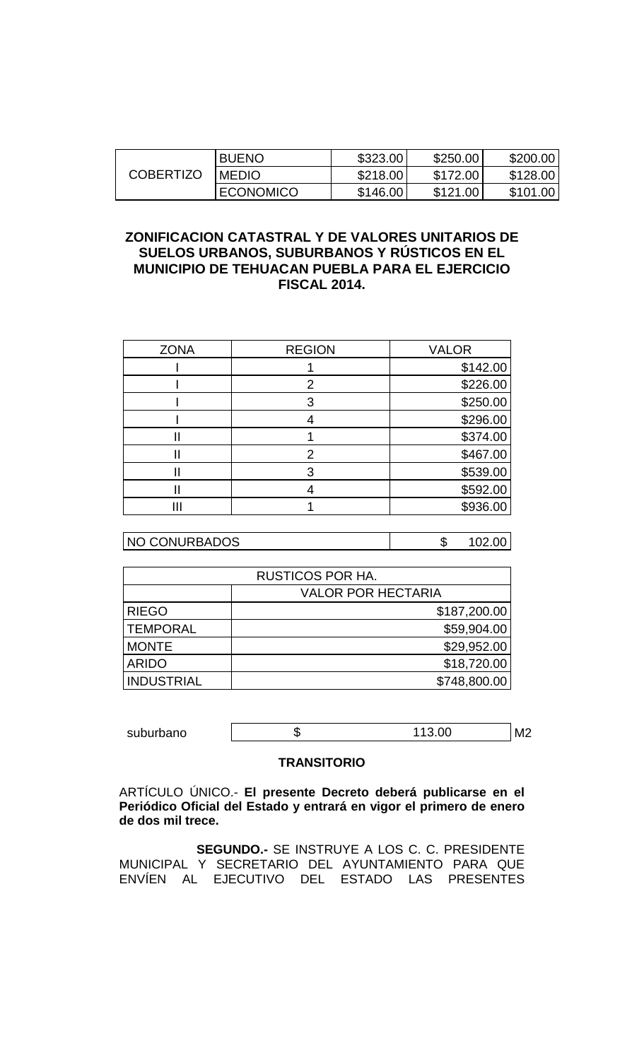| <b>COBERTIZO</b> | <b>BUENO</b>     | \$323.00 | \$250.00 | \$200.00 |
|------------------|------------------|----------|----------|----------|
|                  | <b>MEDIO</b>     | \$218.00 | \$172.00 | \$128.00 |
|                  | <b>ECONOMICO</b> | \$146.00 | \$121.00 | \$101.00 |

# **ZONIFICACION CATASTRAL Y DE VALORES UNITARIOS DE SUELOS URBANOS, SUBURBANOS Y RÚSTICOS EN EL MUNICIPIO DE TEHUACAN PUEBLA PARA EL EJERCICIO FISCAL 2014.**

| <b>ZONA</b> | <b>REGION</b> | <b>VALOR</b> |
|-------------|---------------|--------------|
|             |               | \$142.00     |
|             | 2             | \$226.00     |
|             | 3             | \$250.00     |
|             |               | \$296.00     |
|             |               | \$374.00     |
|             | 2             | \$467.00     |
|             | 3             | \$539.00     |
|             |               | \$592.00     |
|             |               | \$936.00     |

NO CONURBADOS \$ 102.00

|                   | <b>RUSTICOS POR HA.</b>   |
|-------------------|---------------------------|
|                   | <b>VALOR POR HECTARIA</b> |
| <b>RIEGO</b>      | \$187,200.00              |
| <b>TEMPORAL</b>   | \$59,904.00               |
| <b>MONTE</b>      | \$29,952.00               |
| <b>ARIDO</b>      | \$18,720.00               |
| <b>INDUSTRIAL</b> | \$748,800.00              |

| suburbano |  | ™∠ |
|-----------|--|----|

## **TRANSITORIO**

ARTÍCULO ÚNICO.- **El presente Decreto deberá publicarse en el Periódico Oficial del Estado y entrará en vigor el primero de enero de dos mil trece.**

 **SEGUNDO.-** SE INSTRUYE A LOS C. C. PRESIDENTE MUNICIPAL Y SECRETARIO DEL AYUNTAMIENTO PARA QUE ENVÍEN AL EJECUTIVO DEL ESTADO LAS PRESENTES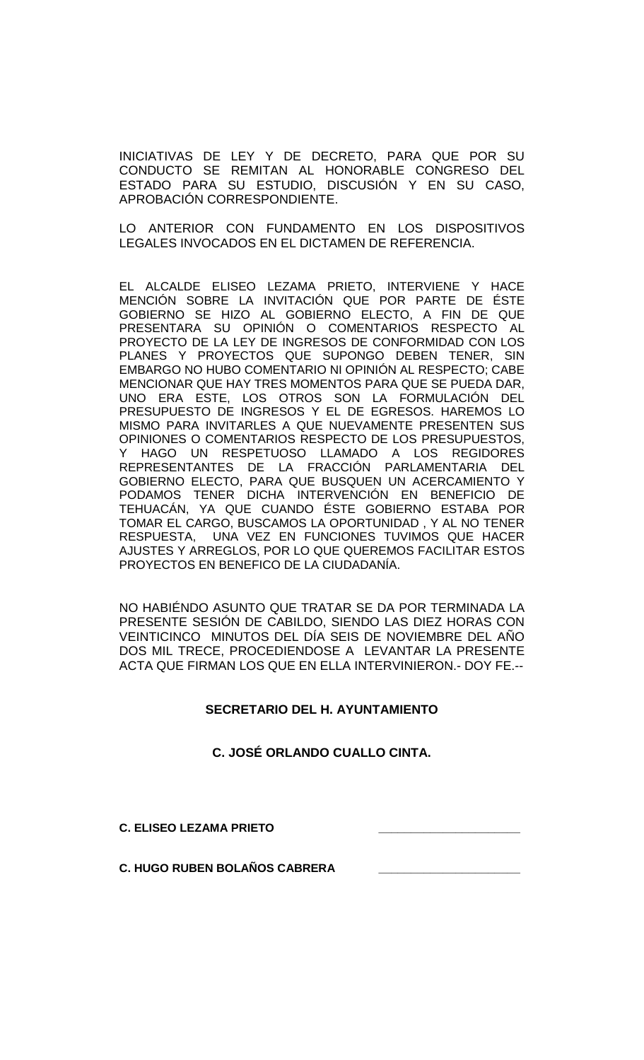INICIATIVAS DE LEY Y DE DECRETO, PARA QUE POR SU CONDUCTO SE REMITAN AL HONORABLE CONGRESO DEL ESTADO PARA SU ESTUDIO, DISCUSIÓN Y EN SU CASO, APROBACIÓN CORRESPONDIENTE.

LO ANTERIOR CON FUNDAMENTO EN LOS DISPOSITIVOS LEGALES INVOCADOS EN EL DICTAMEN DE REFERENCIA.

EL ALCALDE ELISEO LEZAMA PRIETO, INTERVIENE Y HACE MENCIÓN SOBRE LA INVITACIÓN QUE POR PARTE DE ÉSTE GOBIERNO SE HIZO AL GOBIERNO ELECTO, A FIN DE QUE PRESENTARA SU OPINIÓN O COMENTARIOS RESPECTO AL PROYECTO DE LA LEY DE INGRESOS DE CONFORMIDAD CON LOS PLANES Y PROYECTOS QUE SUPONGO DEBEN TENER, SIN EMBARGO NO HUBO COMENTARIO NI OPINIÓN AL RESPECTO; CABE MENCIONAR QUE HAY TRES MOMENTOS PARA QUE SE PUEDA DAR, UNO ERA ESTE, LOS OTROS SON LA FORMULACIÓN DEL PRESUPUESTO DE INGRESOS Y EL DE EGRESOS. HAREMOS LO MISMO PARA INVITARLES A QUE NUEVAMENTE PRESENTEN SUS OPINIONES O COMENTARIOS RESPECTO DE LOS PRESUPUESTOS, Y HAGO UN RESPETUOSO LLAMADO A LOS REGIDORES REPRESENTANTES DE LA FRACCIÓN PARLAMENTARIA DEL GOBIERNO ELECTO, PARA QUE BUSQUEN UN ACERCAMIENTO Y PODAMOS TENER DICHA INTERVENCION EN BENEFICIO DE TEHUACÁN, YA QUE CUANDO ÉSTE GOBIERNO ESTABA POR TOMAR EL CARGO, BUSCAMOS LA OPORTUNIDAD , Y AL NO TENER RESPUESTA, UNA VEZ EN FUNCIONES TUVIMOS QUE HACER AJUSTES Y ARREGLOS, POR LO QUE QUEREMOS FACILITAR ESTOS PROYECTOS EN BENEFICO DE LA CIUDADANÍA.

NO HABIÉNDO ASUNTO QUE TRATAR SE DA POR TERMINADA LA PRESENTE SESIÓN DE CABILDO, SIENDO LAS DIEZ HORAS CON VEINTICINCO MINUTOS DEL DÍA SEIS DE NOVIEMBRE DEL AÑO DOS MIL TRECE, PROCEDIENDOSE A LEVANTAR LA PRESENTE ACTA QUE FIRMAN LOS QUE EN ELLA INTERVINIERON.- DOY FE.--

# **SECRETARIO DEL H. AYUNTAMIENTO**

**C. JOSÉ ORLANDO CUALLO CINTA.**

**C. ELISEO LEZAMA PRIETO \_\_\_\_\_\_\_\_\_\_\_\_\_\_\_\_\_\_\_\_\_\_**

**C. HUGO RUBEN BOLAÑOS CABRERA \_\_\_\_\_\_\_\_\_\_\_\_\_\_\_\_\_\_\_\_\_\_**